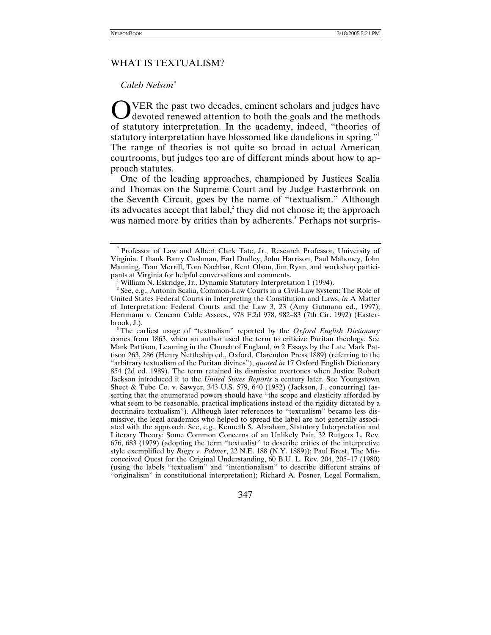## WHAT IS TEXTUALISM?

### *Caleb Nelson[\\*](#page-0-0)*

OVER the past two decades, eminent scholars and judges have<br>devoted renewed attention to both the goals and the methods devoted renewed attention to both the goals and the methods of statutory interpretation. In the academy, indeed, "theories of statutory interpretation have blossomed like dandelions in spring." The range of theories is not quite so broad in actual American courtrooms, but judges too are of different minds about how to approach statutes.

One of the leading approaches, championed by Justices Scalia and Thomas on the Supreme Court and by Judge Easterbrook on the Seventh Circuit, goes by the name of "textualism." Although its advocates accept that label, $\lambda^2$  $\lambda^2$  they did not choose it; the approach was named more by critics than by adherents.<sup>3</sup> Perhaps not surpris-

<span id="page-0-3"></span>The earliest usage of "textualism" reported by the *Oxford English Dictionary* comes from 1863, when an author used the term to criticize Puritan theology. See Mark Pattison, Learning in the Church of England, *in* 2 Essays by the Late Mark Pattison 263, 286 (Henry Nettleship ed., Oxford, Clarendon Press 1889) (referring to the "arbitrary textualism of the Puritan divines"), *quoted in* 17 Oxford English Dictionary 854 (2d ed. 1989). The term retained its dismissive overtones when Justice Robert Jackson introduced it to the *United States Reports* a century later. See Youngstown Sheet & Tube Co. v. Sawyer, 343 U.S. 579, 640 (1952) (Jackson, J., concurring) (asserting that the enumerated powers should have "the scope and elasticity afforded by what seem to be reasonable, practical implications instead of the rigidity dictated by a doctrinaire textualism"). Although later references to "textualism" became less dismissive, the legal academics who helped to spread the label are not generally associated with the approach. See, e.g., Kenneth S. Abraham, Statutory Interpretation and Literary Theory: Some Common Concerns of an Unlikely Pair, 32 Rutgers L. Rev. 676, 683 (1979) (adopting the term "textualist" to describe critics of the interpretive style exemplified by *Riggs v. Palmer*, 22 N.E. 188 (N.Y. 1889)); Paul Brest, The Misconceived Quest for the Original Understanding, 60 B.U. L. Rev. 204, 205–17 (1980) (using the labels "textualism" and "intentionalism" to describe different strains of "originalism" in constitutional interpretation); Richard A. Posner, Legal Formalism,

347

<span id="page-0-0"></span><sup>\*</sup> Professor of Law and Albert Clark Tate, Jr., Research Professor, University of Virginia. I thank Barry Cushman, Earl Dudley, John Harrison, Paul Mahoney, John Manning, Tom Merrill, Tom Nachbar, Kent Olson, Jim Ryan, and workshop participants at Virginia for helpful conversations and comments. <sup>1</sup>

<span id="page-0-1"></span><sup>&</sup>lt;sup>1</sup> William N. Eskridge, Jr., Dynamic Statutory Interpretation 1 (1994).

<span id="page-0-2"></span><sup>&</sup>lt;sup>2</sup> See, e.g., Antonin Scalia, Common-Law Courts in a Civil-Law System: The Role of United States Federal Courts in Interpreting the Constitution and Laws, *in* A Matter of Interpretation: Federal Courts and the Law 3, 23 (Amy Gutmann ed., 1997); Herrmann v. Cencom Cable Assocs., 978 F.2d 978, 982–83 (7th Cir. 1992) (Easterbrook, J.). 3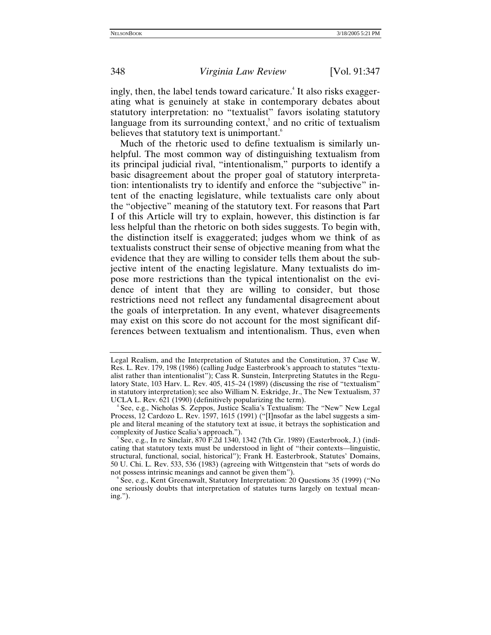ingly, then, the label tends toward caricature.<sup>4</sup> It also risks exaggerating what is genuinely at stake in contemporary debates about statutory interpretation: no "textualist" favors isolating statutory language from its surrounding context, $<sup>5</sup>$  and no critic of textualism</sup> believes that statutory text is unimportant.<sup>6</sup>

Much of the rhetoric used to define textualism is similarly unhelpful. The most common way of distinguishing textualism from its principal judicial rival, "intentionalism," purports to identify a basic disagreement about the proper goal of statutory interpretation: intentionalists try to identify and enforce the "subjective" intent of the enacting legislature, while textualists care only about the "objective" meaning of the statutory text. For reasons that Part I of this Article will try to explain, however, this distinction is far less helpful than the rhetoric on both sides suggests. To begin with, the distinction itself is exaggerated; judges whom we think of as textualists construct their sense of objective meaning from what the evidence that they are willing to consider tells them about the subjective intent of the enacting legislature. Many textualists do impose more restrictions than the typical intentionalist on the evidence of intent that they are willing to consider, but those restrictions need not reflect any fundamental disagreement about the goals of interpretation. In any event, whatever disagreements may exist on this score do not account for the most significant differences between textualism and intentionalism. Thus, even when

Legal Realism, and the Interpretation of Statutes and the Constitution, 37 Case W. Res. L. Rev. 179, 198 (1986) (calling Judge Easterbrook's approach to statutes "textualist rather than intentionalist"); Cass R. Sunstein, Interpreting Statutes in the Regulatory State, 103 Harv. L. Rev. 405, 415–24 (1989) (discussing the rise of "textualism" in statutory interpretation); see also William N. Eskridge, Jr., The New Textualism, 37 UCLA L. Rev. 621 (1990) (definitively popularizing the term).

<span id="page-1-0"></span><sup>&</sup>lt;sup>4</sup> See, e.g., Nicholas S. Zeppos, Justice Scalia's Textualism: The "New" New Legal Process, 12 Cardozo L. Rev. 1597, 1615 (1991) ("[I]nsofar as the label suggests a simple and literal meaning of the statutory text at issue, it betrays the sophistication and complexity of Justice Scalia's approach.").

<span id="page-1-1"></span>See, e.g., In re Sinclair, 870 F.2d 1340, 1342 (7th Cir. 1989) (Easterbrook, J.) (indicating that statutory texts must be understood in light of "their contexts—linguistic, structural, functional, social, historical"); Frank H. Easterbrook, Statutes' Domains, 50 U. Chi. L. Rev. 533, 536 (1983) (agreeing with Wittgenstein that "sets of words do not possess intrinsic meanings and cannot be given them").

<span id="page-1-2"></span>See, e.g., Kent Greenawalt, Statutory Interpretation: 20 Questions 35 (1999) ("No one seriously doubts that interpretation of statutes turns largely on textual meaning.").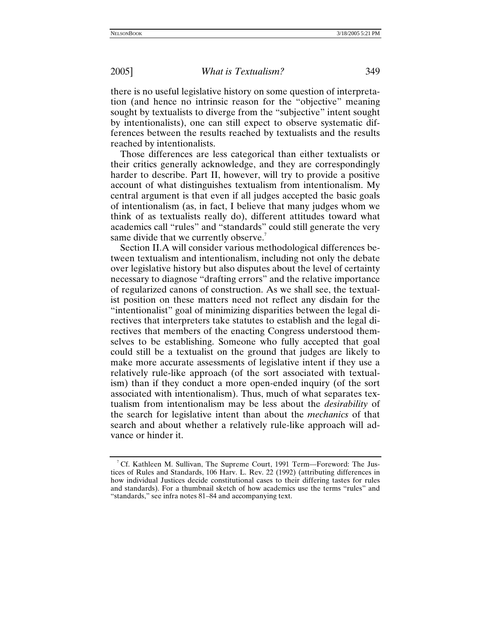there is no useful legislative history on some question of interpretation (and hence no intrinsic reason for the "objective" meaning sought by textualists to diverge from the "subjective" intent sought by intentionalists), one can still expect to observe systematic differences between the results reached by textualists and the results reached by intentionalists.

Those differences are less categorical than either textualists or their critics generally acknowledge, and they are correspondingly harder to describe. Part II, however, will try to provide a positive account of what distinguishes textualism from intentionalism. My central argument is that even if all judges accepted the basic goals of intentionalism (as, in fact, I believe that many judges whom we think of as textualists really do), different attitudes toward what academics call "rules" and "standards" could still generate the very same divide that we currently observe.<sup>[7](#page-2-0)</sup>

Section II.A will consider various methodological differences between textualism and intentionalism, including not only the debate over legislative history but also disputes about the level of certainty necessary to diagnose "drafting errors" and the relative importance of regularized canons of construction. As we shall see, the textualist position on these matters need not reflect any disdain for the "intentionalist" goal of minimizing disparities between the legal directives that interpreters take statutes to establish and the legal directives that members of the enacting Congress understood themselves to be establishing. Someone who fully accepted that goal could still be a textualist on the ground that judges are likely to make more accurate assessments of legislative intent if they use a relatively rule-like approach (of the sort associated with textualism) than if they conduct a more open-ended inquiry (of the sort associated with intentionalism). Thus, much of what separates textualism from intentionalism may be less about the *desirability* of the search for legislative intent than about the *mechanics* of that search and about whether a relatively rule-like approach will advance or hinder it.

<span id="page-2-0"></span><sup>&</sup>lt;sup>7</sup> Cf. Kathleen M. Sullivan, The Supreme Court, 1991 Term—Foreword: The Justices of Rules and Standards, 106 Harv. L. Rev. 22 (1992) (attributing differences in how individual Justices decide constitutional cases to their differing tastes for rules and standards). For a thumbnail sketch of how academics use the terms "rules" and "standards," see infra notes 81–84 and accompanying text.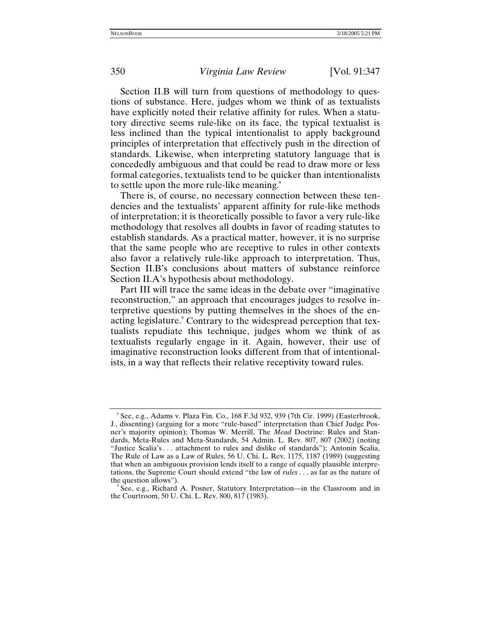Section II.B will turn from questions of methodology to questions of substance. Here, judges whom we think of as textualists have explicitly noted their relative affinity for rules. When a statutory directive seems rule-like on its face, the typical textualist is less inclined than the typical intentionalist to apply background principles of interpretation that effectively push in the direction of standards. Likewise, when interpreting statutory language that is concededly ambiguous and that could be read to draw more or less formal categories, textualists tend to be quicker than intentionalists to settle upon the more rule-like meaning.<sup>8</sup>

There is, of course, no necessary connection between these tendencies and the textualists' apparent affinity for rule-like methods of interpretation; it is theoretically possible to favor a very rule-like methodology that resolves all doubts in favor of reading statutes to establish standards. As a practical matter, however, it is no surprise that the same people who are receptive to rules in other contexts also favor a relatively rule-like approach to interpretation. Thus, Section II.B's conclusions about matters of substance reinforce Section II.A's hypothesis about methodology.

Part III will trace the same ideas in the debate over "imaginative reconstruction," an approach that encourages judges to resolve interpretive questions by putting themselves in the shoes of the enacting legislature.<sup>9</sup> Contrary to the widespread perception that textualists repudiate this technique, judges whom we think of as textualists regularly engage in it. Again, however, their use of imaginative reconstruction looks different from that of intentionalists, in a way that reflects their relative receptivity toward rules.

<span id="page-3-0"></span><sup>8</sup> See, e.g., Adams v. Plaza Fin. Co., 168 F.3d 932, 939 (7th Cir. 1999) (Easterbrook, J., dissenting) (arguing for a more "rule-based" interpretation than Chief Judge Posner's majority opinion); Thomas W. Merrill, The *Mead* Doctrine: Rules and Standards, Meta-Rules and Meta-Standards, 54 Admin. L. Rev. 807, 807 (2002) (noting "Justice Scalia's . . . attachment to rules and dislike of standards"); Antonin Scalia, The Rule of Law as a Law of Rules, 56 U. Chi. L. Rev. 1175, 1187 (1989) (suggesting that when an ambiguous provision lends itself to a range of equally plausible interpretations, the Supreme Court should extend "the law of *rules* . . . as far as the nature of the question allows").

<span id="page-3-1"></span>See, e.g., Richard A. Posner, Statutory Interpretation—in the Classroom and in the Courtroom, 50 U. Chi. L. Rev. 800, 817 (1983).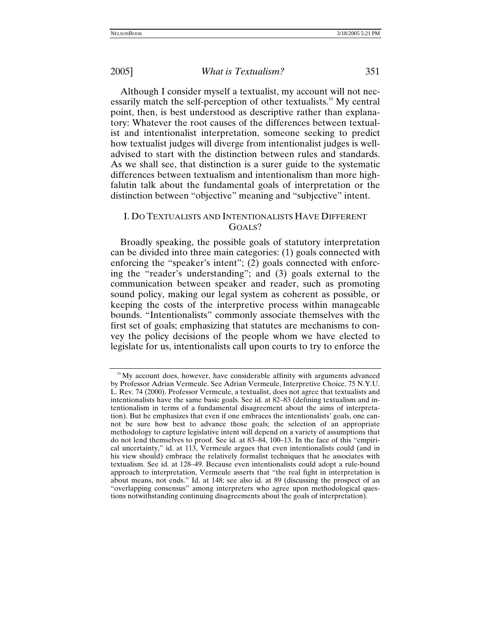Although I consider myself a textualist, my account will not necessarily match the self-perception of other textualists.<sup>10</sup> My central point, then, is best understood as descriptive rather than explanatory: Whatever the root causes of the differences between textualist and intentionalist interpretation, someone seeking to predict how textualist judges will diverge from intentionalist judges is welladvised to start with the distinction between rules and standards. As we shall see, that distinction is a surer guide to the systematic differences between textualism and intentionalism than more highfalutin talk about the fundamental goals of interpretation or the distinction between "objective" meaning and "subjective" intent.

# I. DO TEXTUALISTS AND INTENTIONALISTS HAVE DIFFERENT GOALS?

Broadly speaking, the possible goals of statutory interpretation can be divided into three main categories: (1) goals connected with enforcing the "speaker's intent"; (2) goals connected with enforcing the "reader's understanding"; and (3) goals external to the communication between speaker and reader, such as promoting sound policy, making our legal system as coherent as possible, or keeping the costs of the interpretive process within manageable bounds. "Intentionalists" commonly associate themselves with the first set of goals; emphasizing that statutes are mechanisms to convey the policy decisions of the people whom we have elected to legislate for us, intentionalists call upon courts to try to enforce the

<span id="page-4-0"></span> $10<sup>10</sup>$  My account does, however, have considerable affinity with arguments advanced by Professor Adrian Vermeule. See Adrian Vermeule, Interpretive Choice, 75 N.Y.U. L. Rev. 74 (2000). Professor Vermeule, a textualist, does not agree that textualists and intentionalists have the same basic goals. See id. at 82–83 (defining textualism and intentionalism in terms of a fundamental disagreement about the aims of interpretation). But he emphasizes that even if one embraces the intentionalists' goals, one cannot be sure how best to advance those goals; the selection of an appropriate methodology to capture legislative intent will depend on a variety of assumptions that do not lend themselves to proof. See id. at 83–84, 100–13. In the face of this "empirical uncertainty," id. at 113, Vermeule argues that even intentionalists could (and in his view should) embrace the relatively formalist techniques that he associates with textualism. See id. at 128–49. Because even intentionalists could adopt a rule-bound approach to interpretation, Vermeule asserts that "the real fight in interpretation is about means, not ends." Id. at 148; see also id. at 89 (discussing the prospect of an "overlapping consensus" among interpreters who agree upon methodological questions notwithstanding continuing disagreements about the goals of interpretation).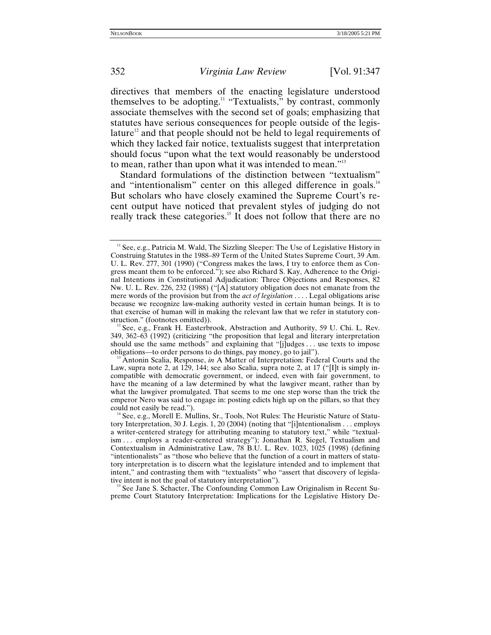directives that members of the enacting legislature understood themselves to be adopting.<sup>11</sup> "Textualists," by contrast, commonly associate themselves with the second set of goals; emphasizing that statutes have serious consequences for people outside of the legislature<sup>12</sup> and that people should not be held to legal requirements of which they lacked fair notice, textualists suggest that interpretation should focus "upon what the text would reasonably be understood to mean, rather than upon what it was intended to mean."<sup>13</sup>

Standard formulations of the distinction between "textualism" and "intentionalism" center on this alleged difference in goals.<sup>[14](#page-5-3)</sup> But scholars who have closely examined the Supreme Court's recent output have noticed that prevalent styles of judging do not really track these categories.<sup>15</sup> It does not follow that there are no

<span id="page-5-4"></span>See Jane S. Schacter, The Confounding Common Law Originalism in Recent Supreme Court Statutory Interpretation: Implications for the Legislative History De-

<span id="page-5-0"></span><sup>&</sup>lt;sup>11</sup> See, e.g., Patricia M. Wald, The Sizzling Sleeper: The Use of Legislative History in Construing Statutes in the 1988–89 Term of the United States Supreme Court, 39 Am. U. L. Rev. 277, 301 (1990) ("Congress makes the laws, I try to enforce them as Congress meant them to be enforced."); see also Richard S. Kay, Adherence to the Original Intentions in Constitutional Adjudication: Three Objections and Responses, 82 Nw. U. L. Rev. 226, 232 (1988) ("[A] statutory obligation does not emanate from the mere words of the provision but from the *act of legislation* . . . . Legal obligations arise because we recognize law-making authority vested in certain human beings. It is to that exercise of human will in making the relevant law that we refer in statutory construction." (footnotes omitted)).

<span id="page-5-1"></span><sup>&</sup>lt;sup>12</sup> See, e.g., Frank H. Easterbrook, Abstraction and Authority, 59 U. Chi. L. Rev. 349, 362–63 (1992) (criticizing "the proposition that legal and literary interpretation should use the same methods" and explaining that "[j]udges . . . use texts to impose obligations—to order persons to do things, pay money, go to jail").

<span id="page-5-2"></span><sup>&</sup>lt;sup>3</sup> Antonin Scalia, Response, *in* A Matter of Interpretation: Federal Courts and the Law, supra note 2, at 129, 144; see also Scalia, supra note 2, at 17 ("[I]t is simply incompatible with democratic government, or indeed, even with fair government, to have the meaning of a law determined by what the lawgiver meant, rather than by what the lawgiver promulgated. That seems to me one step worse than the trick the emperor Nero was said to engage in: posting edicts high up on the pillars, so that they could not easily be read.").<br><sup>14</sup> See, e.g., Morell E. Mullins, Sr., Tools, Not Rules: The Heuristic Nature of Statu-

<span id="page-5-3"></span>tory Interpretation, 30 J. Legis. 1, 20 (2004) (noting that "[i]ntentionalism . . . employs a writer-centered strategy for attributing meaning to statutory text," while "textualism . . . employs a reader-centered strategy"); Jonathan R. Siegel, Textualism and Contextualism in Administrative Law, 78 B.U. L. Rev. 1023, 1025 (1998) (defining "intentionalists" as "those who believe that the function of a court in matters of statutory interpretation is to discern what the legislature intended and to implement that intent," and contrasting them with "textualists" who "assert that discovery of legislative intent is not the goal of statutory interpretation").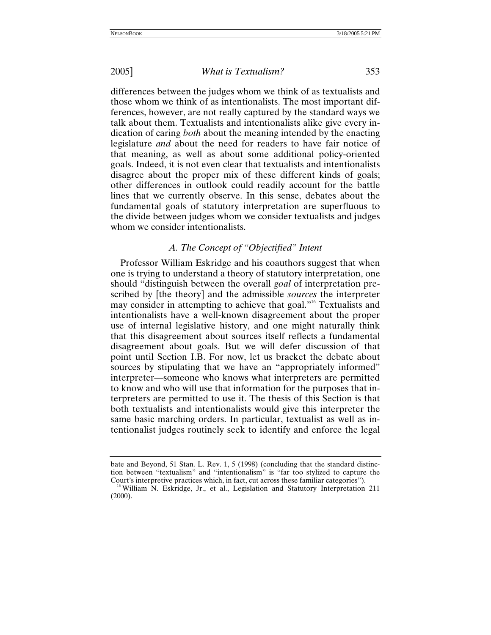differences between the judges whom we think of as textualists and those whom we think of as intentionalists. The most important differences, however, are not really captured by the standard ways we talk about them. Textualists and intentionalists alike give every indication of caring *both* about the meaning intended by the enacting legislature *and* about the need for readers to have fair notice of that meaning, as well as about some additional policy-oriented goals. Indeed, it is not even clear that textualists and intentionalists disagree about the proper mix of these different kinds of goals; other differences in outlook could readily account for the battle lines that we currently observe. In this sense, debates about the fundamental goals of statutory interpretation are superfluous to the divide between judges whom we consider textualists and judges whom we consider intentionalists.

# *A. The Concept of "Objectified" Intent*

Professor William Eskridge and his coauthors suggest that when one is trying to understand a theory of statutory interpretation, one should "distinguish between the overall *goal* of interpretation prescribed by [the theory] and the admissible *sources* the interpreter may consider in attempting to achieve that goal."<sup>16</sup> Textualists and intentionalists have a well-known disagreement about the proper use of internal legislative history, and one might naturally think that this disagreement about sources itself reflects a fundamental disagreement about goals. But we will defer discussion of that point until Section I.B. For now, let us bracket the debate about sources by stipulating that we have an "appropriately informed" interpreter—someone who knows what interpreters are permitted to know and who will use that information for the purposes that interpreters are permitted to use it. The thesis of this Section is that both textualists and intentionalists would give this interpreter the same basic marching orders. In particular, textualist as well as intentionalist judges routinely seek to identify and enforce the legal

bate and Beyond, 51 Stan. L. Rev. 1, 5 (1998) (concluding that the standard distinction between "textualism" and "intentionalism" is "far too stylized to capture the Court's interpretive practices which, in fact, cut across these familiar categories").

<span id="page-6-0"></span> $\delta$  William N. Eskridge, Jr., et al., Legislation and Statutory Interpretation 211 (2000).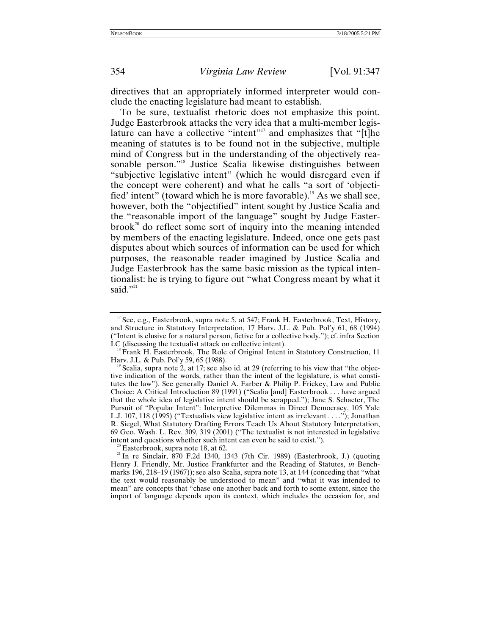directives that an appropriately informed interpreter would conclude the enacting legislature had meant to establish.

To be sure, textualist rhetoric does not emphasize this point. Judge Easterbrook attacks the very idea that a multi-member legislature can have a collective "intent"<sup>17</sup> and emphasizes that "[t]he meaning of statutes is to be found not in the subjective, multiple mind of Congress but in the understanding of the objectively reasonable person."<sup>18</sup> Justice Scalia likewise distinguishes between "subjective legislative intent" (which he would disregard even if the concept were coherent) and what he calls "a sort of 'objectified' intent" (toward which he is more favorable).<sup>19</sup> As we shall see, however, both the "objectified" intent sought by Justice Scalia and the "reasonable import of the language" sought by Judge Easter $b$ rook<sup>20</sup> do reflect some sort of inquiry into the meaning intended by members of the enacting legislature. Indeed, once one gets past disputes about which sources of information can be used for which purposes, the reasonable reader imagined by Justice Scalia and Judge Easterbrook has the same basic mission as the typical intentionalist: he is trying to figure out "what Congress meant by what it said."<sup>[21](#page-7-4)</sup>

<span id="page-7-4"></span><span id="page-7-3"></span><sup>20</sup> Easterbrook, supra note 18, at 62. <sup>21</sup> In re Sinclair, 870 F.2d 1340, 1343 (7th Cir. 1989) (Easterbrook, J.) (quoting Henry J. Friendly, Mr. Justice Frankfurter and the Reading of Statutes, *in* Benchmarks 196, 218–19 (1967)); see also Scalia, supra note 13, at 144 (conceding that "what the text would reasonably be understood to mean" and "what it was intended to mean" are concepts that "chase one another back and forth to some extent, since the import of language depends upon its context, which includes the occasion for, and

<span id="page-7-0"></span><sup>&</sup>lt;sup>17</sup> See, e.g., Easterbrook, supra note 5, at 547; Frank H. Easterbrook, Text, History, and Structure in Statutory Interpretation, 17 Harv. J.L. & Pub. Pol'y 61, 68 (1994) ("Intent is elusive for a natural person, fictive for a collective body."); cf. infra Section I.C (discussing the textualist attack on collective intent).

<span id="page-7-1"></span><sup>&</sup>lt;sup>18</sup> Frank H. Easterbrook, The Role of Original Intent in Statutory Construction, 11 Harv. J.L. & Pub. Pol'y 59, 65 (1988).

<span id="page-7-2"></span>Scalia, supra note 2, at 17; see also id. at 29 (referring to his view that "the objective indication of the words, rather than the intent of the legislature, is what constitutes the law"). See generally Daniel A. Farber & Philip P. Frickey, Law and Public Choice: A Critical Introduction 89 (1991) ("Scalia [and] Easterbrook . . . have argued that the whole idea of legislative intent should be scrapped."); Jane S. Schacter, The Pursuit of "Popular Intent": Interpretive Dilemmas in Direct Democracy, 105 Yale L.J. 107, 118 (1995) ("Textualists view legislative intent as irrelevant . . . ."); Jonathan R. Siegel, What Statutory Drafting Errors Teach Us About Statutory Interpretation, 69 Geo. Wash. L. Rev. 309, 319 (2001) ("The textualist is not interested in legislative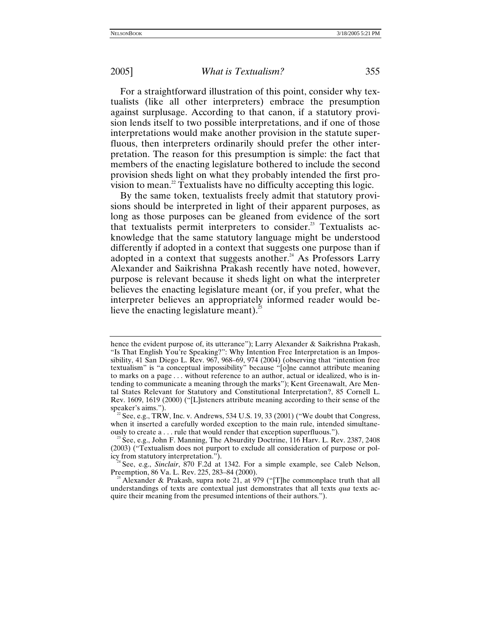For a straightforward illustration of this point, consider why textualists (like all other interpreters) embrace the presumption against surplusage. According to that canon, if a statutory provision lends itself to two possible interpretations, and if one of those interpretations would make another provision in the statute superfluous, then interpreters ordinarily should prefer the other interpretation. The reason for this presumption is simple: the fact that members of the enacting legislature bothered to include the second provision sheds light on what they probably intended the first provision to mean.<sup>22</sup> Textualists have no difficulty accepting this logic.

By the same token, textualists freely admit that statutory provisions should be interpreted in light of their apparent purposes, as long as those purposes can be gleaned from evidence of the sort that textualists permit interpreters to consider.<sup>23</sup> Textualists acknowledge that the same statutory language might be understood differently if adopted in a context that suggests one purpose than if adopted in a context that suggests another.<sup>24</sup> As Professors Larry Alexander and Saikrishna Prakash recently have noted, however, purpose is relevant because it sheds light on what the interpreter believes the enacting legislature meant (or, if you prefer, what the interpreter believes an appropriately informed reader would be-lieve the enacting legislature meant).<sup>[25](#page-8-3)</sup>

hence the evident purpose of, its utterance"); Larry Alexander & Saikrishna Prakash, "Is That English You're Speaking?": Why Intention Free Interpretation is an Impossibility, 41 San Diego L. Rev. 967, 968–69, 974 (2004) (observing that "intention free textualism" is "a conceptual impossibility" because "[o]ne cannot attribute meaning to marks on a page . . . without reference to an author, actual or idealized, who is intending to communicate a meaning through the marks"); Kent Greenawalt, Are Mental States Relevant for Statutory and Constitutional Interpretation?, 85 Cornell L. Rev. 1609, 1619 (2000) ("[L]isteners attribute meaning according to their sense of the speaker's aims.").  $^{22}$  See, e.g., TRW, Inc. v. Andrews, 534 U.S. 19, 33 (2001) ("We doubt that Congress,

<span id="page-8-0"></span>when it inserted a carefully worded exception to the main rule, intended simultane-<br>ously to create a . . . rule that would render that exception superfluous.").

<span id="page-8-1"></span><sup>&</sup>lt;sup>23</sup> See, e.g., John F. Manning, The Absurdity Doctrine, 116 Harv. L. Rev. 2387, 2408 (2003) ("Textualism does not purport to exclude all consideration of purpose or pol-

<span id="page-8-2"></span>icy from statutory interpretation.").<br><sup>24</sup> See, e.g., *Sinclair*, 870 F.2d at 1342. For a simple example, see Caleb Nelson,<br>Preemption, 86 Va. L. Rev. 225, 283–84 (2000).

<span id="page-8-3"></span><sup>&</sup>lt;sup>25</sup> Alexander & Prakash, supra note 21, at 979 ("[T]he commonplace truth that all understandings of texts are contextual just demonstrates that all texts *qua* texts acquire their meaning from the presumed intentions of their authors.").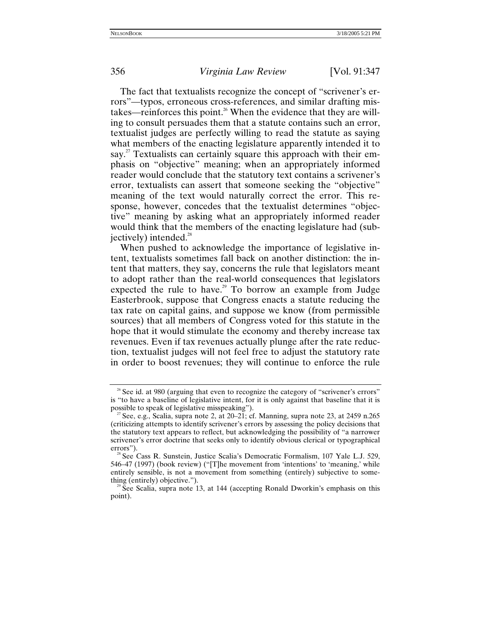The fact that textualists recognize the concept of "scrivener's errors"—typos, erroneous cross-references, and similar drafting mistakes—reinforces this point.<sup>26</sup> When the evidence that they are willing to consult persuades them that a statute contains such an error, textualist judges are perfectly willing to read the statute as saying what members of the enacting legislature apparently intended it to say.<sup>27</sup> Textualists can certainly square this approach with their emphasis on "objective" meaning; when an appropriately informed reader would conclude that the statutory text contains a scrivener's error, textualists can assert that someone seeking the "objective" meaning of the text would naturally correct the error. This response, however, concedes that the textualist determines "objective" meaning by asking what an appropriately informed reader would think that the members of the enacting legislature had (subjectively) intended. $28$ 

When pushed to acknowledge the importance of legislative intent, textualists sometimes fall back on another distinction: the intent that matters, they say, concerns the rule that legislators meant to adopt rather than the real-world consequences that legislators expected the rule to have.<sup>29</sup> To borrow an example from Judge Easterbrook, suppose that Congress enacts a statute reducing the tax rate on capital gains, and suppose we know (from permissible sources) that all members of Congress voted for this statute in the hope that it would stimulate the economy and thereby increase tax revenues. Even if tax revenues actually plunge after the rate reduction, textualist judges will not feel free to adjust the statutory rate in order to boost revenues; they will continue to enforce the rule

<span id="page-9-0"></span><sup>&</sup>lt;sup>26</sup> See id. at 980 (arguing that even to recognize the category of "scrivener's errors" is "to have a baseline of legislative intent, for it is only against that baseline that it is possible to speak of legislative misspeaking").

<span id="page-9-1"></span><sup>&</sup>lt;sup>27</sup> See, e.g., Scalia, supra note 2, at 20–21; cf. Manning, supra note 23, at 2459 n.265 (criticizing attempts to identify scrivener's errors by assessing the policy decisions that the statutory text appears to reflect, but acknowledging the possibility of "a narrower scrivener's error doctrine that seeks only to identify obvious clerical or typographical errors").<br><sup>28</sup> See Cass R. Sunstein, Justice Scalia's Democratic Formalism, 107 Yale L.J. 529,

<span id="page-9-2"></span><sup>546–47 (1997) (</sup>book review) ("[T]he movement from 'intentions' to 'meaning,' while entirely sensible, is not a movement from something (entirely) subjective to something (entirely) objective.").<br><sup>29</sup> See Scalia, supra note 13, at 144 (accepting Ronald Dworkin's emphasis on this

<span id="page-9-3"></span>point).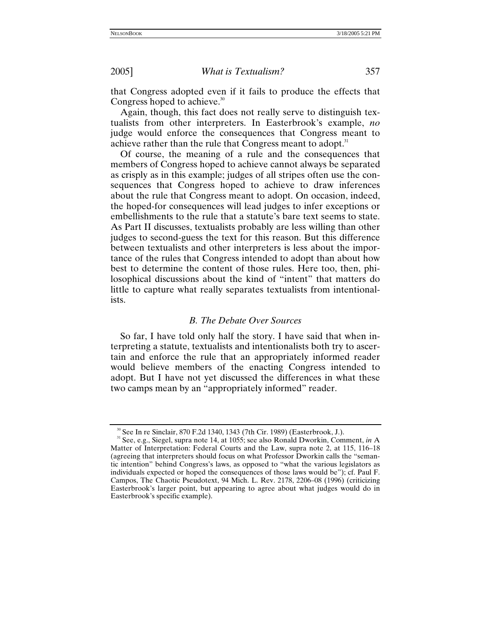that Congress adopted even if it fails to produce the effects that Congress hoped to achieve. $30$ 

Again, though, this fact does not really serve to distinguish textualists from other interpreters. In Easterbrook's example, *no* judge would enforce the consequences that Congress meant to achieve rather than the rule that Congress meant to adopt.<sup>31</sup>

Of course, the meaning of a rule and the consequences that members of Congress hoped to achieve cannot always be separated as crisply as in this example; judges of all stripes often use the consequences that Congress hoped to achieve to draw inferences about the rule that Congress meant to adopt. On occasion, indeed, the hoped-for consequences will lead judges to infer exceptions or embellishments to the rule that a statute's bare text seems to state. As Part II discusses, textualists probably are less willing than other judges to second-guess the text for this reason. But this difference between textualists and other interpreters is less about the importance of the rules that Congress intended to adopt than about how best to determine the content of those rules. Here too, then, philosophical discussions about the kind of "intent" that matters do little to capture what really separates textualists from intentionalists.

## *B. The Debate Over Sources*

So far, I have told only half the story. I have said that when interpreting a statute, textualists and intentionalists both try to ascertain and enforce the rule that an appropriately informed reader would believe members of the enacting Congress intended to adopt. But I have not yet discussed the differences in what these two camps mean by an "appropriately informed" reader.

<span id="page-10-1"></span><span id="page-10-0"></span><sup>&</sup>lt;sup>30</sup> See In re Sinclair, 870 F.2d 1340, 1343 (7th Cir. 1989) (Easterbrook, J.). <br><sup>31</sup> See, e.g., Siegel, supra note 14, at 1055; see also Ronald Dworkin, Comment, *in* A Matter of Interpretation: Federal Courts and the Law, supra note 2, at 115, 116–18 (agreeing that interpreters should focus on what Professor Dworkin calls the "semantic intention" behind Congress's laws, as opposed to "what the various legislators as individuals expected or hoped the consequences of those laws would be"); cf. Paul F. Campos, The Chaotic Pseudotext, 94 Mich. L. Rev. 2178, 2206–08 (1996) (criticizing Easterbrook's larger point, but appearing to agree about what judges would do in Easterbrook's specific example).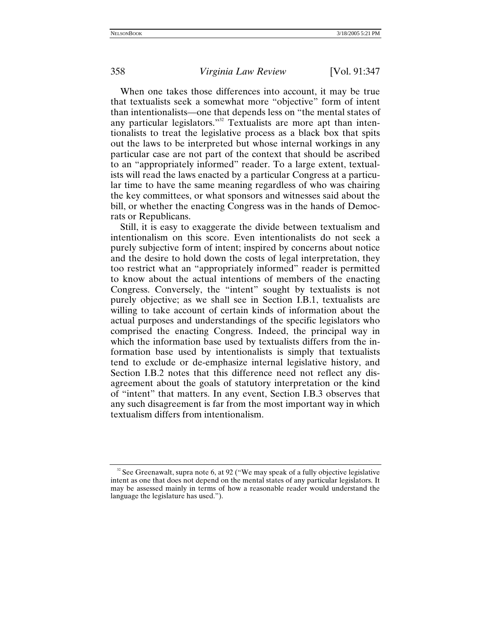When one takes those differences into account, it may be true that textualists seek a somewhat more "objective" form of intent than intentionalists—one that depends less on "the mental states of any particular legislators."<sup>32</sup> Textualists are more apt than intentionalists to treat the legislative process as a black box that spits out the laws to be interpreted but whose internal workings in any particular case are not part of the context that should be ascribed to an "appropriately informed" reader. To a large extent, textualists will read the laws enacted by a particular Congress at a particular time to have the same meaning regardless of who was chairing the key committees, or what sponsors and witnesses said about the bill, or whether the enacting Congress was in the hands of Democrats or Republicans.

Still, it is easy to exaggerate the divide between textualism and intentionalism on this score. Even intentionalists do not seek a purely subjective form of intent; inspired by concerns about notice and the desire to hold down the costs of legal interpretation, they too restrict what an "appropriately informed" reader is permitted to know about the actual intentions of members of the enacting Congress. Conversely, the "intent" sought by textualists is not purely objective; as we shall see in Section I.B.1, textualists are willing to take account of certain kinds of information about the actual purposes and understandings of the specific legislators who comprised the enacting Congress. Indeed, the principal way in which the information base used by textualists differs from the information base used by intentionalists is simply that textualists tend to exclude or de-emphasize internal legislative history, and Section I.B.2 notes that this difference need not reflect any disagreement about the goals of statutory interpretation or the kind of "intent" that matters. In any event, Section I.B.3 observes that any such disagreement is far from the most important way in which textualism differs from intentionalism.

<span id="page-11-0"></span> $32$  See Greenawalt, supra note 6, at 92 ("We may speak of a fully objective legislative intent as one that does not depend on the mental states of any particular legislators. It may be assessed mainly in terms of how a reasonable reader would understand the language the legislature has used.").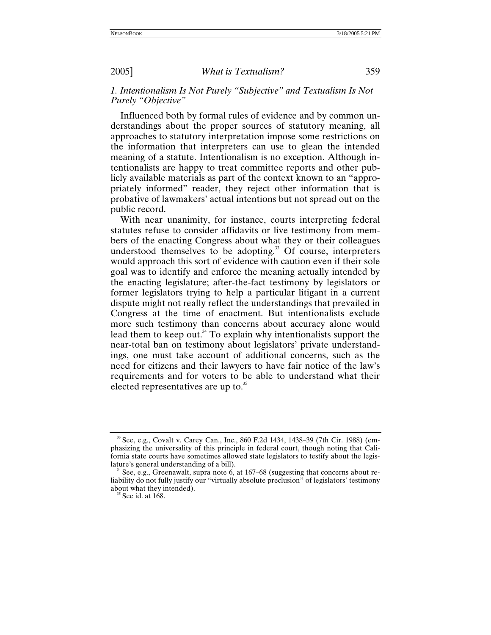## *1. Intentionalism Is Not Purely "Subjective" and Textualism Is Not Purely "Objective"*

Influenced both by formal rules of evidence and by common understandings about the proper sources of statutory meaning, all approaches to statutory interpretation impose some restrictions on the information that interpreters can use to glean the intended meaning of a statute. Intentionalism is no exception. Although intentionalists are happy to treat committee reports and other publicly available materials as part of the context known to an "appropriately informed" reader, they reject other information that is probative of lawmakers' actual intentions but not spread out on the public record.

With near unanimity, for instance, courts interpreting federal statutes refuse to consider affidavits or live testimony from members of the enacting Congress about what they or their colleagues understood themselves to be adopting. $33$  Of course, interpreters would approach this sort of evidence with caution even if their sole goal was to identify and enforce the meaning actually intended by the enacting legislature; after-the-fact testimony by legislators or former legislators trying to help a particular litigant in a current dispute might not really reflect the understandings that prevailed in Congress at the time of enactment. But intentionalists exclude more such testimony than concerns about accuracy alone would lead them to keep out.<sup>34</sup> To explain why intentionalists support the near-total ban on testimony about legislators' private understandings, one must take account of additional concerns, such as the need for citizens and their lawyers to have fair notice of the law's requirements and for voters to be able to understand what their elected representatives are up to.<sup>35</sup>

<span id="page-12-0"></span><sup>33</sup> See, e.g., Covalt v. Carey Can., Inc., 860 F.2d 1434, 1438–39 (7th Cir. 1988) (emphasizing the universality of this principle in federal court, though noting that California state courts have sometimes allowed state legislators to testify about the legis-

<span id="page-12-1"></span><sup>&</sup>lt;sup>4</sup> See, e.g., Greenawalt, supra note 6, at 167–68 (suggesting that concerns about reliability do not fully justify our "virtually absolute preclusion" of legislators' testimony about what they intended). 35 See id. at 168.

<span id="page-12-2"></span>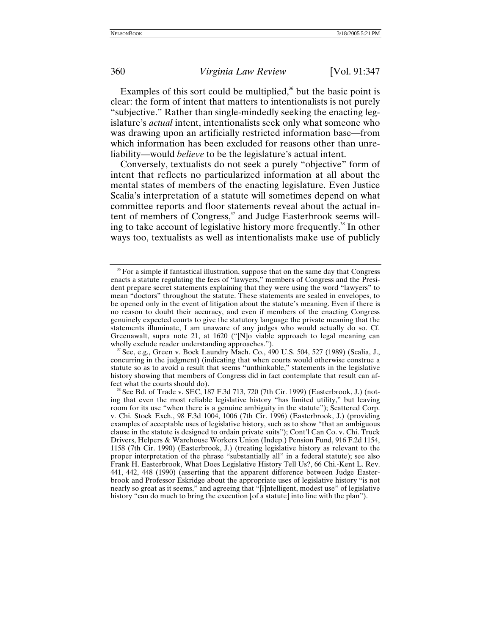Examples of this sort could be multiplied, $36$  but the basic point is clear: the form of intent that matters to intentionalists is not purely "subjective." Rather than single-mindedly seeking the enacting legislature's *actual* intent, intentionalists seek only what someone who was drawing upon an artificially restricted information base—from which information has been excluded for reasons other than unreliability—would *believe* to be the legislature's actual intent.

Conversely, textualists do not seek a purely "objective" form of intent that reflects no particularized information at all about the mental states of members of the enacting legislature. Even Justice Scalia's interpretation of a statute will sometimes depend on what committee reports and floor statements reveal about the actual intent of members of Congress,<sup>37</sup> and Judge Easterbrook seems willing to take account of legislative history more frequently.<sup>38</sup> In other ways too, textualists as well as intentionalists make use of publicly

<span id="page-13-0"></span><sup>&</sup>lt;sup>36</sup> For a simple if fantastical illustration, suppose that on the same day that Congress enacts a statute regulating the fees of "lawyers," members of Congress and the President prepare secret statements explaining that they were using the word "lawyers" to mean "doctors" throughout the statute. These statements are sealed in envelopes, to be opened only in the event of litigation about the statute's meaning. Even if there is no reason to doubt their accuracy, and even if members of the enacting Congress genuinely expected courts to give the statutory language the private meaning that the statements illuminate, I am unaware of any judges who would actually do so. Cf. Greenawalt, supra note 21, at 1620 ("[N]o viable approach to legal meaning can wholly exclude reader understanding approaches.").<br><sup>37</sup> See, e.g., Green v. Bock Laundry Mach. Co., 490 U.S. 504, 527 (1989) (Scalia, J.,

<span id="page-13-1"></span>concurring in the judgment) (indicating that when courts would otherwise construe a statute so as to avoid a result that seems "unthinkable," statements in the legislative history showing that members of Congress did in fact contemplate that result can affect what the courts should do). 38 See Bd. of Trade v. SEC, 187 F.3d 713, 720 (7th Cir. 1999) (Easterbrook, J.) (not-

<span id="page-13-2"></span>ing that even the most reliable legislative history "has limited utility," but leaving room for its use "when there is a genuine ambiguity in the statute"); Scattered Corp. v. Chi. Stock Exch., 98 F.3d 1004, 1006 (7th Cir. 1996) (Easterbrook, J.) (providing examples of acceptable uses of legislative history, such as to show "that an ambiguous clause in the statute is designed to ordain private suits"); Cont'l Can Co. v. Chi. Truck Drivers, Helpers & Warehouse Workers Union (Indep.) Pension Fund, 916 F.2d 1154, 1158 (7th Cir. 1990) (Easterbrook, J.) (treating legislative history as relevant to the proper interpretation of the phrase "substantially all" in a federal statute); see also Frank H. Easterbrook, What Does Legislative History Tell Us?, 66 Chi.-Kent L. Rev. 441, 442, 448 (1990) (asserting that the apparent difference between Judge Easterbrook and Professor Eskridge about the appropriate uses of legislative history "is not nearly so great as it seems," and agreeing that "[i]ntelligent, modest use" of legislative history "can do much to bring the execution [of a statute] into line with the plan").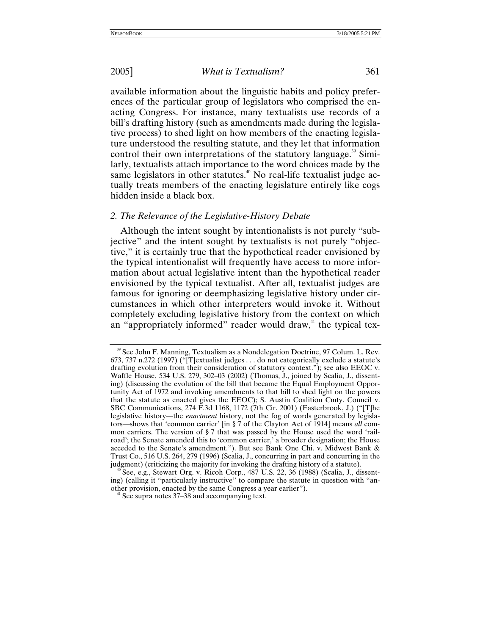available information about the linguistic habits and policy preferences of the particular group of legislators who comprised the enacting Congress. For instance, many textualists use records of a bill's drafting history (such as amendments made during the legislative process) to shed light on how members of the enacting legislature understood the resulting statute, and they let that information control their own interpretations of the statutory language. $39$  Similarly, textualists attach importance to the word choices made by the same legislators in other statutes.<sup>40</sup> No real-life textualist judge actually treats members of the enacting legislature entirely like cogs hidden inside a black box.

## *2. The Relevance of the Legislative-History Debate*

Although the intent sought by intentionalists is not purely "subjective" and the intent sought by textualists is not purely "objective," it is certainly true that the hypothetical reader envisioned by the typical intentionalist will frequently have access to more information about actual legislative intent than the hypothetical reader envisioned by the typical textualist. After all, textualist judges are famous for ignoring or deemphasizing legislative history under circumstances in which other interpreters would invoke it. Without completely excluding legislative history from the context on which an "appropriately informed" reader would draw, $4$ <sup>1</sup> the typical tex-

<span id="page-14-0"></span><sup>&</sup>lt;sup>39</sup> See John F. Manning, Textualism as a Nondelegation Doctrine, 97 Colum. L. Rev. 673, 737 n.272 (1997) ("[T]extualist judges . . . do not categorically exclude a statute's drafting evolution from their consideration of statutory context."); see also EEOC v. Waffle House, 534 U.S. 279, 302–03 (2002) (Thomas, J., joined by Scalia, J., dissenting) (discussing the evolution of the bill that became the Equal Employment Opportunity Act of 1972 and invoking amendments to that bill to shed light on the powers that the statute as enacted gives the EEOC); S. Austin Coalition Cmty. Council v. SBC Communications, 274 F.3d 1168, 1172 (7th Cir. 2001) (Easterbrook, J.) ("[T]he legislative history—the *enactment* history, not the fog of words generated by legislators—shows that 'common carrier' [in § 7 of the Clayton Act of 1914] means *all* common carriers. The version of § 7 that was passed by the House used the word 'railroad'; the Senate amended this to 'common carrier,' a broader designation; the House acceded to the Senate's amendment."). But see Bank One Chi. v. Midwest Bank & Trust Co., 516 U.S. 264, 279 (1996) (Scalia, J., concurring in part and concurring in the

<span id="page-14-1"></span>See, e.g., Stewart Org. v. Ricoh Corp., 487 U.S. 22, 36 (1988) (Scalia, J., dissenting) (calling it "particularly instructive" to compare the statute in question with "another provision, enacted by the same Congress a year earlier"). 41 See supra notes 37–38 and accompanying text.

<span id="page-14-2"></span>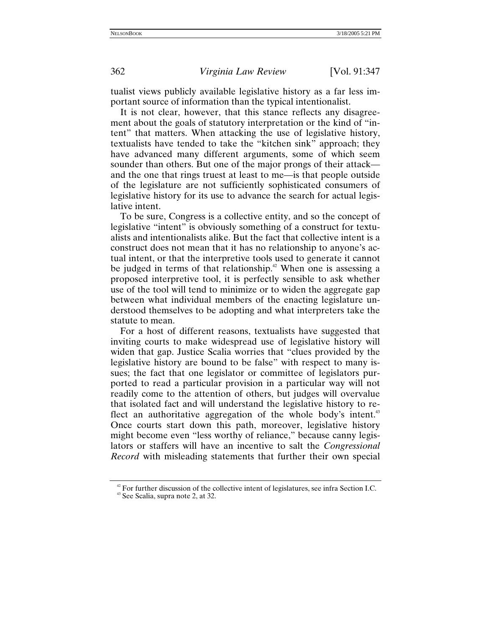tualist views publicly available legislative history as a far less important source of information than the typical intentionalist.

It is not clear, however, that this stance reflects any disagreement about the goals of statutory interpretation or the kind of "intent" that matters. When attacking the use of legislative history, textualists have tended to take the "kitchen sink" approach; they have advanced many different arguments, some of which seem sounder than others. But one of the major prongs of their attack and the one that rings truest at least to me—is that people outside of the legislature are not sufficiently sophisticated consumers of legislative history for its use to advance the search for actual legislative intent.

To be sure, Congress is a collective entity, and so the concept of legislative "intent" is obviously something of a construct for textualists and intentionalists alike. But the fact that collective intent is a construct does not mean that it has no relationship to anyone's actual intent, or that the interpretive tools used to generate it cannot be judged in terms of that relationship.<sup> $42$ </sup> When one is assessing a proposed interpretive tool, it is perfectly sensible to ask whether use of the tool will tend to minimize or to widen the aggregate gap between what individual members of the enacting legislature understood themselves to be adopting and what interpreters take the statute to mean.

For a host of different reasons, textualists have suggested that inviting courts to make widespread use of legislative history will widen that gap. Justice Scalia worries that "clues provided by the legislative history are bound to be false" with respect to many issues; the fact that one legislator or committee of legislators purported to read a particular provision in a particular way will not readily come to the attention of others, but judges will overvalue that isolated fact and will understand the legislative history to re-flect an authoritative aggregation of the whole body's intent.<sup>[43](#page-15-1)</sup> Once courts start down this path, moreover, legislative history might become even "less worthy of reliance," because canny legislators or staffers will have an incentive to salt the *Congressional Record* with misleading statements that further their own special

<span id="page-15-0"></span><sup>&</sup>lt;sup>42</sup> For further discussion of the collective intent of legislatures, see infra Section I.C.  $43$  See Scalia, supra note 2, at 32.

<span id="page-15-1"></span>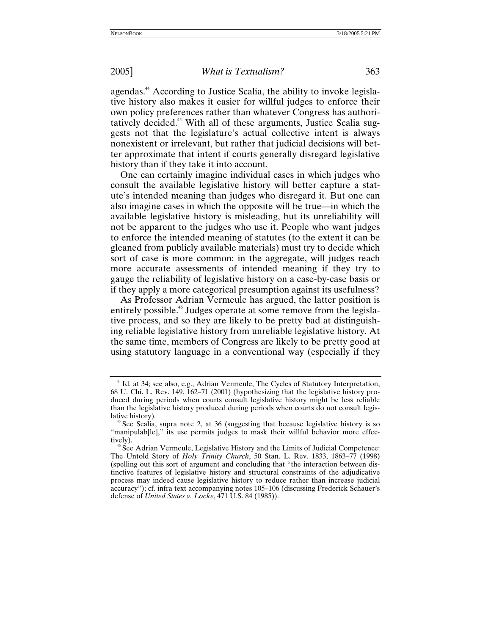agendas.<sup>44</sup> According to Justice Scalia, the ability to invoke legislative history also makes it easier for willful judges to enforce their own policy preferences rather than whatever Congress has authoritatively decided.<sup>45</sup> With all of these arguments, Justice Scalia suggests not that the legislature's actual collective intent is always nonexistent or irrelevant, but rather that judicial decisions will better approximate that intent if courts generally disregard legislative history than if they take it into account.

One can certainly imagine individual cases in which judges who consult the available legislative history will better capture a statute's intended meaning than judges who disregard it. But one can also imagine cases in which the opposite will be true—in which the available legislative history is misleading, but its unreliability will not be apparent to the judges who use it. People who want judges to enforce the intended meaning of statutes (to the extent it can be gleaned from publicly available materials) must try to decide which sort of case is more common: in the aggregate, will judges reach more accurate assessments of intended meaning if they try to gauge the reliability of legislative history on a case-by-case basis or if they apply a more categorical presumption against its usefulness?

As Professor Adrian Vermeule has argued, the latter position is entirely possible.<sup>46</sup> Judges operate at some remove from the legislative process, and so they are likely to be pretty bad at distinguishing reliable legislative history from unreliable legislative history. At the same time, members of Congress are likely to be pretty good at using statutory language in a conventional way (especially if they

<span id="page-16-0"></span><sup>&</sup>lt;sup>44</sup> Id. at 34; see also, e.g., Adrian Vermeule, The Cycles of Statutory Interpretation, 68 U. Chi. L. Rev. 149, 162–71 (2001) (hypothesizing that the legislative history produced during periods when courts consult legislative history might be less reliable than the legislative history produced during periods when courts do not consult legislative history).<br><sup>45</sup> See Scalia, supra note 2, at 36 (suggesting that because legislative history is so

<span id="page-16-1"></span><sup>&</sup>quot;manipulab[le]," its use permits judges to mask their willful behavior more effectively).<br><sup>46</sup> See Adrian Vermeule, Legislative History and the Limits of Judicial Competence:

<span id="page-16-2"></span>The Untold Story of *Holy Trinity Church*, 50 Stan. L. Rev. 1833, 1863–77 (1998) (spelling out this sort of argument and concluding that "the interaction between distinctive features of legislative history and structural constraints of the adjudicative process may indeed cause legislative history to reduce rather than increase judicial accuracy"); cf. infra text accompanying notes 105–106 (discussing Frederick Schauer's defense of *United States v. Locke*, 471 U.S. 84 (1985)).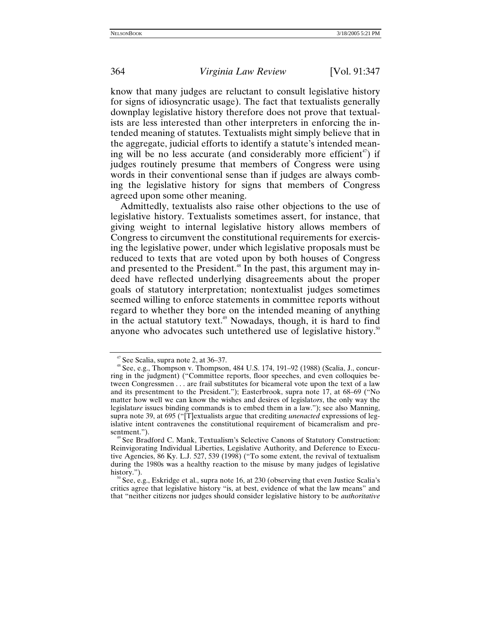know that many judges are reluctant to consult legislative history for signs of idiosyncratic usage). The fact that textualists generally downplay legislative history therefore does not prove that textualists are less interested than other interpreters in enforcing the intended meaning of statutes. Textualists might simply believe that in the aggregate, judicial efforts to identify a statute's intended meaning will be no less accurate (and considerably more efficient<sup>47</sup>) if judges routinely presume that members of Congress were using words in their conventional sense than if judges are always combing the legislative history for signs that members of Congress agreed upon some other meaning.

Admittedly, textualists also raise other objections to the use of legislative history. Textualists sometimes assert, for instance, that giving weight to internal legislative history allows members of Congress to circumvent the constitutional requirements for exercising the legislative power, under which legislative proposals must be reduced to texts that are voted upon by both houses of Congress and presented to the President.<sup>48</sup> In the past, this argument may indeed have reflected underlying disagreements about the proper goals of statutory interpretation; nontextualist judges sometimes seemed willing to enforce statements in committee reports without regard to whether they bore on the intended meaning of anything in the actual statutory text.<sup>49</sup> Nowadays, though, it is hard to find anyone who advocates such untethered use of legislative history.<sup>[50](#page-17-3)</sup>

<span id="page-17-1"></span>

<span id="page-17-0"></span><sup>&</sup>lt;sup>47</sup> See Scalia, supra note 2, at 36–37.<br><sup>48</sup> See, e.g., Thompson v. Thompson, 484 U.S. 174, 191–92 (1988) (Scalia, J., concurring in the judgment) ("Committee reports, floor speeches, and even colloquies between Congressmen . . . are frail substitutes for bicameral vote upon the text of a law and its presentment to the President."); Easterbrook, supra note 17, at 68–69 ("No matter how well we can know the wishes and desires of legislat*ors*, the only way the legislat*ure* issues binding commands is to embed them in a law."); see also Manning, supra note 39, at 695 ("[T]extualists argue that crediting *unenacted* expressions of legislative intent contravenes the constitutional requirement of bicameralism and presentment.").<br><sup>49</sup> See Bradford C. Mank, Textualism's Selective Canons of Statutory Construction:

<span id="page-17-2"></span>Reinvigorating Individual Liberties, Legislative Authority, and Deference to Executive Agencies, 86 Ky. L.J. 527, 539 (1998) ("To some extent, the revival of textualism during the 1980s was a healthy reaction to the misuse by many judges of legislative history.").<br><sup>50</sup> See, e.g., Eskridge et al., supra note 16, at 230 (observing that even Justice Scalia's

<span id="page-17-3"></span>critics agree that legislative history "is, at best, evidence of what the law means" and that "neither citizens nor judges should consider legislative history to be *authoritative*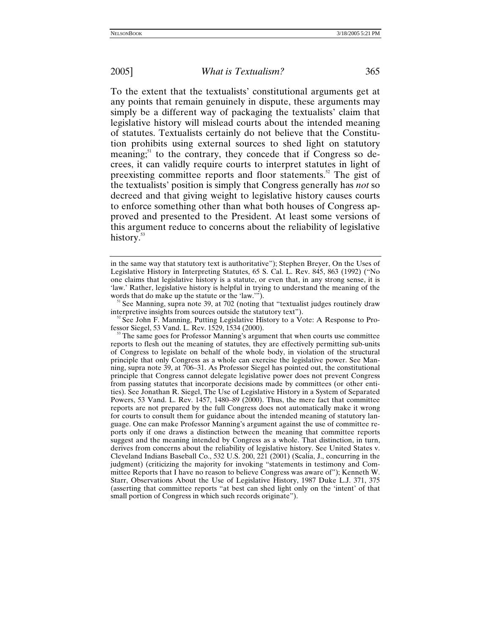To the extent that the textualists' constitutional arguments get at any points that remain genuinely in dispute, these arguments may simply be a different way of packaging the textualists' claim that legislative history will mislead courts about the intended meaning of statutes. Textualists certainly do not believe that the Constitution prohibits using external sources to shed light on statutory meaning; $51$  to the contrary, they concede that if Congress so decrees, it can validly require courts to interpret statutes in light of preexisting committee reports and floor statements[.52](#page-18-1) The gist of the textualists' position is simply that Congress generally has *not* so decreed and that giving weight to legislative history causes courts to enforce something other than what both houses of Congress approved and presented to the President. At least some versions of this argument reduce to concerns about the reliability of legislative history.<sup>53</sup>

<span id="page-18-0"></span>words that do make up the statute or the 'law.'").<br><sup>51</sup> See Manning, supra note 39, at 702 (noting that "textualist judges routinely draw<br>interpretive insights from sources outside the statutory text").

<span id="page-18-1"></span> $\degree$  See John F. Manning, Putting Legislative History to a Vote: A Response to Pro-

<span id="page-18-2"></span>fessor Siegel, 53 Vand. L. Rev. 1529, 1534 (2000).<br><sup>53</sup> The same goes for Professor Manning's argument that when courts use committee reports to flesh out the meaning of statutes, they are effectively permitting sub-units of Congress to legislate on behalf of the whole body, in violation of the structural principle that only Congress as a whole can exercise the legislative power. See Manning, supra note 39, at 706–31. As Professor Siegel has pointed out, the constitutional principle that Congress cannot delegate legislative power does not prevent Congress from passing statutes that incorporate decisions made by committees (or other entities). See Jonathan R. Siegel, The Use of Legislative History in a System of Separated Powers, 53 Vand. L. Rev. 1457, 1480–89 (2000). Thus, the mere fact that committee reports are not prepared by the full Congress does not automatically make it wrong for courts to consult them for guidance about the intended meaning of statutory language. One can make Professor Manning's argument against the use of committee reports only if one draws a distinction between the meaning that committee reports suggest and the meaning intended by Congress as a whole. That distinction, in turn, derives from concerns about the reliability of legislative history. See United States v. Cleveland Indians Baseball Co., 532 U.S. 200, 221 (2001) (Scalia, J., concurring in the judgment) (criticizing the majority for invoking "statements in testimony and Committee Reports that I have no reason to believe Congress was aware of"); Kenneth W. Starr, Observations About the Use of Legislative History, 1987 Duke L.J. 371, 375 (asserting that committee reports "at best can shed light only on the 'intent' of that small portion of Congress in which such records originate").

in the same way that statutory text is authoritative"); Stephen Breyer, On the Uses of Legislative History in Interpreting Statutes, 65 S. Cal. L. Rev. 845, 863 (1992) ("No one claims that legislative history is a statute, or even that, in any strong sense, it is 'law.' Rather, legislative history is helpful in trying to understand the meaning of the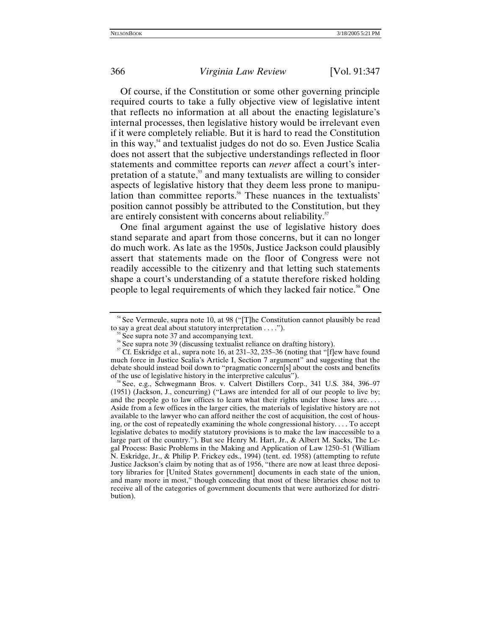Of course, if the Constitution or some other governing principle required courts to take a fully objective view of legislative intent that reflects no information at all about the enacting legislature's internal processes, then legislative history would be irrelevant even if it were completely reliable. But it is hard to read the Constitution in this way, $54$  and textualist judges do not do so. Even Justice Scalia does not assert that the subjective understandings reflected in floor statements and committee reports can *never* affect a court's interpretation of a statute, $55$  and many textualists are willing to consider aspects of legislative history that they deem less prone to manipulation than committee reports.<sup>56</sup> These nuances in the textualists' position cannot possibly be attributed to the Constitution, but they are entirely consistent with concerns about reliability.<sup>[57](#page-19-3)</sup>

One final argument against the use of legislative history does stand separate and apart from those concerns, but it can no longer do much work. As late as the 1950s, Justice Jackson could plausibly assert that statements made on the floor of Congress were not readily accessible to the citizenry and that letting such statements shape a court's understanding of a statute therefore risked holding people to legal requirements of which they lacked fair notice.<sup>58</sup> One

<span id="page-19-0"></span><sup>&</sup>lt;sup>54</sup> See Vermeule, supra note 10, at 98 ("[T]he Constitution cannot plausibly be read to say a great deal about statutory interpretation ....").<br><sup>55</sup> See supra note 37 and accompanying text.<br><sup>56</sup> See supra note 39 (discussing textualist reliance on drafting history).<br><sup>57</sup> Cf. Eskridge et al., supra note 16

<span id="page-19-1"></span>

<span id="page-19-2"></span>

<span id="page-19-3"></span>much force in Justice Scalia's Article I, Section 7 argument" and suggesting that the debate should instead boil down to "pragmatic concern[s] about the costs and benefits of the use of legislative history in the interpretive calculus").<br><sup>58</sup> See, e.g., Schwegmann Bros. v. Calvert Distillers Corp., 341 U.S. 384, 396–97

<span id="page-19-4"></span><sup>(1951) (</sup>Jackson, J., concurring) ("Laws are intended for all of our people to live by; and the people go to law offices to learn what their rights under those laws are. . . . Aside from a few offices in the larger cities, the materials of legislative history are not available to the lawyer who can afford neither the cost of acquisition, the cost of housing, or the cost of repeatedly examining the whole congressional history. . . . To accept legislative debates to modify statutory provisions is to make the law inaccessible to a large part of the country."). But see Henry M. Hart, Jr., & Albert M. Sacks, The Legal Process: Basic Problems in the Making and Application of Law 1250–51 (William N. Eskridge, Jr., & Philip P. Frickey eds., 1994) (tent. ed. 1958) (attempting to refute Justice Jackson's claim by noting that as of 1956, "there are now at least three depository libraries for [United States government] documents in each state of the union, and many more in most," though conceding that most of these libraries chose not to receive all of the categories of government documents that were authorized for distribution).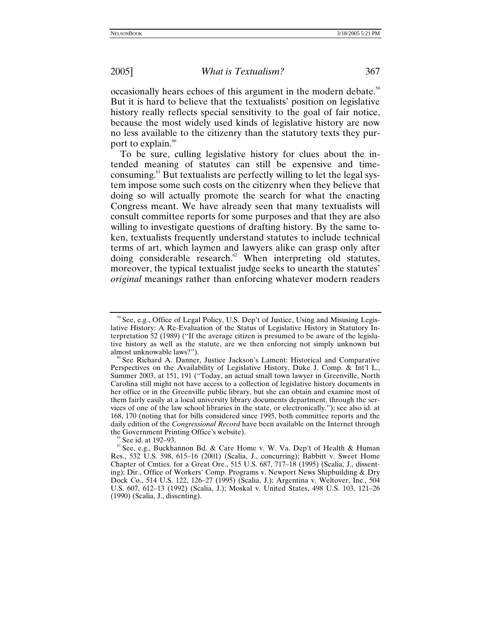occasionally hears echoes of this argument in the modern debate.<sup>[59](#page-20-0)</sup> But it is hard to believe that the textualists' position on legislative history really reflects special sensitivity to the goal of fair notice, because the most widely used kinds of legislative history are now no less available to the citizenry than the statutory texts they purport to explain. $60$ 

To be sure, culling legislative history for clues about the intended meaning of statutes can still be expensive and timeconsuming.[61](#page-20-2) But textualists are perfectly willing to let the legal system impose some such costs on the citizenry when they believe that doing so will actually promote the search for what the enacting Congress meant. We have already seen that many textualists will consult committee reports for some purposes and that they are also willing to investigate questions of drafting history. By the same token, textualists frequently understand statutes to include technical terms of art, which laymen and lawyers alike can grasp only after doing considerable research.<sup>62</sup> When interpreting old statutes, moreover, the typical textualist judge seeks to unearth the statutes' *original* meanings rather than enforcing whatever modern readers

<span id="page-20-0"></span> $59$  See, e.g., Office of Legal Policy, U.S. Dep't of Justice, Using and Misusing Legislative History: A Re-Evaluation of the Status of Legislative History in Statutory Interpretation 52 (1989) ("If the average citizen is presumed to be aware of the legislative history as well as the statute, are we then enforcing not simply unknown but almost unknowable laws?").

<span id="page-20-1"></span>See Richard A. Danner, Justice Jackson's Lament: Historical and Comparative Perspectives on the Availability of Legislative History, Duke J. Comp. & Int'l L., Summer 2003, at 151, 191 ("Today, an actual small town lawyer in Greenville, North Carolina still might not have access to a collection of legislative history documents in her office or in the Greenville public library, but she can obtain and examine most of them fairly easily at a local university library documents department, through the services of one of the law school libraries in the state, or electronically."); see also id. at 168, 170 (noting that for bills considered since 1995, both committee reports and the daily edition of the *Congressional Record* have been available on the Internet through the Government Printing Office's website).

<span id="page-20-3"></span><span id="page-20-2"></span><sup>&</sup>lt;sup>61</sup> See id. at 192–93. **61 See, e.g., Buckhannon Bd. & Care Home v. W. Va. Dep't of Health & Human** Res., 532 U.S. 598, 615–16 (2001) (Scalia, J., concurring); Babbitt v. Sweet Home Chapter of Cmties. for a Great Ore., 515 U.S. 687, 717–18 (1995) (Scalia, J., dissenting); Dir., Office of Workers' Comp. Programs v. Newport News Shipbuilding & Dry Dock Co., 514 U.S. 122, 126–27 (1995) (Scalia, J.); Argentina v. Weltover, Inc., 504 U.S. 607, 612–13 (1992) (Scalia, J.); Moskal v. United States, 498 U.S. 103, 121–26 (1990) (Scalia, J., dissenting).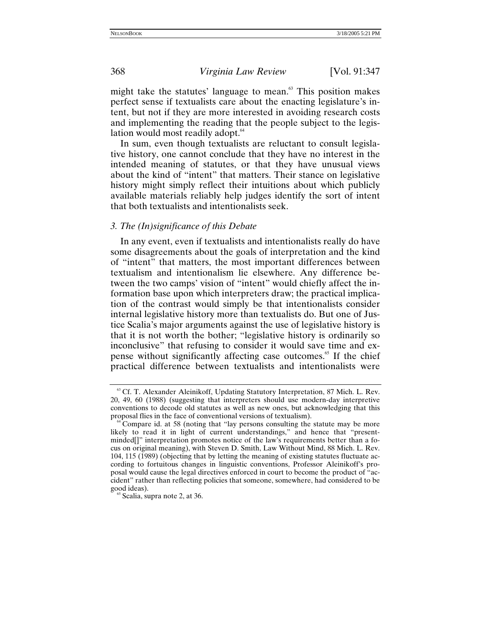might take the statutes' language to mean. $63$  This position makes perfect sense if textualists care about the enacting legislature's intent, but not if they are more interested in avoiding research costs and implementing the reading that the people subject to the legislation would most readily adopt.<sup>64</sup>

In sum, even though textualists are reluctant to consult legislative history, one cannot conclude that they have no interest in the intended meaning of statutes, or that they have unusual views about the kind of "intent" that matters. Their stance on legislative history might simply reflect their intuitions about which publicly available materials reliably help judges identify the sort of intent that both textualists and intentionalists seek.

#### *3. The (In)significance of this Debate*

In any event, even if textualists and intentionalists really do have some disagreements about the goals of interpretation and the kind of "intent" that matters, the most important differences between textualism and intentionalism lie elsewhere. Any difference between the two camps' vision of "intent" would chiefly affect the information base upon which interpreters draw; the practical implication of the contrast would simply be that intentionalists consider internal legislative history more than textualists do. But one of Justice Scalia's major arguments against the use of legislative history is that it is not worth the bother; "legislative history is ordinarily so inconclusive" that refusing to consider it would save time and expense without significantly affecting case outcomes.<sup>65</sup> If the chief practical difference between textualists and intentionalists were

<span id="page-21-0"></span><sup>&</sup>lt;sup>63</sup> Cf. T. Alexander Aleinikoff, Updating Statutory Interpretation, 87 Mich. L. Rev. 20, 49, 60 (1988) (suggesting that interpreters should use modern-day interpretive conventions to decode old statutes as well as new ones, but acknowledging that this proposal flies in the face of conventional versions of textualism).

<span id="page-21-1"></span> $\rm^4$ Compare id. at 58 (noting that "lay persons consulting the statute may be more likely to read it in light of current understandings," and hence that "presentminded[]" interpretation promotes notice of the law's requirements better than a focus on original meaning), with Steven D. Smith, Law Without Mind, 88 Mich. L. Rev. 104, 115 (1989) (objecting that by letting the meaning of existing statutes fluctuate according to fortuitous changes in linguistic conventions, Professor Aleinikoff's proposal would cause the legal directives enforced in court to become the product of "accident" rather than reflecting policies that someone, somewhere, had considered to be good ideas).<br><sup>65</sup> Scalia, supra note 2, at 36.

<span id="page-21-2"></span>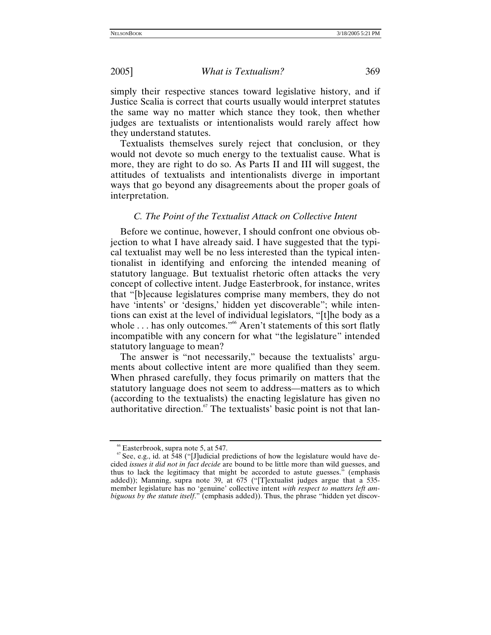simply their respective stances toward legislative history, and if Justice Scalia is correct that courts usually would interpret statutes the same way no matter which stance they took, then whether judges are textualists or intentionalists would rarely affect how they understand statutes.

Textualists themselves surely reject that conclusion, or they would not devote so much energy to the textualist cause. What is more, they are right to do so. As Parts II and III will suggest, the attitudes of textualists and intentionalists diverge in important ways that go beyond any disagreements about the proper goals of interpretation.

# *C. The Point of the Textualist Attack on Collective Intent*

Before we continue, however, I should confront one obvious objection to what I have already said. I have suggested that the typical textualist may well be no less interested than the typical intentionalist in identifying and enforcing the intended meaning of statutory language. But textualist rhetoric often attacks the very concept of collective intent. Judge Easterbrook, for instance, writes that "[b]ecause legislatures comprise many members, they do not have 'intents' or 'designs,' hidden yet discoverable"; while intentions can exist at the level of individual legislators, "[t]he body as a whole ... has only outcomes."<sup>66</sup> Aren't statements of this sort flatly incompatible with any concern for what "the legislature" intended statutory language to mean?

The answer is "not necessarily," because the textualists' arguments about collective intent are more qualified than they seem. When phrased carefully, they focus primarily on matters that the statutory language does not seem to address—matters as to which (according to the textualists) the enacting legislature has given no authoritative direction.<sup>67</sup> The textualists' basic point is not that lan-

<span id="page-22-1"></span><span id="page-22-0"></span><sup>&</sup>lt;sup>66</sup> Easterbrook, supra note 5, at 547.<br><sup>67</sup> See, e.g., id. at 548 ("[J]udicial predictions of how the legislature would have decided *issues it did not in fact decide* are bound to be little more than wild guesses, and thus to lack the legitimacy that might be accorded to astute guesses." (emphasis added)); Manning, supra note 39, at 675 ("[T]extualist judges argue that a 535 member legislature has no 'genuine' collective intent *with respect to matters left ambiguous by the statute itself*." (emphasis added)). Thus, the phrase "hidden yet discov-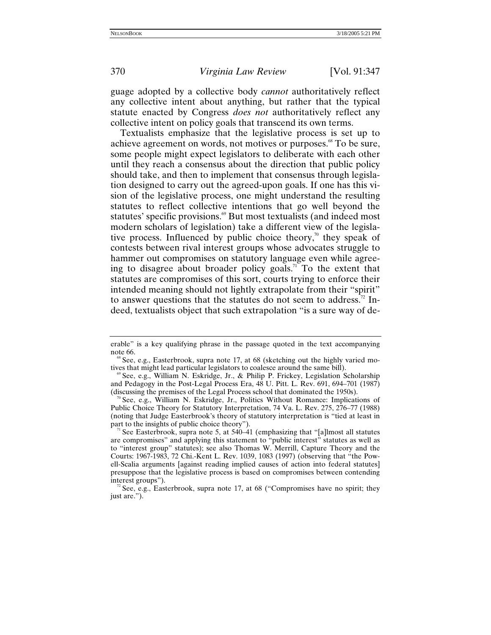guage adopted by a collective body *cannot* authoritatively reflect any collective intent about anything, but rather that the typical statute enacted by Congress *does not* authoritatively reflect any collective intent on policy goals that transcend its own terms.

Textualists emphasize that the legislative process is set up to achieve agreement on words, not motives or purposes.<sup>68</sup> To be sure, some people might expect legislators to deliberate with each other until they reach a consensus about the direction that public policy should take, and then to implement that consensus through legislation designed to carry out the agreed-upon goals. If one has this vision of the legislative process, one might understand the resulting statutes to reflect collective intentions that go well beyond the statutes' specific provisions.<sup>69</sup> But most textualists (and indeed most modern scholars of legislation) take a different view of the legislative process. Influenced by public choice theory,<sup>70</sup> they speak of contests between rival interest groups whose advocates struggle to hammer out compromises on statutory language even while agreeing to disagree about broader policy goals.<sup>71</sup> To the extent that statutes are compromises of this sort, courts trying to enforce their intended meaning should not lightly extrapolate from their "spirit" to answer questions that the statutes do not seem to address.<sup>72</sup> Indeed, textualists object that such extrapolation "is a sure way of de-

erable" is a key qualifying phrase in the passage quoted in the text accompanying

<span id="page-23-0"></span>See, e.g., Easterbrook, supra note 17, at 68 (sketching out the highly varied motives that might lead particular legislators to coalesce around the same bill).<br><sup>69</sup> See, e.g., William N. Eskridge, Jr., & Philip P. Frickey, Legislation Scholarship

<span id="page-23-1"></span>and Pedagogy in the Post-Legal Process Era,  $48$  U. Pitt. L. Rev. 691, 694–701 (1987) (discussing the premises of the Legal Process school that dominated the 1950s).

<span id="page-23-2"></span>See, e.g., William N. Eskridge, Jr., Politics Without Romance: Implications of Public Choice Theory for Statutory Interpretation, 74 Va. L. Rev. 275, 276–77 (1988) (noting that Judge Easterbrook's theory of statutory interpretation is "tied at least in part to the insights of public choice theory").

<span id="page-23-3"></span><sup>&</sup>lt;sup>1</sup> See Easterbrook, supra note 5, at 540–41 (emphasizing that "[a]lmost all statutes are compromises" and applying this statement to "public interest" statutes as well as to "interest group" statutes); see also Thomas W. Merrill, Capture Theory and the Courts: 1967-1983, 72 Chi.-Kent L. Rev. 1039, 1083 (1997) (observing that "the Powell-Scalia arguments [against reading implied causes of action into federal statutes] presuppose that the legislative process is based on compromises between contending interest groups").<br><sup>72</sup> See, e.g., Easterbrook, supra note 17, at 68 ("Compromises have no spirit; they

<span id="page-23-4"></span>just are.").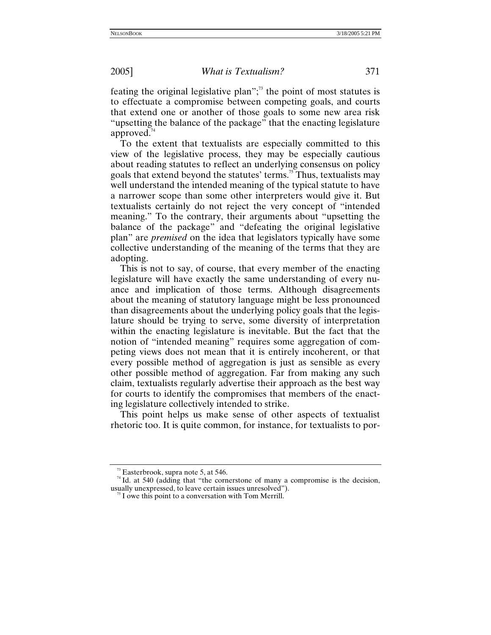feating the original legislative plan"; $\frac{7}{3}$  the point of most statutes is to effectuate a compromise between competing goals, and courts that extend one or another of those goals to some new area risk "upsetting the balance of the package" that the enacting legislature approved. $44$ 

To the extent that textualists are especially committed to this view of the legislative process, they may be especially cautious about reading statutes to reflect an underlying consensus on policy goals that extend beyond the statutes' terms.<sup>75</sup> Thus, textualists may well understand the intended meaning of the typical statute to have a narrower scope than some other interpreters would give it. But textualists certainly do not reject the very concept of "intended meaning." To the contrary, their arguments about "upsetting the balance of the package" and "defeating the original legislative plan" are *premised* on the idea that legislators typically have some collective understanding of the meaning of the terms that they are adopting.

This is not to say, of course, that every member of the enacting legislature will have exactly the same understanding of every nuance and implication of those terms. Although disagreements about the meaning of statutory language might be less pronounced than disagreements about the underlying policy goals that the legislature should be trying to serve, some diversity of interpretation within the enacting legislature is inevitable. But the fact that the notion of "intended meaning" requires some aggregation of competing views does not mean that it is entirely incoherent, or that every possible method of aggregation is just as sensible as every other possible method of aggregation. Far from making any such claim, textualists regularly advertise their approach as the best way for courts to identify the compromises that members of the enacting legislature collectively intended to strike.

This point helps us make sense of other aspects of textualist rhetoric too. It is quite common, for instance, for textualists to por-

<span id="page-24-1"></span><span id="page-24-0"></span><sup>&</sup>lt;sup>73</sup> Easterbrook, supra note 5, at 546.  $\frac{74}{1}$  Id. at 540 (adding that "the cornerstone of many a compromise is the decision, usually unexpressed, to leave certain issues unresolved"). 75 I owe this point to a conversation with Tom Merrill.

<span id="page-24-2"></span>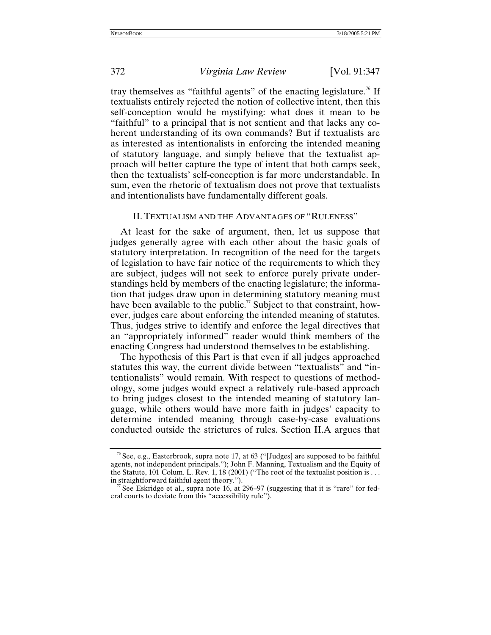tray themselves as "faithful agents" of the enacting legislature.<sup>76</sup> If textualists entirely rejected the notion of collective intent, then this self-conception would be mystifying: what does it mean to be "faithful" to a principal that is not sentient and that lacks any coherent understanding of its own commands? But if textualists are as interested as intentionalists in enforcing the intended meaning of statutory language, and simply believe that the textualist approach will better capture the type of intent that both camps seek, then the textualists' self-conception is far more understandable. In sum, even the rhetoric of textualism does not prove that textualists and intentionalists have fundamentally different goals.

## II. TEXTUALISM AND THE ADVANTAGES OF "RULENESS"

At least for the sake of argument, then, let us suppose that judges generally agree with each other about the basic goals of statutory interpretation. In recognition of the need for the targets of legislation to have fair notice of the requirements to which they are subject, judges will not seek to enforce purely private understandings held by members of the enacting legislature; the information that judges draw upon in determining statutory meaning must have been available to the public.<sup>77</sup> Subject to that constraint, however, judges care about enforcing the intended meaning of statutes. Thus, judges strive to identify and enforce the legal directives that an "appropriately informed" reader would think members of the enacting Congress had understood themselves to be establishing.

The hypothesis of this Part is that even if all judges approached statutes this way, the current divide between "textualists" and "intentionalists" would remain. With respect to questions of methodology, some judges would expect a relatively rule-based approach to bring judges closest to the intended meaning of statutory language, while others would have more faith in judges' capacity to determine intended meaning through case-by-case evaluations conducted outside the strictures of rules. Section II.A argues that

<span id="page-25-0"></span><sup>&</sup>lt;sup>76</sup> See, e.g., Easterbrook, supra note 17, at 63 ("[Judges] are supposed to be faithful agents, not independent principals."); John F. Manning, Textualism and the Equity of the Statute, 101 Colum. L. Rev. 1, 18 (2001) ("The root of the textualist position is . . . in straightforward faithful agent theory.").

<span id="page-25-1"></span>See Eskridge et al., supra note 16, at 296–97 (suggesting that it is "rare" for federal courts to deviate from this "accessibility rule").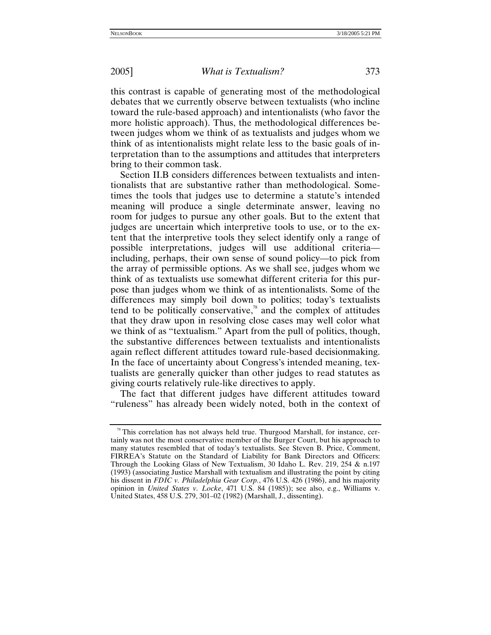this contrast is capable of generating most of the methodological debates that we currently observe between textualists (who incline toward the rule-based approach) and intentionalists (who favor the more holistic approach). Thus, the methodological differences between judges whom we think of as textualists and judges whom we think of as intentionalists might relate less to the basic goals of interpretation than to the assumptions and attitudes that interpreters bring to their common task.

Section II.B considers differences between textualists and intentionalists that are substantive rather than methodological. Sometimes the tools that judges use to determine a statute's intended meaning will produce a single determinate answer, leaving no room for judges to pursue any other goals. But to the extent that judges are uncertain which interpretive tools to use, or to the extent that the interpretive tools they select identify only a range of possible interpretations, judges will use additional criteria including, perhaps, their own sense of sound policy—to pick from the array of permissible options. As we shall see, judges whom we think of as textualists use somewhat different criteria for this purpose than judges whom we think of as intentionalists. Some of the differences may simply boil down to politics; today's textualists tend to be politically conservative, $\lambda$ <sup>8</sup> and the complex of attitudes that they draw upon in resolving close cases may well color what we think of as "textualism." Apart from the pull of politics, though, the substantive differences between textualists and intentionalists again reflect different attitudes toward rule-based decisionmaking. In the face of uncertainty about Congress's intended meaning, textualists are generally quicker than other judges to read statutes as giving courts relatively rule-like directives to apply.

The fact that different judges have different attitudes toward "ruleness" has already been widely noted, both in the context of

<span id="page-26-0"></span><sup>78</sup> This correlation has not always held true. Thurgood Marshall, for instance, certainly was not the most conservative member of the Burger Court, but his approach to many statutes resembled that of today's textualists. See Steven B. Price, Comment, FIRREA's Statute on the Standard of Liability for Bank Directors and Officers: Through the Looking Glass of New Textualism, 30 Idaho L. Rev. 219, 254 & n.197 (1993) (associating Justice Marshall with textualism and illustrating the point by citing his dissent in *FDIC v. Philadelphia Gear Corp.*, 476 U.S. 426 (1986), and his majority opinion in *United States v. Locke*, 471 U.S. 84 (1985)); see also, e.g., Williams v. United States, 458 U.S. 279, 301–02 (1982) (Marshall, J., dissenting).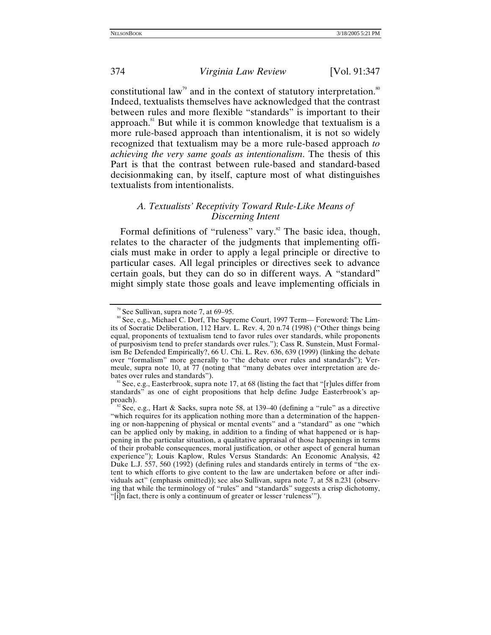constitutional law<sup>79</sup> and in the context of statutory interpretation.<sup>[80](#page-27-1)</sup> Indeed, textualists themselves have acknowledged that the contrast between rules and more flexible "standards" is important to their approach. $81$  But while it is common knowledge that textualism is a more rule-based approach than intentionalism, it is not so widely recognized that textualism may be a more rule-based approach *to achieving the very same goals as intentionalism*. The thesis of this Part is that the contrast between rule-based and standard-based decisionmaking can, by itself, capture most of what distinguishes textualists from intentionalists.

## *A. Textualists' Receptivity Toward Rule-Like Means of Discerning Intent*

Formal definitions of "ruleness" vary.<sup>82</sup> The basic idea, though, relates to the character of the judgments that implementing officials must make in order to apply a legal principle or directive to particular cases. All legal principles or directives seek to advance certain goals, but they can do so in different ways. A "standard" might simply state those goals and leave implementing officials in

<span id="page-27-1"></span><span id="page-27-0"></span><sup>&</sup>lt;sup>79</sup> See Sullivan, supra note 7, at 69–95.<br><sup>80</sup> See, e.g., Michael C. Dorf, The Supreme Court, 1997 Term— Foreword: The Limits of Socratic Deliberation, 112 Harv. L. Rev. 4, 20 n.74 (1998) ("Other things being equal, proponents of textualism tend to favor rules over standards, while proponents of purposivism tend to prefer standards over rules."); Cass R. Sunstein, Must Formalism Be Defended Empirically?, 66 U. Chi. L. Rev. 636, 639 (1999) (linking the debate over "formalism" more generally to "the debate over rules and standards"); Vermeule, supra note 10, at 77 (noting that "many debates over interpretation are debates over rules and standards").<br><sup>81</sup> See, e.g., Easterbrook, supra note 17, at 68 (listing the fact that "[r]ules differ from

<span id="page-27-2"></span>standards" as one of eight propositions that help define Judge Easterbrook's approach).<br><sup>82</sup> See, e.g., Hart & Sacks, supra note 58, at 139–40 (defining a "rule" as a directive

<span id="page-27-3"></span><sup>&</sup>quot;which requires for its application nothing more than a determination of the happening or non-happening of physical or mental events" and a "standard" as one "which can be applied only by making, in addition to a finding of what happened or is happening in the particular situation, a qualitative appraisal of those happenings in terms of their probable consequences, moral justification, or other aspect of general human experience"); Louis Kaplow, Rules Versus Standards: An Economic Analysis, 42 Duke L.J. 557, 560 (1992) (defining rules and standards entirely in terms of "the extent to which efforts to give content to the law are undertaken before or after individuals act" (emphasis omitted)); see also Sullivan, supra note 7, at 58 n.231 (observing that while the terminology of "rules" and "standards" suggests a crisp dichotomy, "[i]n fact, there is only a continuum of greater or lesser 'ruleness'").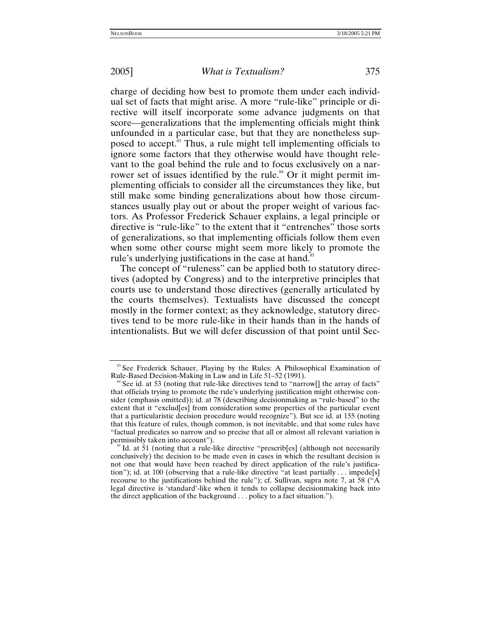charge of deciding how best to promote them under each individual set of facts that might arise. A more "rule-like" principle or directive will itself incorporate some advance judgments on that score—generalizations that the implementing officials might think unfounded in a particular case, but that they are nonetheless supposed to accept.<sup>33</sup> Thus, a rule might tell implementing officials to ignore some factors that they otherwise would have thought relevant to the goal behind the rule and to focus exclusively on a narrower set of issues identified by the rule.<sup>84</sup> Or it might permit implementing officials to consider all the circumstances they like, but still make some binding generalizations about how those circumstances usually play out or about the proper weight of various factors. As Professor Frederick Schauer explains, a legal principle or directive is "rule-like" to the extent that it "entrenches" those sorts of generalizations, so that implementing officials follow them even when some other course might seem more likely to promote the rule's underlying justifications in the case at hand.<sup>85</sup>

The concept of "ruleness" can be applied both to statutory directives (adopted by Congress) and to the interpretive principles that courts use to understand those directives (generally articulated by the courts themselves). Textualists have discussed the concept mostly in the former context; as they acknowledge, statutory directives tend to be more rule-like in their hands than in the hands of intentionalists. But we will defer discussion of that point until Sec-

<span id="page-28-0"></span><sup>&</sup>lt;sup>83</sup> See Frederick Schauer, Playing by the Rules: A Philosophical Examination of Rule-Based Decision-Making in Law and in Life  $51-52$  (1991).

<span id="page-28-1"></span> $84$  See id. at 53 (noting that rule-like directives tend to "narrow[] the array of facts" that officials trying to promote the rule's underlying justification might otherwise consider (emphasis omitted)); id. at 78 (describing decisionmaking as "rule-based" to the extent that it "exclud[es] from consideration some properties of the particular event that a particularistic decision procedure would recognize"). But see id. at 155 (noting that this feature of rules, though common, is not inevitable, and that some rules have "factual predicates so narrow and so precise that all or almost all relevant variation is

<span id="page-28-2"></span> $\frac{85}{10}$ . at 51 (noting that a rule-like directive "prescrib[es] (although not necessarily conclusively) the decision to be made even in cases in which the resultant decision is not one that would have been reached by direct application of the rule's justification"); id. at 100 (observing that a rule-like directive "at least partially . . . impede[s] recourse to the justifications behind the rule"); cf. Sullivan, supra note 7, at 58 ("A legal directive is 'standard'-like when it tends to collapse decisionmaking back into the direct application of the background . . . policy to a fact situation.").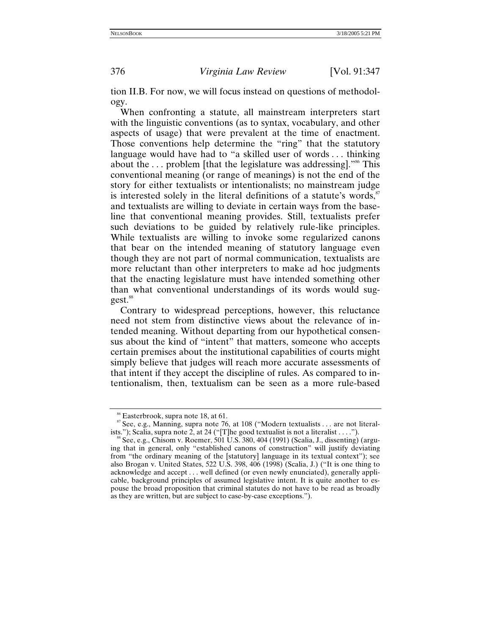tion II.B. For now, we will focus instead on questions of methodology.

When confronting a statute, all mainstream interpreters start with the linguistic conventions (as to syntax, vocabulary, and other aspects of usage) that were prevalent at the time of enactment. Those conventions help determine the "ring" that the statutory language would have had to "a skilled user of words . . . thinking about the  $\ldots$  problem [that the legislature was addressing].<sup>586</sup> This conventional meaning (or range of meanings) is not the end of the story for either textualists or intentionalists; no mainstream judge is interested solely in the literal definitions of a statute's words, $s<sup>87</sup>$  $s<sup>87</sup>$  $s<sup>87</sup>$ and textualists are willing to deviate in certain ways from the baseline that conventional meaning provides. Still, textualists prefer such deviations to be guided by relatively rule-like principles. While textualists are willing to invoke some regularized canons that bear on the intended meaning of statutory language even though they are not part of normal communication, textualists are more reluctant than other interpreters to make ad hoc judgments that the enacting legislature must have intended something other than what conventional understandings of its words would sug-gest.<sup>[88](#page-29-2)</sup>

Contrary to widespread perceptions, however, this reluctance need not stem from distinctive views about the relevance of intended meaning. Without departing from our hypothetical consensus about the kind of "intent" that matters, someone who accepts certain premises about the institutional capabilities of courts might simply believe that judges will reach more accurate assessments of that intent if they accept the discipline of rules. As compared to intentionalism, then, textualism can be seen as a more rule-based

<span id="page-29-1"></span><span id="page-29-0"></span><sup>&</sup>lt;sup>86</sup> Easterbrook, supra note 18, at 61.<br><sup>87</sup> See, e.g., Manning, supra note 76, at 108 ("Modern textualists . . . are not literalists."); Scalia, supra note 2, at 24 ("[T]he good textualist is not a literalist . . . .").

<span id="page-29-2"></span>See, e.g., Chisom v. Roemer, 501 U.S. 380, 404 (1991) (Scalia, J., dissenting) (arguing that in general, only "established canons of construction" will justify deviating from "the ordinary meaning of the [statutory] language in its textual context"); see also Brogan v. United States, 522 U.S. 398, 406 (1998) (Scalia, J.) ("It is one thing to acknowledge and accept . . . well defined (or even newly enunciated), generally applicable, background principles of assumed legislative intent. It is quite another to espouse the broad proposition that criminal statutes do not have to be read as broadly as they are written, but are subject to case-by-case exceptions.").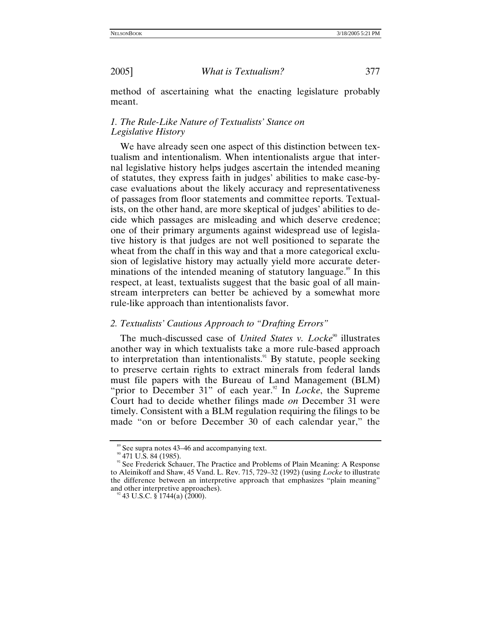method of ascertaining what the enacting legislature probably meant.

# *1. The Rule-Like Nature of Textualists' Stance on Legislative History*

We have already seen one aspect of this distinction between textualism and intentionalism. When intentionalists argue that internal legislative history helps judges ascertain the intended meaning of statutes, they express faith in judges' abilities to make case-bycase evaluations about the likely accuracy and representativeness of passages from floor statements and committee reports. Textualists, on the other hand, are more skeptical of judges' abilities to decide which passages are misleading and which deserve credence; one of their primary arguments against widespread use of legislative history is that judges are not well positioned to separate the wheat from the chaff in this way and that a more categorical exclusion of legislative history may actually yield more accurate determinations of the intended meaning of statutory language.<sup>89</sup> In this respect, at least, textualists suggest that the basic goal of all mainstream interpreters can better be achieved by a somewhat more rule-like approach than intentionalists favor.

### *2. Textualists' Cautious Approach to "Drafting Errors"*

The much-discussed case of *United States v. Locke*<sup>90</sup> illustrates another way in which textualists take a more rule-based approach to interpretation than intentionalists.<sup>91</sup> By statute, people seeking to preserve certain rights to extract minerals from federal lands must file papers with the Bureau of Land Management (BLM) "prior to December 31" of each year.<sup>92</sup> In *Locke*, the Supreme Court had to decide whether filings made *on* December 31 were timely. Consistent with a BLM regulation requiring the filings to be made "on or before December 30 of each calendar year," the

<span id="page-30-2"></span><span id="page-30-1"></span>

<span id="page-30-0"></span><sup>&</sup>lt;sup>89</sup> See supra notes 43–46 and accompanying text.<br><sup>90</sup> 471 U.S. 84 (1985).<br><sup>91</sup> See Frederick Schauer, The Practice and Problems of Plain Meaning: A Response to Aleinikoff and Shaw, 45 Vand. L. Rev. 715, 729–32 (1992) (using *Locke* to illustrate the difference between an interpretive approach that emphasizes "plain meaning" and other interpretive approaches).<br><sup>92</sup> 43 U.S.C. § 1744(a) (2000).

<span id="page-30-3"></span>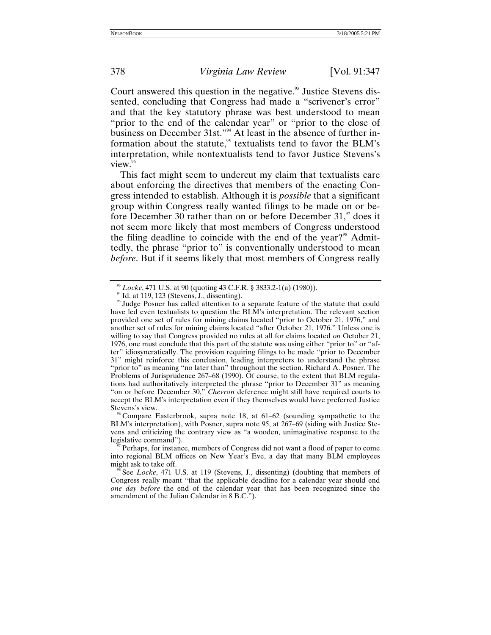Court answered this question in the negative.<sup>93</sup> Justice Stevens dissented, concluding that Congress had made a "scrivener's error" and that the key statutory phrase was best understood to mean "prior to the end of the calendar year" or "prior to the close of business on December 31st."[94](#page-31-1) At least in the absence of further information about the statute,<sup>95</sup> textualists tend to favor the BLM's interpretation, while nontextualists tend to favor Justice Stevens's view.

This fact might seem to undercut my claim that textualists care about enforcing the directives that members of the enacting Congress intended to establish. Although it is *possible* that a significant group within Congress really wanted filings to be made on or before December 30 rather than on or before December 31, $\degree$  does it not seem more likely that most members of Congress understood the filing deadline to coincide with the end of the year?<sup>98</sup> Admittedly, the phrase "prior to" is conventionally understood to mean *before*. But if it seems likely that most members of Congress really

<span id="page-31-2"></span><span id="page-31-1"></span>

<span id="page-31-0"></span><sup>&</sup>lt;sup>93</sup> *Locke*, 471 U.S. at 90 (quoting 43 C.F.R. § 3833.2-1(a) (1980)).<br><sup>94</sup> Id. at 119, 123 (Stevens, J., dissenting).<br><sup>95</sup> Judge Posner has called attention to a separate feature of the statute that could have led even textualists to question the BLM's interpretation. The relevant section provided one set of rules for mining claims located "prior to October 21, 1976," and another set of rules for mining claims located "after October 21, 1976." Unless one is willing to say that Congress provided no rules at all for claims located *on* October 21, 1976, one must conclude that this part of the statute was using either "prior to" or "after" idiosyncratically. The provision requiring filings to be made "prior to December 31" might reinforce this conclusion, leading interpreters to understand the phrase "prior to" as meaning "no later than" throughout the section. Richard A. Posner, The Problems of Jurisprudence 267–68 (1990). Of course, to the extent that BLM regulations had authoritatively interpreted the phrase "prior to December 31" as meaning "on or before December 30," *Chevron* deference might still have required courts to accept the BLM's interpretation even if they themselves would have preferred Justice Stevens's view.<br><sup>96</sup> Compare Easterbrook, supra note 18, at 61–62 (sounding sympathetic to the

<span id="page-31-3"></span>BLM's interpretation), with Posner, supra note 95, at 267–69 (siding with Justice Stevens and criticizing the contrary view as "a wooden, unimaginative response to the

<span id="page-31-4"></span>Perhaps, for instance, members of Congress did not want a flood of paper to come into regional BLM offices on New Year's Eve, a day that many BLM employees might ask to take off.<br><sup>98</sup> See *Locke*, 471 U.S. at 119 (Stevens, J., dissenting) (doubting that members of

<span id="page-31-5"></span>Congress really meant "that the applicable deadline for a calendar year should end *one day before* the end of the calendar year that has been recognized since the amendment of the Julian Calendar in 8 B.C.").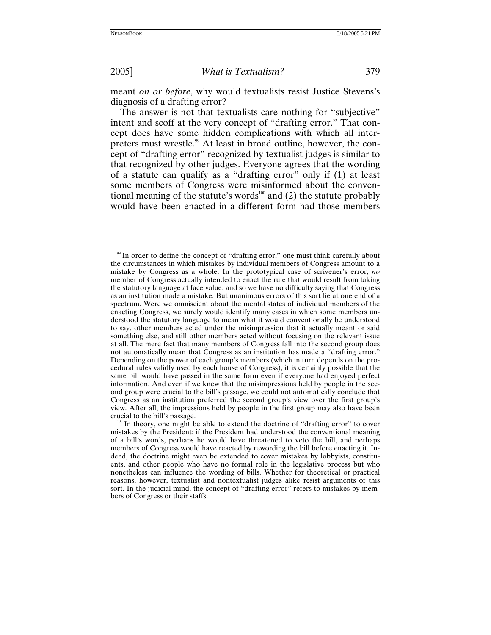meant *on or before*, why would textualists resist Justice Stevens's diagnosis of a drafting error?

The answer is not that textualists care nothing for "subjective" intent and scoff at the very concept of "drafting error." That concept does have some hidden complications with which all interpreters must wrestle.<sup>99</sup> At least in broad outline, however, the concept of "drafting error" recognized by textualist judges is similar to that recognized by other judges. Everyone agrees that the wording of a statute can qualify as a "drafting error" only if (1) at least some members of Congress were misinformed about the conventional meaning of the statute's words<sup>100</sup> and (2) the statute probably would have been enacted in a different form had those members

<span id="page-32-0"></span><sup>&</sup>lt;sup>99</sup> In order to define the concept of "drafting error," one must think carefully about the circumstances in which mistakes by individual members of Congress amount to a mistake by Congress as a whole. In the prototypical case of scrivener's error, *no* member of Congress actually intended to enact the rule that would result from taking the statutory language at face value, and so we have no difficulty saying that Congress as an institution made a mistake. But unanimous errors of this sort lie at one end of a spectrum. Were we omniscient about the mental states of individual members of the enacting Congress, we surely would identify many cases in which some members understood the statutory language to mean what it would conventionally be understood to say, other members acted under the misimpression that it actually meant or said something else, and still other members acted without focusing on the relevant issue at all. The mere fact that many members of Congress fall into the second group does not automatically mean that Congress as an institution has made a "drafting error." Depending on the power of each group's members (which in turn depends on the procedural rules validly used by each house of Congress), it is certainly possible that the same bill would have passed in the same form even if everyone had enjoyed perfect information. And even if we knew that the misimpressions held by people in the second group were crucial to the bill's passage, we could not automatically conclude that Congress as an institution preferred the second group's view over the first group's view. After all, the impressions held by people in the first group may also have been crucial to the bill's passage.<br><sup>100</sup> In theory, one might be able to extend the doctrine of "drafting error" to cover

<span id="page-32-1"></span>mistakes by the President: if the President had understood the conventional meaning of a bill's words, perhaps he would have threatened to veto the bill, and perhaps members of Congress would have reacted by rewording the bill before enacting it. Indeed, the doctrine might even be extended to cover mistakes by lobbyists, constituents, and other people who have no formal role in the legislative process but who nonetheless can influence the wording of bills. Whether for theoretical or practical reasons, however, textualist and nontextualist judges alike resist arguments of this sort. In the judicial mind, the concept of "drafting error" refers to mistakes by members of Congress or their staffs.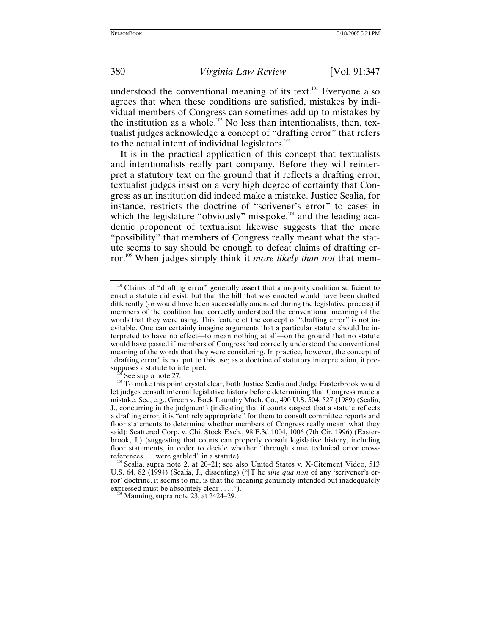understood the conventional meaning of its text. $101$  Everyone also agrees that when these conditions are satisfied, mistakes by individual members of Congress can sometimes add up to mistakes by the institution as a whole.<sup>102</sup> No less than intentionalists, then, textualist judges acknowledge a concept of "drafting error" that refers to the actual intent of individual legislators. $103$ 

It is in the practical application of this concept that textualists and intentionalists really part company. Before they will reinterpret a statutory text on the ground that it reflects a drafting error, textualist judges insist on a very high degree of certainty that Congress as an institution did indeed make a mistake. Justice Scalia, for instance, restricts the doctrine of "scrivener's error" to cases in which the legislature "obviously" misspoke, $104$  and the leading academic proponent of textualism likewise suggests that the mere "possibility" that members of Congress really meant what the statute seems to say should be enough to defeat claims of drafting error[.105](#page-33-4) When judges simply think it *more likely than not* that mem-

<span id="page-33-4"></span>

<span id="page-33-0"></span><sup>&</sup>lt;sup>101</sup> Claims of "drafting error" generally assert that a majority coalition sufficient to enact a statute did exist, but that the bill that was enacted would have been drafted differently (or would have been successfully amended during the legislative process) if members of the coalition had correctly understood the conventional meaning of the words that they were using. This feature of the concept of "drafting error" is not inevitable. One can certainly imagine arguments that a particular statute should be interpreted to have no effect—to mean nothing at all—on the ground that no statute would have passed if members of Congress had correctly understood the conventional meaning of the words that they were considering. In practice, however, the concept of "drafting error" is not put to this use; as a doctrine of statutory interpretation, it pre-

<span id="page-33-2"></span><span id="page-33-1"></span> $\frac{102}{103}$  See supra note 27.  $\frac{1}{103}$  To make this point crystal clear, both Justice Scalia and Judge Easterbrook would let judges consult internal legislative history before determining that Congress made a mistake. See, e.g., Green v. Bock Laundry Mach. Co., 490 U.S. 504, 527 (1989) (Scalia, J., concurring in the judgment) (indicating that if courts suspect that a statute reflects a drafting error, it is "entirely appropriate" for them to consult committee reports and floor statements to determine whether members of Congress really meant what they said); Scattered Corp. v. Chi. Stock Exch., 98 F.3d 1004, 1006 (7th Cir. 1996) (Easterbrook, J.) (suggesting that courts can properly consult legislative history, including floor statements, in order to decide whether "through some technical error cross-<br>references... were garbled" in a statute).

<span id="page-33-3"></span> $104$  Scalia, supra note 2, at 20–21; see also United States v. X-Citement Video, 513 U.S. 64, 82 (1994) (Scalia, J., dissenting) ("[T]he *sine qua non* of any 'scrivener's error' doctrine, it seems to me, is that the meaning genuinely intended but inadequately expressed must be absolutely clear . . . ."). 105 Manning, supra note 23, at 2424–29.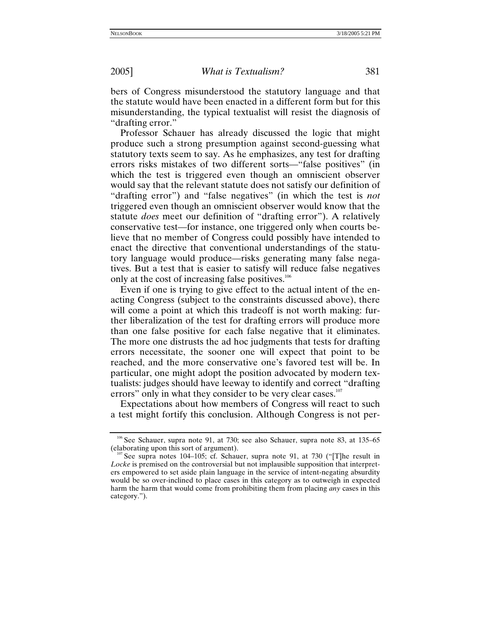bers of Congress misunderstood the statutory language and that the statute would have been enacted in a different form but for this misunderstanding, the typical textualist will resist the diagnosis of "drafting error."

Professor Schauer has already discussed the logic that might produce such a strong presumption against second-guessing what statutory texts seem to say. As he emphasizes, any test for drafting errors risks mistakes of two different sorts—"false positives" (in which the test is triggered even though an omniscient observer would say that the relevant statute does not satisfy our definition of "drafting error") and "false negatives" (in which the test is *not* triggered even though an omniscient observer would know that the statute *does* meet our definition of "drafting error"). A relatively conservative test—for instance, one triggered only when courts believe that no member of Congress could possibly have intended to enact the directive that conventional understandings of the statutory language would produce—risks generating many false negatives. But a test that is easier to satisfy will reduce false negatives only at the cost of increasing false positives.<sup>106</sup>

Even if one is trying to give effect to the actual intent of the enacting Congress (subject to the constraints discussed above), there will come a point at which this tradeoff is not worth making: further liberalization of the test for drafting errors will produce more than one false positive for each false negative that it eliminates. The more one distrusts the ad hoc judgments that tests for drafting errors necessitate, the sooner one will expect that point to be reached, and the more conservative one's favored test will be. In particular, one might adopt the position advocated by modern textualists: judges should have leeway to identify and correct "drafting errors" only in what they consider to be very clear cases.<sup>107</sup>

Expectations about how members of Congress will react to such a test might fortify this conclusion. Although Congress is not per-

<span id="page-34-0"></span><sup>&</sup>lt;sup>106</sup> See Schauer, supra note 91, at 730; see also Schauer, supra note 83, at 135–65 (elaborating upon this sort of argument).<br><sup>107</sup> See supra notes 104–105; cf. Schauer, supra note 91, at 730 ("[T]he result in

<span id="page-34-1"></span>*Locke* is premised on the controversial but not implausible supposition that interpreters empowered to set aside plain language in the service of intent-negating absurdity would be so over-inclined to place cases in this category as to outweigh in expected harm the harm that would come from prohibiting them from placing *any* cases in this category.").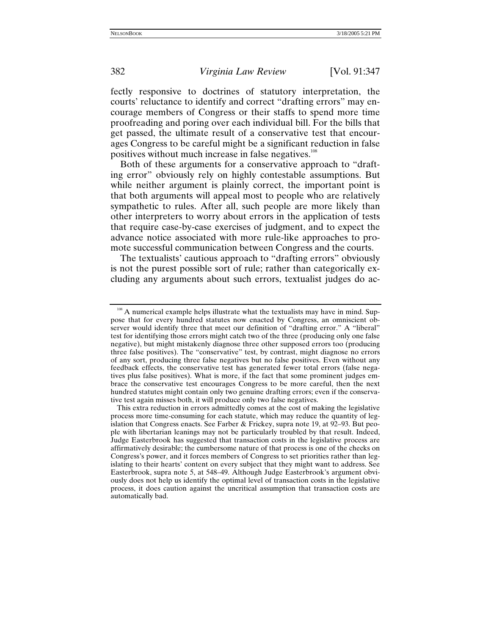fectly responsive to doctrines of statutory interpretation, the courts' reluctance to identify and correct "drafting errors" may encourage members of Congress or their staffs to spend more time proofreading and poring over each individual bill. For the bills that get passed, the ultimate result of a conservative test that encourages Congress to be careful might be a significant reduction in false positives without much increase in false negatives.<sup>108</sup>

Both of these arguments for a conservative approach to "drafting error" obviously rely on highly contestable assumptions. But while neither argument is plainly correct, the important point is that both arguments will appeal most to people who are relatively sympathetic to rules. After all, such people are more likely than other interpreters to worry about errors in the application of tests that require case-by-case exercises of judgment, and to expect the advance notice associated with more rule-like approaches to promote successful communication between Congress and the courts.

The textualists' cautious approach to "drafting errors" obviously is not the purest possible sort of rule; rather than categorically excluding any arguments about such errors, textualist judges do ac-

<span id="page-35-0"></span><sup>&</sup>lt;sup>108</sup> A numerical example helps illustrate what the textualists may have in mind. Suppose that for every hundred statutes now enacted by Congress, an omniscient observer would identify three that meet our definition of "drafting error." A "liberal" test for identifying those errors might catch two of the three (producing only one false negative), but might mistakenly diagnose three other supposed errors too (producing three false positives). The "conservative" test, by contrast, might diagnose no errors of any sort, producing three false negatives but no false positives. Even without any feedback effects, the conservative test has generated fewer total errors (false negatives plus false positives). What is more, if the fact that some prominent judges embrace the conservative test encourages Congress to be more careful, then the next hundred statutes might contain only two genuine drafting errors; even if the conservative test again misses both, it will produce only two false negatives.

This extra reduction in errors admittedly comes at the cost of making the legislative process more time-consuming for each statute, which may reduce the quantity of legislation that Congress enacts. See Farber & Frickey, supra note 19, at 92–93. But people with libertarian leanings may not be particularly troubled by that result. Indeed, Judge Easterbrook has suggested that transaction costs in the legislative process are affirmatively desirable; the cumbersome nature of that process is one of the checks on Congress's power, and it forces members of Congress to set priorities rather than legislating to their hearts' content on every subject that they might want to address. See Easterbrook, supra note 5, at 548–49. Although Judge Easterbrook's argument obviously does not help us identify the optimal level of transaction costs in the legislative process, it does caution against the uncritical assumption that transaction costs are automatically bad.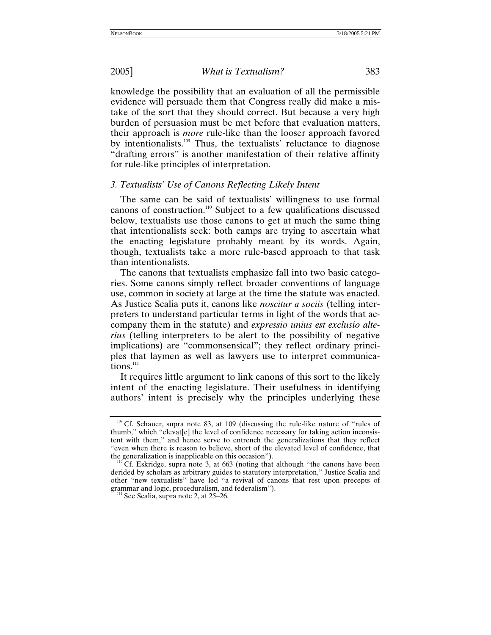knowledge the possibility that an evaluation of all the permissible evidence will persuade them that Congress really did make a mistake of the sort that they should correct. But because a very high burden of persuasion must be met before that evaluation matters, their approach is *more* rule-like than the looser approach favored by intentionalists.<sup>109</sup> Thus, the textualists' reluctance to diagnose "drafting errors" is another manifestation of their relative affinity for rule-like principles of interpretation.

## *3. Textualists' Use of Canons Reflecting Likely Intent*

The same can be said of textualists' willingness to use formal canons of construction[.110](#page-36-1) Subject to a few qualifications discussed below, textualists use those canons to get at much the same thing that intentionalists seek: both camps are trying to ascertain what the enacting legislature probably meant by its words. Again, though, textualists take a more rule-based approach to that task than intentionalists.

The canons that textualists emphasize fall into two basic categories. Some canons simply reflect broader conventions of language use, common in society at large at the time the statute was enacted. As Justice Scalia puts it, canons like *noscitur a sociis* (telling interpreters to understand particular terms in light of the words that accompany them in the statute) and *expressio unius est exclusio alterius* (telling interpreters to be alert to the possibility of negative implications) are "commonsensical"; they reflect ordinary principles that laymen as well as lawyers use to interpret communications.<sup>111</sup>

It requires little argument to link canons of this sort to the likely intent of the enacting legislature. Their usefulness in identifying authors' intent is precisely why the principles underlying these

<span id="page-36-0"></span><sup>&</sup>lt;sup>109</sup> Cf. Schauer, supra note 83, at 109 (discussing the rule-like nature of "rules of thumb," which "elevat[e] the level of confidence necessary for taking action inconsistent with them," and hence serve to entrench the generalizations that they reflect "even when there is reason to believe, short of the elevated level of confidence, that the generalization is inapplicable on this occasion").<br><sup>110</sup> Cf. Eskridge, supra note 3, at 663 (noting that although "the canons have been

<span id="page-36-1"></span>derided by scholars as arbitrary guides to statutory interpretation," Justice Scalia and other "new textualists" have led "a revival of canons that rest upon precepts of grammar and logic, proceduralism, and federalism"). <sup>111</sup> See Scalia, supra note 2, at 25–26.

<span id="page-36-2"></span>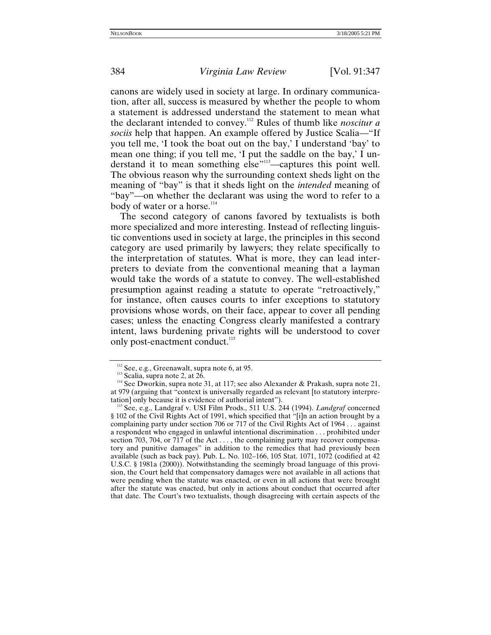canons are widely used in society at large. In ordinary communication, after all, success is measured by whether the people to whom a statement is addressed understand the statement to mean what the declarant intended to convey.[112](#page-37-0) Rules of thumb like *noscitur a sociis* help that happen. An example offered by Justice Scalia—"If you tell me, 'I took the boat out on the bay,' I understand 'bay' to mean one thing; if you tell me, 'I put the saddle on the bay,' I understand it to mean something else"<sup>113</sup>—captures this point well. The obvious reason why the surrounding context sheds light on the meaning of "bay" is that it sheds light on the *intended* meaning of "bay"—on whether the declarant was using the word to refer to a body of water or a horse.<sup>[114](#page-37-2)</sup>

The second category of canons favored by textualists is both more specialized and more interesting. Instead of reflecting linguistic conventions used in society at large, the principles in this second category are used primarily by lawyers; they relate specifically to the interpretation of statutes. What is more, they can lead interpreters to deviate from the conventional meaning that a layman would take the words of a statute to convey. The well-established presumption against reading a statute to operate "retroactively," for instance, often causes courts to infer exceptions to statutory provisions whose words, on their face, appear to cover all pending cases; unless the enacting Congress clearly manifested a contrary intent, laws burdening private rights will be understood to cover only post-enactment conduct.<sup>115</sup>

<span id="page-37-2"></span><span id="page-37-1"></span>

<span id="page-37-0"></span><sup>&</sup>lt;sup>112</sup> See, e.g., Greenawalt, supra note 6, at 95.<br><sup>113</sup> Scalia, supra note 2, at 26.<br><sup>114</sup> See Dworkin, supra note 31, at 117; see also Alexander & Prakash, supra note 21, at 979 (arguing that "context is universally regarded as relevant [to statutory interpretation] only because it is evidence of authorial intent"). 115 See, e.g., Landgraf v. USI Film Prods., 511 U.S. 244 (1994). *Landgraf* concerned

<span id="page-37-3"></span><sup>§ 102</sup> of the Civil Rights Act of 1991, which specified that "[i]n an action brought by a complaining party under section 706 or 717 of the Civil Rights Act of 1964 . . . against a respondent who engaged in unlawful intentional discrimination . . . prohibited under section 703, 704, or 717 of the Act  $\dots$ , the complaining party may recover compensatory and punitive damages" in addition to the remedies that had previously been available (such as back pay). Pub. L. No. 102–166, 105 Stat. 1071, 1072 (codified at 42 U.S.C. § 1981a (2000)). Notwithstanding the seemingly broad language of this provision, the Court held that compensatory damages were not available in all actions that were pending when the statute was enacted, or even in all actions that were brought after the statute was enacted, but only in actions about conduct that occurred after that date. The Court's two textualists, though disagreeing with certain aspects of the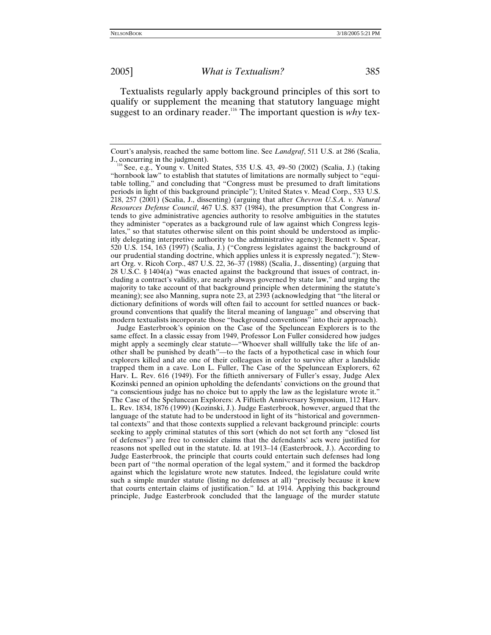Textualists regularly apply background principles of this sort to qualify or supplement the meaning that statutory language might suggest to an ordinary reader.<sup>116</sup> The important question is *why* tex-

 Judge Easterbrook's opinion on the Case of the Speluncean Explorers is to the same effect. In a classic essay from 1949, Professor Lon Fuller considered how judges might apply a seemingly clear statute—"Whoever shall willfully take the life of another shall be punished by death"—to the facts of a hypothetical case in which four explorers killed and ate one of their colleagues in order to survive after a landslide trapped them in a cave. Lon L. Fuller, The Case of the Speluncean Explorers, 62 Harv. L. Rev. 616 (1949). For the fiftieth anniversary of Fuller's essay, Judge Alex Kozinski penned an opinion upholding the defendants' convictions on the ground that "a conscientious judge has no choice but to apply the law as the legislature wrote it." The Case of the Speluncean Explorers: A Fiftieth Anniversary Symposium, 112 Harv. L. Rev. 1834, 1876 (1999) (Kozinski, J.). Judge Easterbrook, however, argued that the language of the statute had to be understood in light of its "historical and governmental contexts" and that those contexts supplied a relevant background principle: courts seeking to apply criminal statutes of this sort (which do not set forth any "closed list of defenses") are free to consider claims that the defendants' acts were justified for reasons not spelled out in the statute. Id. at 1913–14 (Easterbrook, J.). According to Judge Easterbrook, the principle that courts could entertain such defenses had long been part of "the normal operation of the legal system," and it formed the backdrop against which the legislature wrote new statutes. Indeed, the legislature could write such a simple murder statute (listing no defenses at all) "precisely because it knew that courts entertain claims of justification." Id. at 1914. Applying this background principle, Judge Easterbrook concluded that the language of the murder statute

Court's analysis, reached the same bottom line. See *Landgraf*, 511 U.S. at 286 (Scalia,

<span id="page-38-0"></span> $116$  See, e.g., Young v. United States, 535 U.S. 43, 49–50 (2002) (Scalia, J.) (taking "hornbook law" to establish that statutes of limitations are normally subject to "equitable tolling," and concluding that "Congress must be presumed to draft limitations periods in light of this background principle"); United States v. Mead Corp., 533 U.S. 218, 257 (2001) (Scalia, J., dissenting) (arguing that after *Chevron U.S.A. v. Natural Resources Defense Council*, 467 U.S. 837 (1984), the presumption that Congress intends to give administrative agencies authority to resolve ambiguities in the statutes they administer "operates as a background rule of law against which Congress legislates," so that statutes otherwise silent on this point should be understood as implicitly delegating interpretive authority to the administrative agency); Bennett v. Spear, 520 U.S. 154, 163 (1997) (Scalia, J.) ("Congress legislates against the background of our prudential standing doctrine, which applies unless it is expressly negated."); Stewart Org. v. Ricoh Corp., 487 U.S. 22, 36–37 (1988) (Scalia, J., dissenting) (arguing that 28 U.S.C. § 1404(a) "was enacted against the background that issues of contract, including a contract's validity, are nearly always governed by state law," and urging the majority to take account of that background principle when determining the statute's meaning); see also Manning, supra note 23, at 2393 (acknowledging that "the literal or dictionary definitions of words will often fail to account for settled nuances or background conventions that qualify the literal meaning of language" and observing that modern textualists incorporate those "background conventions" into their approach).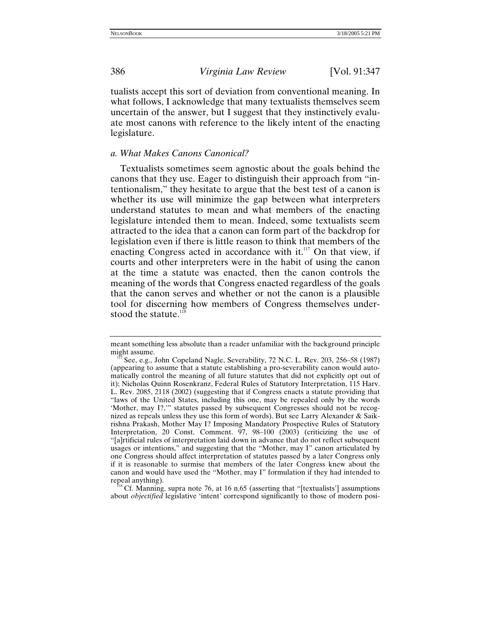tualists accept this sort of deviation from conventional meaning. In what follows, I acknowledge that many textualists themselves seem uncertain of the answer, but I suggest that they instinctively evaluate most canons with reference to the likely intent of the enacting legislature.

## *a. What Makes Canons Canonical?*

Textualists sometimes seem agnostic about the goals behind the canons that they use. Eager to distinguish their approach from "intentionalism," they hesitate to argue that the best test of a canon is whether its use will minimize the gap between what interpreters understand statutes to mean and what members of the enacting legislature intended them to mean. Indeed, some textualists seem attracted to the idea that a canon can form part of the backdrop for legislation even if there is little reason to think that members of the enacting Congress acted in accordance with it. $117$  On that view, if courts and other interpreters were in the habit of using the canon at the time a statute was enacted, then the canon controls the meaning of the words that Congress enacted regardless of the goals that the canon serves and whether or not the canon is a plausible tool for discerning how members of Congress themselves understood the statute. $118$ 

meant something less absolute than a reader unfamiliar with the background principle might assume.<br><sup>117</sup> See, e.g., John Copeland Nagle, Severability, 72 N.C. L. Rev. 203, 256–58 (1987)

<span id="page-39-0"></span><sup>(</sup>appearing to assume that a statute establishing a pro-severability canon would automatically control the meaning of all future statutes that did not explicitly opt out of it); Nicholas Quinn Rosenkranz, Federal Rules of Statutory Interpretation, 115 Harv. L. Rev. 2085, 2118 (2002) (suggesting that if Congress enacts a statute providing that "laws of the United States, including this one, may be repealed only by the words 'Mother, may I?,'" statutes passed by subsequent Congresses should not be recognized as repeals unless they use this form of words). But see Larry Alexander & Saikrishna Prakash, Mother May I? Imposing Mandatory Prospective Rules of Statutory Interpretation, 20 Const. Comment. 97, 98–100 (2003) (criticizing the use of "[a]rtificial rules of interpretation laid down in advance that do not reflect subsequent usages or intentions," and suggesting that the "Mother, may I" canon articulated by one Congress should affect interpretation of statutes passed by a later Congress only if it is reasonable to surmise that members of the later Congress knew about the canon and would have used the "Mother, may I" formulation if they had intended to

<span id="page-39-1"></span>repeal anything).<br><sup>118</sup> Cf. Manning, supra note 76, at 16 n.65 (asserting that "[textualists'] assumptions about *objectified* legislative 'intent' correspond significantly to those of modern posi-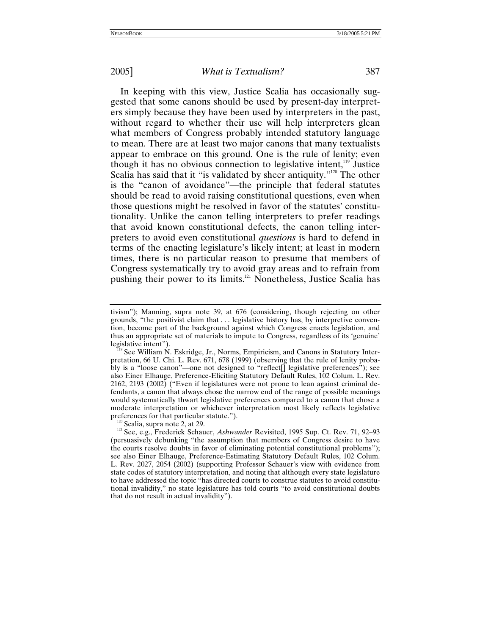In keeping with this view, Justice Scalia has occasionally suggested that some canons should be used by present-day interpreters simply because they have been used by interpreters in the past, without regard to whether their use will help interpreters glean what members of Congress probably intended statutory language to mean. There are at least two major canons that many textualists appear to embrace on this ground. One is the rule of lenity; even though it has no obvious connection to legislative intent,<sup>119</sup> Justice Scalia has said that it "is validated by sheer antiquity."<sup>120</sup> The other is the "canon of avoidance"—the principle that federal statutes should be read to avoid raising constitutional questions, even when those questions might be resolved in favor of the statutes' constitutionality. Unlike the canon telling interpreters to prefer readings that avoid known constitutional defects, the canon telling interpreters to avoid even constitutional *questions* is hard to defend in terms of the enacting legislature's likely intent; at least in modern times, there is no particular reason to presume that members of Congress systematically try to avoid gray areas and to refrain from pushing their power to its limits.<sup>121</sup> Nonetheless, Justice Scalia has

<span id="page-40-1"></span>

tivism"); Manning, supra note 39, at 676 (considering, though rejecting on other grounds, "the positivist claim that . . . legislative history has, by interpretive convention, become part of the background against which Congress enacts legislation, and thus an appropriate set of materials to impute to Congress, regardless of its 'genuine'

<span id="page-40-0"></span>legislative intent").<br><sup>119</sup> See William N. Eskridge, Jr., Norms, Empiricism, and Canons in Statutory Interpretation, 66 U. Chi. L. Rev. 671, 678 (1999) (observing that the rule of lenity probably is a "loose canon"—one not designed to "reflect<sup>[]</sup> legislative preferences"); see also Einer Elhauge, Preference-Eliciting Statutory Default Rules, 102 Colum. L. Rev. 2162, 2193 (2002) ("Even if legislatures were not prone to lean against criminal defendants, a canon that always chose the narrow end of the range of possible meanings would systematically thwart legislative preferences compared to a canon that chose a moderate interpretation or whichever interpretation most likely reflects legislative preferences for that particular statute.").<br><sup>120</sup> Scalia, supra note 2, at 29.<br><sup>121</sup> See, e.g., Frederick Schauer, *Ashwander* Revisited, 1995 Sup. Ct. Rev. 71, 92–93

<span id="page-40-2"></span><sup>(</sup>persuasively debunking "the assumption that members of Congress desire to have the courts resolve doubts in favor of eliminating potential constitutional problems"); see also Einer Elhauge, Preference-Estimating Statutory Default Rules, 102 Colum. L. Rev. 2027, 2054 (2002) (supporting Professor Schauer's view with evidence from state codes of statutory interpretation, and noting that although every state legislature to have addressed the topic "has directed courts to construe statutes to avoid constitutional invalidity," no state legislature has told courts "to avoid constitutional doubts that do not result in actual invalidity").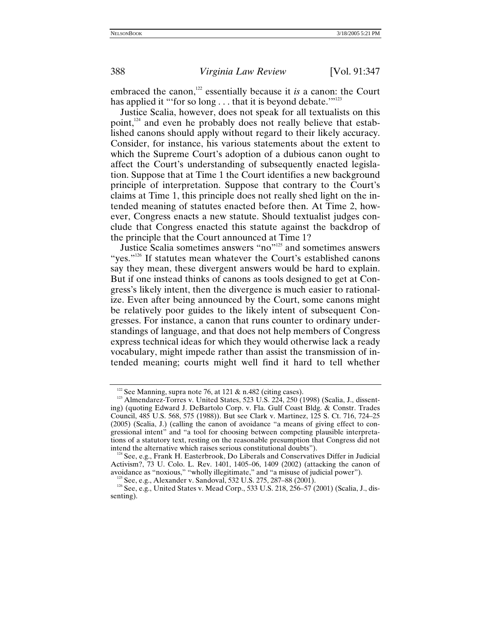embraced the canon,<sup>122</sup> essentially because it *is* a canon: the Court has applied it "'for so long . . . that it is beyond debate.'"<sup>123</sup>

Justice Scalia, however, does not speak for all textualists on this point, $124$  and even he probably does not really believe that established canons should apply without regard to their likely accuracy. Consider, for instance, his various statements about the extent to which the Supreme Court's adoption of a dubious canon ought to affect the Court's understanding of subsequently enacted legislation. Suppose that at Time 1 the Court identifies a new background principle of interpretation. Suppose that contrary to the Court's claims at Time 1, this principle does not really shed light on the intended meaning of statutes enacted before then. At Time 2, however, Congress enacts a new statute. Should textualist judges conclude that Congress enacted this statute against the backdrop of the principle that the Court announced at Time 1?

Justice Scalia sometimes answers "no["125](#page-41-3) and sometimes answers "yes."<sup>126</sup> If statutes mean whatever the Court's established canons say they mean, these divergent answers would be hard to explain. But if one instead thinks of canons as tools designed to get at Congress's likely intent, then the divergence is much easier to rationalize. Even after being announced by the Court, some canons might be relatively poor guides to the likely intent of subsequent Congresses. For instance, a canon that runs counter to ordinary understandings of language, and that does not help members of Congress express technical ideas for which they would otherwise lack a ready vocabulary, might impede rather than assist the transmission of intended meaning; courts might well find it hard to tell whether

<span id="page-41-1"></span>

<span id="page-41-0"></span><sup>&</sup>lt;sup>122</sup> See Manning, supra note 76, at 121 & n.482 (citing cases).<br><sup>123</sup> Almendarez-Torres v. United States, 523 U.S. 224, 250 (1998) (Scalia, J., dissenting) (quoting Edward J. DeBartolo Corp. v. Fla. Gulf Coast Bldg. & Constr. Trades Council, 485 U.S. 568, 575 (1988)). But see Clark v. Martinez, 125 S. Ct. 716, 724–25 (2005) (Scalia, J.) (calling the canon of avoidance "a means of giving effect to congressional intent" and "a tool for choosing between competing plausible interpretations of a statutory text, resting on the reasonable presumption that Congress did not intend the alternative which raises serious constitutional doubts"). 124 See, e.g., Frank H. Easterbrook, Do Liberals and Conservatives Differ in Judicial

<span id="page-41-2"></span>Activism?,  $73$  U. Colo. L. Rev. 1401, 1405–06, 1409 (2002) (attacking the canon of avoidance as "noxious," "wholly illegitimate," and "a misuse of judicial power").

<span id="page-41-4"></span><span id="page-41-3"></span><sup>&</sup>lt;sup>125</sup> See, e.g., Alexander v. Sandoval, 532 U.S. 275, 287–88 (2001).<br><sup>126</sup> See, e.g., United States v. Mead Corp., 533 U.S. 218, 256–57 (2001) (Scalia, J., dissenting).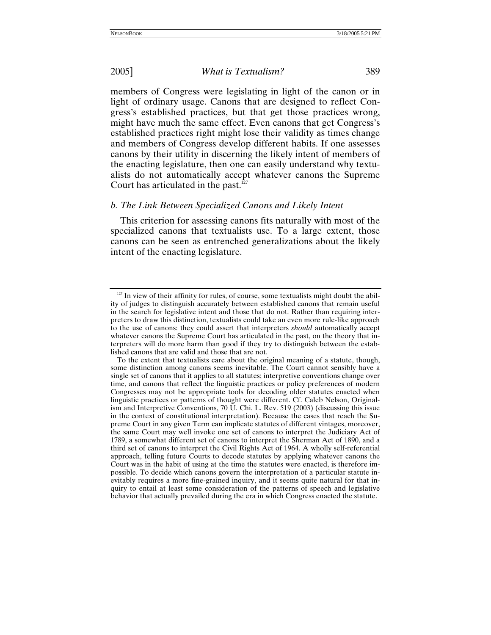members of Congress were legislating in light of the canon or in light of ordinary usage. Canons that are designed to reflect Congress's established practices, but that get those practices wrong, might have much the same effect. Even canons that get Congress's established practices right might lose their validity as times change and members of Congress develop different habits. If one assesses canons by their utility in discerning the likely intent of members of the enacting legislature, then one can easily understand why textualists do not automatically accept whatever canons the Supreme Court has articulated in the past. $127$ 

### *b. The Link Between Specialized Canons and Likely Intent*

This criterion for assessing canons fits naturally with most of the specialized canons that textualists use. To a large extent, those canons can be seen as entrenched generalizations about the likely intent of the enacting legislature.

<span id="page-42-0"></span> $127$  In view of their affinity for rules, of course, some textualists might doubt the ability of judges to distinguish accurately between established canons that remain useful in the search for legislative intent and those that do not. Rather than requiring interpreters to draw this distinction, textualists could take an even more rule-like approach to the use of canons: they could assert that interpreters *should* automatically accept whatever canons the Supreme Court has articulated in the past, on the theory that interpreters will do more harm than good if they try to distinguish between the established canons that are valid and those that are not.

To the extent that textualists care about the original meaning of a statute, though, some distinction among canons seems inevitable. The Court cannot sensibly have a single set of canons that it applies to all statutes; interpretive conventions change over time, and canons that reflect the linguistic practices or policy preferences of modern Congresses may not be appropriate tools for decoding older statutes enacted when linguistic practices or patterns of thought were different. Cf. Caleb Nelson, Originalism and Interpretive Conventions, 70 U. Chi. L. Rev. 519 (2003) (discussing this issue in the context of constitutional interpretation). Because the cases that reach the Supreme Court in any given Term can implicate statutes of different vintages, moreover, the same Court may well invoke one set of canons to interpret the Judiciary Act of 1789, a somewhat different set of canons to interpret the Sherman Act of 1890, and a third set of canons to interpret the Civil Rights Act of 1964. A wholly self-referential approach, telling future Courts to decode statutes by applying whatever canons the Court was in the habit of using at the time the statutes were enacted, is therefore impossible. To decide which canons govern the interpretation of a particular statute inevitably requires a more fine-grained inquiry, and it seems quite natural for that inquiry to entail at least some consideration of the patterns of speech and legislative behavior that actually prevailed during the era in which Congress enacted the statute.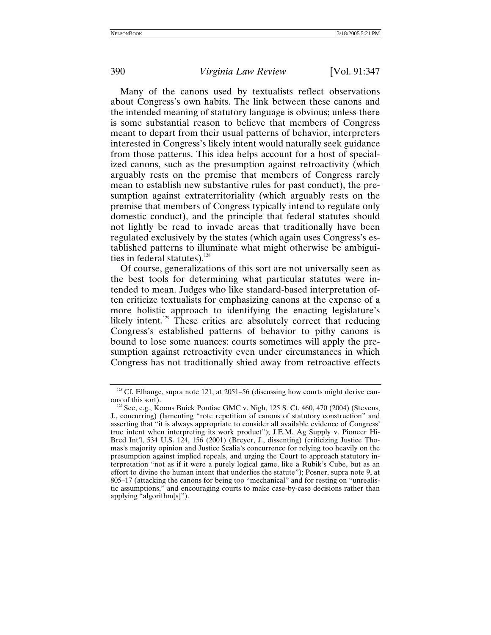Many of the canons used by textualists reflect observations about Congress's own habits. The link between these canons and the intended meaning of statutory language is obvious; unless there is some substantial reason to believe that members of Congress meant to depart from their usual patterns of behavior, interpreters interested in Congress's likely intent would naturally seek guidance from those patterns. This idea helps account for a host of specialized canons, such as the presumption against retroactivity (which arguably rests on the premise that members of Congress rarely mean to establish new substantive rules for past conduct), the presumption against extraterritoriality (which arguably rests on the premise that members of Congress typically intend to regulate only domestic conduct), and the principle that federal statutes should not lightly be read to invade areas that traditionally have been regulated exclusively by the states (which again uses Congress's established patterns to illuminate what might otherwise be ambiguities in federal statutes).<sup>128</sup>

Of course, generalizations of this sort are not universally seen as the best tools for determining what particular statutes were intended to mean. Judges who like standard-based interpretation often criticize textualists for emphasizing canons at the expense of a more holistic approach to identifying the enacting legislature's likely intent.<sup>129</sup> These critics are absolutely correct that reducing Congress's established patterns of behavior to pithy canons is bound to lose some nuances: courts sometimes will apply the presumption against retroactivity even under circumstances in which Congress has not traditionally shied away from retroactive effects

<span id="page-43-0"></span><sup>&</sup>lt;sup>128</sup> Cf. Elhauge, supra note 121, at 2051–56 (discussing how courts might derive canons of this sort).

<span id="page-43-1"></span><sup>&</sup>lt;sup>129</sup> See, e.g., Koons Buick Pontiac GMC v. Nigh, 125 S. Ct. 460, 470 (2004) (Stevens, J., concurring) (lamenting "rote repetition of canons of statutory construction" and asserting that "it is always appropriate to consider all available evidence of Congress' true intent when interpreting its work product"); J.E.M. Ag Supply v. Pioneer Hi-Bred Int'l, 534 U.S. 124, 156 (2001) (Breyer, J., dissenting) (criticizing Justice Thomas's majority opinion and Justice Scalia's concurrence for relying too heavily on the presumption against implied repeals, and urging the Court to approach statutory interpretation "not as if it were a purely logical game, like a Rubik's Cube, but as an effort to divine the human intent that underlies the statute"); Posner, supra note 9, at 805–17 (attacking the canons for being too "mechanical" and for resting on "unrealistic assumptions," and encouraging courts to make case-by-case decisions rather than applying "algorithm[s]").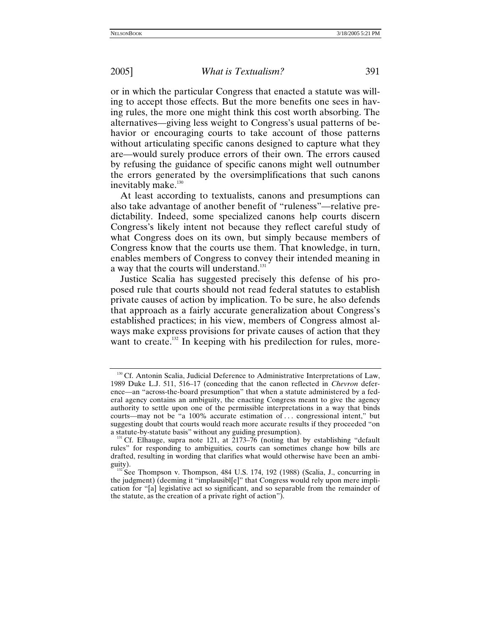or in which the particular Congress that enacted a statute was willing to accept those effects. But the more benefits one sees in having rules, the more one might think this cost worth absorbing. The alternatives—giving less weight to Congress's usual patterns of behavior or encouraging courts to take account of those patterns without articulating specific canons designed to capture what they are—would surely produce errors of their own. The errors caused by refusing the guidance of specific canons might well outnumber the errors generated by the oversimplifications that such canons inevitably make.<sup>130</sup>

At least according to textualists, canons and presumptions can also take advantage of another benefit of "ruleness"—relative predictability. Indeed, some specialized canons help courts discern Congress's likely intent not because they reflect careful study of what Congress does on its own, but simply because members of Congress know that the courts use them. That knowledge, in turn, enables members of Congress to convey their intended meaning in a way that the courts will understand.<sup>131</sup>

Justice Scalia has suggested precisely this defense of his proposed rule that courts should not read federal statutes to establish private causes of action by implication. To be sure, he also defends that approach as a fairly accurate generalization about Congress's established practices; in his view, members of Congress almost always make express provisions for private causes of action that they want to create.<sup>132</sup> In keeping with his predilection for rules, more-

<span id="page-44-0"></span><sup>&</sup>lt;sup>130</sup> Cf. Antonin Scalia, Judicial Deference to Administrative Interpretations of Law, 1989 Duke L.J. 511, 516–17 (conceding that the canon reflected in *Chevron* deference—an "across-the-board presumption" that when a statute administered by a federal agency contains an ambiguity, the enacting Congress meant to give the agency authority to settle upon one of the permissible interpretations in a way that binds courts—may not be "a 100% accurate estimation of . . . congressional intent," but suggesting doubt that courts would reach more accurate results if they proceeded "on a statute-by-statute basis" without any guiding presumption).

<span id="page-44-1"></span>Cf. Elhauge, supra note 121, at  $2173-76$  (noting that by establishing "default rules" for responding to ambiguities, courts can sometimes change how bills are drafted, resulting in wording that clarifies what would otherwise have been an ambi-

<span id="page-44-2"></span>guity).<br><sup>132</sup> See Thompson v. Thompson, 484 U.S. 174, 192 (1988) (Scalia, J., concurring in  $\frac{132}{128}$ the judgment) (deeming it "implausibl[e]" that Congress would rely upon mere implication for "[a] legislative act so significant, and so separable from the remainder of the statute, as the creation of a private right of action").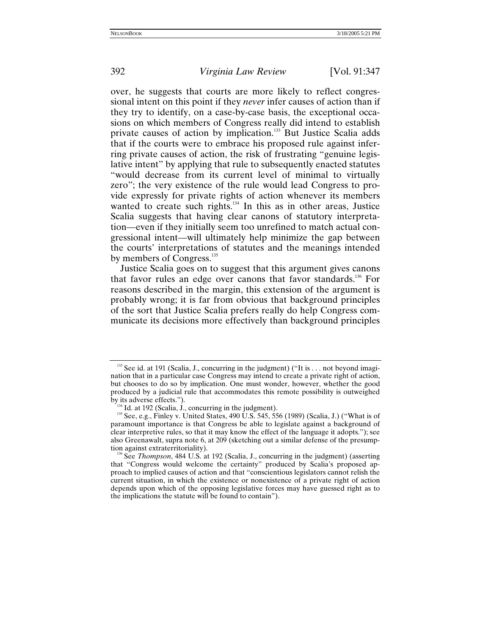over, he suggests that courts are more likely to reflect congressional intent on this point if they *never* infer causes of action than if they try to identify, on a case-by-case basis, the exceptional occasions on which members of Congress really did intend to establish private causes of action by implication.<sup>133</sup> But Justice Scalia adds that if the courts were to embrace his proposed rule against inferring private causes of action, the risk of frustrating "genuine legislative intent" by applying that rule to subsequently enacted statutes "would decrease from its current level of minimal to virtually zero"; the very existence of the rule would lead Congress to provide expressly for private rights of action whenever its members wanted to create such rights. $134}$  In this as in other areas, Justice Scalia suggests that having clear canons of statutory interpretation—even if they initially seem too unrefined to match actual congressional intent—will ultimately help minimize the gap between the courts' interpretations of statutes and the meanings intended by members of Congress.<sup>135</sup>

Justice Scalia goes on to suggest that this argument gives canons that favor rules an edge over canons that favor standards.<sup>136</sup> For reasons described in the margin, this extension of the argument is probably wrong; it is far from obvious that background principles of the sort that Justice Scalia prefers really do help Congress communicate its decisions more effectively than background principles

<span id="page-45-0"></span> $133$  See id. at 191 (Scalia, J., concurring in the judgment) ("It is . . . not beyond imagination that in a particular case Congress may intend to create a private right of action, but chooses to do so by implication. One must wonder, however, whether the good produced by a judicial rule that accommodates this remote possibility is outweighed

<span id="page-45-2"></span><span id="page-45-1"></span>

by its adverse effects.").<br><sup>134</sup> Id. at 192 (Scalia, J., concurring in the judgment).<br><sup>135</sup> See, e.g., Finley v. United States, 490 U.S. 545, 556 (1989) (Scalia, J.) ("What is of paramount importance is that Congress be able to legislate against a background of clear interpretive rules, so that it may know the effect of the language it adopts."); see also Greenawalt, supra note 6, at 209 (sketching out a similar defense of the presumption against extraterritoriality). 136 See *Thompson*, 484 U.S. at 192 (Scalia, J., concurring in the judgment) (asserting

<span id="page-45-3"></span>that "Congress would welcome the certainty" produced by Scalia's proposed approach to implied causes of action and that "conscientious legislators cannot relish the current situation, in which the existence or nonexistence of a private right of action depends upon which of the opposing legislative forces may have guessed right as to the implications the statute will be found to contain").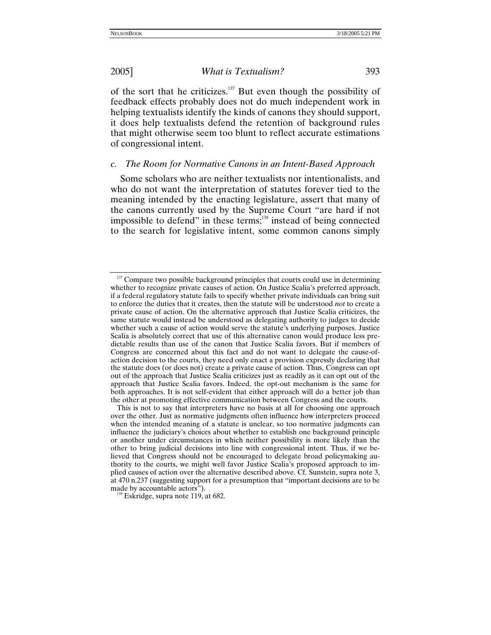of the sort that he criticizes. $137$  But even though the possibility of feedback effects probably does not do much independent work in helping textualists identify the kinds of canons they should support, it does help textualists defend the retention of background rules that might otherwise seem too blunt to reflect accurate estimations of congressional intent.

## *c. The Room for Normative Canons in an Intent-Based Approach*

Some scholars who are neither textualists nor intentionalists, and who do not want the interpretation of statutes forever tied to the meaning intended by the enacting legislature, assert that many of the canons currently used by the Supreme Court "are hard if not impossible to defend" in these terms;<sup>138</sup> instead of being connected to the search for legislative intent, some common canons simply

<span id="page-46-1"></span>

<span id="page-46-0"></span> $137$  Compare two possible background principles that courts could use in determining whether to recognize private causes of action. On Justice Scalia's preferred approach, if a federal regulatory statute fails to specify whether private individuals can bring suit to enforce the duties that it creates, then the statute will be understood *not* to create a private cause of action. On the alternative approach that Justice Scalia criticizes, the same statute would instead be understood as delegating authority to judges to decide whether such a cause of action would serve the statute's underlying purposes. Justice Scalia is absolutely correct that use of this alternative canon would produce less predictable results than use of the canon that Justice Scalia favors. But if members of Congress are concerned about this fact and do not want to delegate the cause-ofaction decision to the courts, they need only enact a provision expressly declaring that the statute does (or does not) create a private cause of action. Thus, Congress can opt out of the approach that Justice Scalia criticizes just as readily as it can opt out of the approach that Justice Scalia favors. Indeed, the opt-out mechanism is the same for both approaches. It is not self-evident that either approach will do a better job than the other at promoting effective communication between Congress and the courts.

This is not to say that interpreters have no basis at all for choosing one approach over the other. Just as normative judgments often influence how interpreters proceed when the intended meaning of a statute is unclear, so too normative judgments can influence the judiciary's choices about whether to establish one background principle or another under circumstances in which neither possibility is more likely than the other to bring judicial decisions into line with congressional intent. Thus, if we believed that Congress should not be encouraged to delegate broad policymaking authority to the courts, we might well favor Justice Scalia's proposed approach to implied causes of action over the alternative described above. Cf. Sunstein, supra note 3, at 470 n.237 (suggesting support for a presumption that "important decisions are to be made by accountable actors").<br><sup>138</sup> Eskridge, supra note 119, at 682.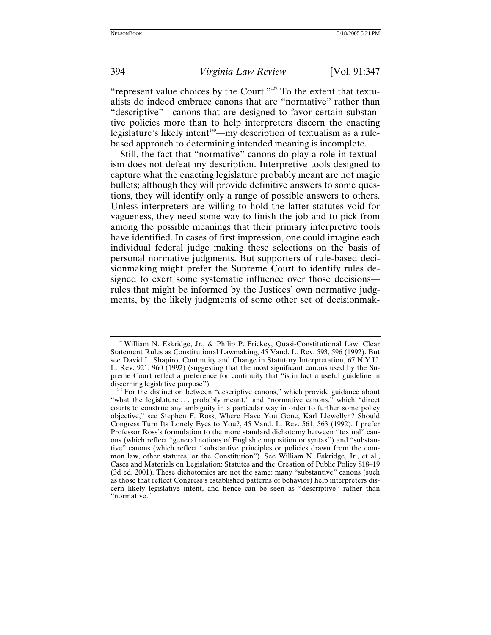"represent value choices by the Court."[139](#page-47-0) To the extent that textualists do indeed embrace canons that are "normative" rather than "descriptive"—canons that are designed to favor certain substantive policies more than to help interpreters discern the enacting legislature's likely intent<sup>140</sup>—my description of textualism as a rulebased approach to determining intended meaning is incomplete.

Still, the fact that "normative" canons do play a role in textualism does not defeat my description. Interpretive tools designed to capture what the enacting legislature probably meant are not magic bullets; although they will provide definitive answers to some questions, they will identify only a range of possible answers to others. Unless interpreters are willing to hold the latter statutes void for vagueness, they need some way to finish the job and to pick from among the possible meanings that their primary interpretive tools have identified. In cases of first impression, one could imagine each individual federal judge making these selections on the basis of personal normative judgments. But supporters of rule-based decisionmaking might prefer the Supreme Court to identify rules designed to exert some systematic influence over those decisions rules that might be informed by the Justices' own normative judgments, by the likely judgments of some other set of decisionmak-

<span id="page-47-0"></span><sup>&</sup>lt;sup>139</sup> William N. Eskridge, Jr., & Philip P. Frickey, Quasi-Constitutional Law: Clear Statement Rules as Constitutional Lawmaking, 45 Vand. L. Rev. 593, 596 (1992). But see David L. Shapiro, Continuity and Change in Statutory Interpretation, 67 N.Y.U. L. Rev. 921, 960 (1992) (suggesting that the most significant canons used by the Supreme Court reflect a preference for continuity that "is in fact a useful guideline in

<span id="page-47-1"></span> $140$  For the distinction between "descriptive canons," which provide guidance about "what the legislature . . . probably meant," and "normative canons," which "direct courts to construe any ambiguity in a particular way in order to further some policy objective," see Stephen F. Ross, Where Have You Gone, Karl Llewellyn? Should Congress Turn Its Lonely Eyes to You?, 45 Vand. L. Rev. 561, 563 (1992). I prefer Professor Ross's formulation to the more standard dichotomy between "textual" canons (which reflect "general notions of English composition or syntax") and "substantive" canons (which reflect "substantive principles or policies drawn from the common law, other statutes, or the Constitution"). See William N. Eskridge, Jr., et al., Cases and Materials on Legislation: Statutes and the Creation of Public Policy 818–19 (3d ed. 2001). These dichotomies are not the same: many "substantive" canons (such as those that reflect Congress's established patterns of behavior) help interpreters discern likely legislative intent, and hence can be seen as "descriptive" rather than "normative."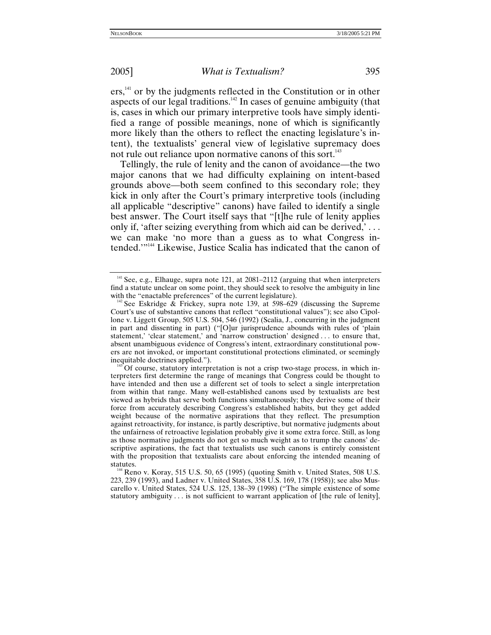ers,<sup>141</sup> or by the judgments reflected in the Constitution or in other aspects of our legal traditions[.142](#page-48-1) In cases of genuine ambiguity (that is, cases in which our primary interpretive tools have simply identified a range of possible meanings, none of which is significantly more likely than the others to reflect the enacting legislature's intent), the textualists' general view of legislative supremacy does not rule out reliance upon normative canons of this sort.<sup>[143](#page-48-2)</sup>

Tellingly, the rule of lenity and the canon of avoidance—the two major canons that we had difficulty explaining on intent-based grounds above—both seem confined to this secondary role; they kick in only after the Court's primary interpretive tools (including all applicable "descriptive" canons) have failed to identify a single best answer. The Court itself says that "[t]he rule of lenity applies only if, 'after seizing everything from which aid can be derived,' . . . we can make 'no more than a guess as to what Congress intended.'"[144](#page-48-3) Likewise, Justice Scalia has indicated that the canon of

<span id="page-48-3"></span> $144$  Reno v. Koray, 515 U.S. 50, 65 (1995) (quoting Smith v. United States, 508 U.S. 223, 239 (1993), and Ladner v. United States, 358 U.S. 169, 178 (1958)); see also Muscarello v. United States, 524 U.S. 125, 138–39 (1998) ("The simple existence of some statutory ambiguity  $\dots$  is not sufficient to warrant application of [the rule of lenity],

<span id="page-48-0"></span> $141$  See, e.g., Elhauge, supra note 121, at 2081–2112 (arguing that when interpreters find a statute unclear on some point, they should seek to resolve the ambiguity in line with the "enactable preferences" of the current legislature).

<span id="page-48-1"></span><sup>&</sup>lt;sup>142</sup> See Eskridge  $\&$  Frickey, supra note 139, at 598–629 (discussing the Supreme Court's use of substantive canons that reflect "constitutional values"); see also Cipollone v. Liggett Group, 505 U.S. 504, 546 (1992) (Scalia, J., concurring in the judgment in part and dissenting in part) ("[O]ur jurisprudence abounds with rules of 'plain statement,' 'clear statement,' and 'narrow construction' designed . . . to ensure that, absent unambiguous evidence of Congress's intent, extraordinary constitutional powers are not invoked, or important constitutional protections eliminated, or seemingly inequitable doctrines applied.").  $143$  Of course, statutory interpretation is not a crisp two-stage process, in which in-

<span id="page-48-2"></span>terpreters first determine the range of meanings that Congress could be thought to have intended and then use a different set of tools to select a single interpretation from within that range. Many well-established canons used by textualists are best viewed as hybrids that serve both functions simultaneously; they derive some of their force from accurately describing Congress's established habits, but they get added weight because of the normative aspirations that they reflect. The presumption against retroactivity, for instance, is partly descriptive, but normative judgments about the unfairness of retroactive legislation probably give it some extra force. Still, as long as those normative judgments do not get so much weight as to trump the canons' descriptive aspirations, the fact that textualists use such canons is entirely consistent with the proposition that textualists care about enforcing the intended meaning of statutes.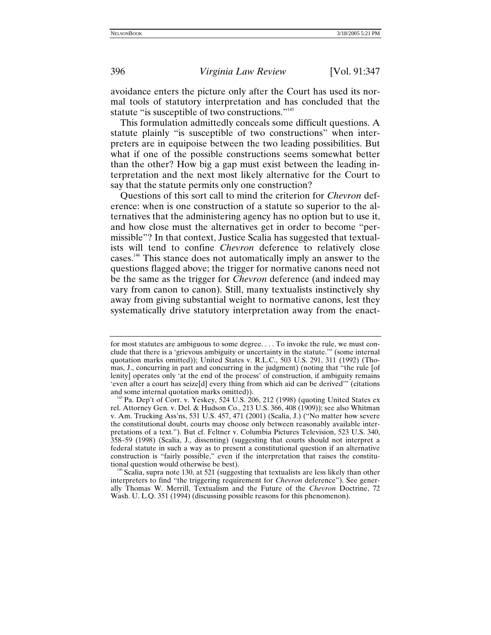avoidance enters the picture only after the Court has used its normal tools of statutory interpretation and has concluded that the statute "is susceptible of two constructions."<sup>145</sup>

This formulation admittedly conceals some difficult questions. A statute plainly "is susceptible of two constructions" when interpreters are in equipoise between the two leading possibilities. But what if one of the possible constructions seems somewhat better than the other? How big a gap must exist between the leading interpretation and the next most likely alternative for the Court to say that the statute permits only one construction?

Questions of this sort call to mind the criterion for *Chevron* deference: when is one construction of a statute so superior to the alternatives that the administering agency has no option but to use it, and how close must the alternatives get in order to become "permissible"? In that context, Justice Scalia has suggested that textualists will tend to confine *Chevron* deference to relatively close cases.[146](#page-49-1) This stance does not automatically imply an answer to the questions flagged above; the trigger for normative canons need not be the same as the trigger for *Chevron* deference (and indeed may vary from canon to canon). Still, many textualists instinctively shy away from giving substantial weight to normative canons, lest they systematically drive statutory interpretation away from the enact-

<span id="page-49-1"></span> $146$  Scalia, supra note 130, at 521 (suggesting that textualists are less likely than other interpreters to find "the triggering requirement for *Chevron* deference"). See generally Thomas W. Merrill, Textualism and the Future of the *Chevron* Doctrine, 72 Wash. U. L.Q. 351 (1994) (discussing possible reasons for this phenomenon).

for most statutes are ambiguous to some degree. . . . To invoke the rule, we must conclude that there is a 'grievous ambiguity or uncertainty in the statute.'" (some internal quotation marks omitted)); United States v. R.L.C., 503 U.S. 291, 311 (1992) (Thomas, J., concurring in part and concurring in the judgment) (noting that "the rule [of lenity] operates only 'at the end of the process' of construction, if ambiguity remains 'even after a court has seize[d] every thing from which aid can be derived'" (citations

<span id="page-49-0"></span><sup>&</sup>lt;sup>145</sup> Pa. Dep't of Corr. v. Yeskey, 524 U.S. 206, 212 (1998) (quoting United States ex rel. Attorney Gen. v. Del. & Hudson Co., 213 U.S. 366, 408 (1909)); see also Whitman v. Am. Trucking Ass'ns, 531 U.S. 457, 471 (2001) (Scalia, J.) ("No matter how severe the constitutional doubt, courts may choose only between reasonably available interpretations of a text."). But cf. Feltner v. Columbia Pictures Television, 523 U.S. 340, 358–59 (1998) (Scalia, J., dissenting) (suggesting that courts should not interpret a federal statute in such a way as to present a constitutional question if an alternative construction is "fairly possible," even if the interpretation that raises the constitu-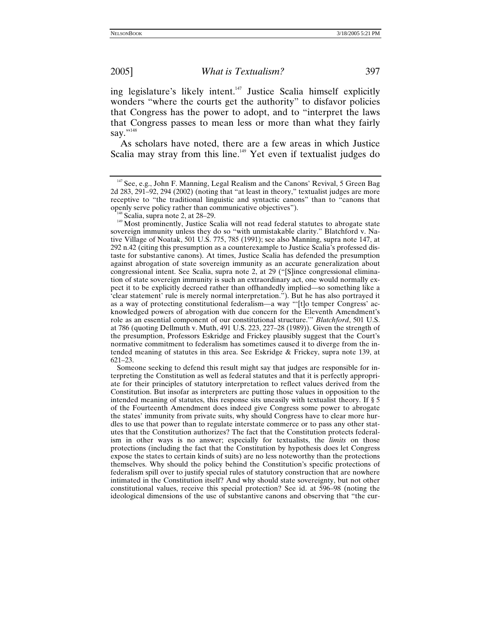ing legislature's likely intent[.147](#page-50-0) Justice Scalia himself explicitly wonders "where the courts get the authority" to disfavor policies that Congress has the power to adopt, and to "interpret the laws that Congress passes to mean less or more than what they fairly say."<sup>[148](#page-50-1)</sup>

As scholars have noted, there are a few areas in which Justice Scalia may stray from this line.<sup> $149$ </sup> Yet even if textualist judges do

<span id="page-50-2"></span><span id="page-50-1"></span><sup>148</sup> Scalia, supra note 2, at 28–29. 149 Most prominently, Justice Scalia will not read federal statutes to abrogate state sovereign immunity unless they do so "with unmistakable clarity." Blatchford v. Native Village of Noatak, 501 U.S. 775, 785 (1991); see also Manning, supra note 147, at 292 n.42 (citing this presumption as a counterexample to Justice Scalia's professed distaste for substantive canons). At times, Justice Scalia has defended the presumption against abrogation of state sovereign immunity as an accurate generalization about congressional intent. See Scalia, supra note 2, at 29 ("[S]ince congressional elimination of state sovereign immunity is such an extraordinary act, one would normally expect it to be explicitly decreed rather than offhandedly implied—so something like a 'clear statement' rule is merely normal interpretation."). But he has also portrayed it as a way of protecting constitutional federalism—a way "'[t]o temper Congress' acknowledged powers of abrogation with due concern for the Eleventh Amendment's role as an essential component of our constitutional structure.'" *Blatchford*, 501 U.S. at 786 (quoting Dellmuth v. Muth, 491 U.S. 223, 227–28 (1989)). Given the strength of the presumption, Professors Eskridge and Frickey plausibly suggest that the Court's normative commitment to federalism has sometimes caused it to diverge from the intended meaning of statutes in this area. See Eskridge & Frickey, supra note 139, at 621–23.

 Someone seeking to defend this result might say that judges are responsible for interpreting the Constitution as well as federal statutes and that it is perfectly appropriate for their principles of statutory interpretation to reflect values derived from the Constitution. But insofar as interpreters are putting those values in opposition to the intended meaning of statutes, this response sits uneasily with textualist theory. If § 5 of the Fourteenth Amendment does indeed give Congress some power to abrogate the states' immunity from private suits, why should Congress have to clear more hurdles to use that power than to regulate interstate commerce or to pass any other statutes that the Constitution authorizes? The fact that the Constitution protects federalism in other ways is no answer; especially for textualists, the *limits* on those protections (including the fact that the Constitution by hypothesis does let Congress expose the states to certain kinds of suits) are no less noteworthy than the protections themselves. Why should the policy behind the Constitution's specific protections of federalism spill over to justify special rules of statutory construction that are nowhere intimated in the Constitution itself? And why should state sovereignty, but not other constitutional values, receive this special protection? See id. at 596–98 (noting the ideological dimensions of the use of substantive canons and observing that "the cur-

<span id="page-50-0"></span><sup>&</sup>lt;sup>147</sup> See, e.g., John F. Manning, Legal Realism and the Canons' Revival, 5 Green Bag 2d 283, 291–92, 294 (2002) (noting that "at least in theory," textualist judges are more receptive to "the traditional linguistic and syntactic canons" than to "canons that openly serve policy rather than communicative objectives").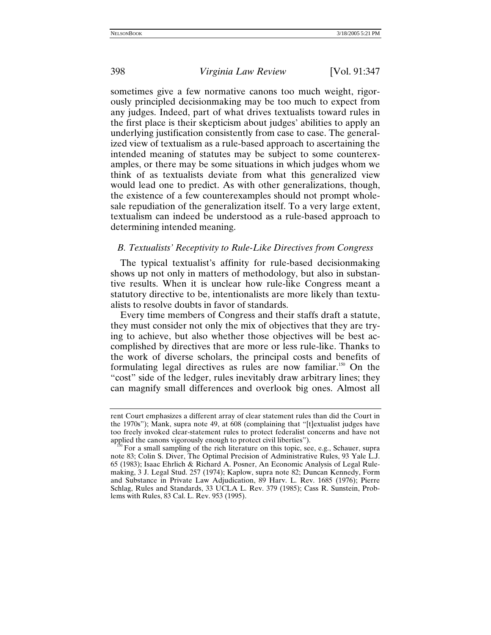sometimes give a few normative canons too much weight, rigorously principled decisionmaking may be too much to expect from any judges. Indeed, part of what drives textualists toward rules in the first place is their skepticism about judges' abilities to apply an underlying justification consistently from case to case. The generalized view of textualism as a rule-based approach to ascertaining the intended meaning of statutes may be subject to some counterexamples, or there may be some situations in which judges whom we think of as textualists deviate from what this generalized view would lead one to predict. As with other generalizations, though, the existence of a few counterexamples should not prompt wholesale repudiation of the generalization itself. To a very large extent, textualism can indeed be understood as a rule-based approach to determining intended meaning.

## *B. Textualists' Receptivity to Rule-Like Directives from Congress*

The typical textualist's affinity for rule-based decisionmaking shows up not only in matters of methodology, but also in substantive results. When it is unclear how rule-like Congress meant a statutory directive to be, intentionalists are more likely than textualists to resolve doubts in favor of standards.

Every time members of Congress and their staffs draft a statute, they must consider not only the mix of objectives that they are trying to achieve, but also whether those objectives will be best accomplished by directives that are more or less rule-like. Thanks to the work of diverse scholars, the principal costs and benefits of formulating legal directives as rules are now familiar.<sup>150</sup> On the "cost" side of the ledger, rules inevitably draw arbitrary lines; they can magnify small differences and overlook big ones. Almost all

rent Court emphasizes a different array of clear statement rules than did the Court in the 1970s"); Mank, supra note 49, at 608 (complaining that "[t]extualist judges have too freely invoked clear-statement rules to protect federalist concerns and have not applied the canons vigorously enough to protect civil liberties").

<span id="page-51-0"></span>For a small sampling of the rich literature on this topic, see, e.g., Schauer, supra note 83; Colin S. Diver, The Optimal Precision of Administrative Rules, 93 Yale L.J. 65 (1983); Isaac Ehrlich & Richard A. Posner, An Economic Analysis of Legal Rulemaking, 3 J. Legal Stud. 257 (1974); Kaplow, supra note 82; Duncan Kennedy, Form and Substance in Private Law Adjudication, 89 Harv. L. Rev. 1685 (1976); Pierre Schlag, Rules and Standards, 33 UCLA L. Rev. 379 (1985); Cass R. Sunstein, Problems with Rules, 83 Cal. L. Rev. 953 (1995).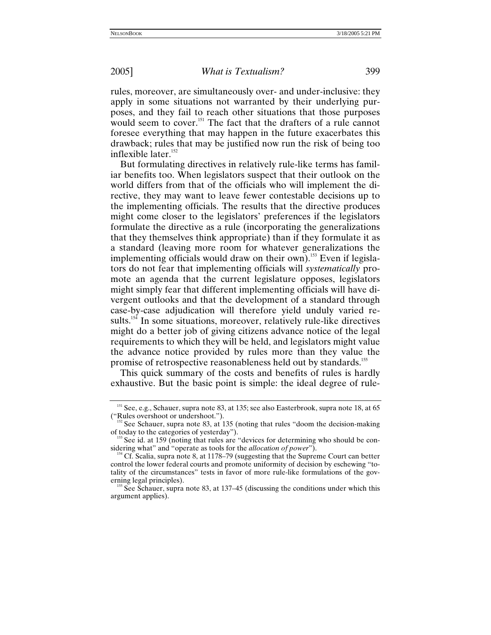rules, moreover, are simultaneously over- and under-inclusive: they apply in some situations not warranted by their underlying purposes, and they fail to reach other situations that those purposes would seem to cover.<sup>151</sup> The fact that the drafters of a rule cannot foresee everything that may happen in the future exacerbates this drawback; rules that may be justified now run the risk of being too inflexible later.<sup>152</sup>

But formulating directives in relatively rule-like terms has familiar benefits too. When legislators suspect that their outlook on the world differs from that of the officials who will implement the directive, they may want to leave fewer contestable decisions up to the implementing officials. The results that the directive produces might come closer to the legislators' preferences if the legislators formulate the directive as a rule (incorporating the generalizations that they themselves think appropriate) than if they formulate it as a standard (leaving more room for whatever generalizations the implementing officials would draw on their own).<sup>153</sup> Even if legislators do not fear that implementing officials will *systematically* promote an agenda that the current legislature opposes, legislators might simply fear that different implementing officials will have divergent outlooks and that the development of a standard through case-by-case adjudication will therefore yield unduly varied results.<sup>154</sup> In some situations, moreover, relatively rule-like directives might do a better job of giving citizens advance notice of the legal requirements to which they will be held, and legislators might value the advance notice provided by rules more than they value the promise of retrospective reasonableness held out by standards.<sup>[155](#page-52-4)</sup>

This quick summary of the costs and benefits of rules is hardly exhaustive. But the basic point is simple: the ideal degree of rule-

<span id="page-52-0"></span> $151$  See, e.g., Schauer, supra note 83, at 135; see also Easterbrook, supra note 18, at 65

<span id="page-52-1"></span><sup>(&</sup>quot;Rules overshoot or undershoot.").<br><sup>152</sup> See Schauer, supra note 83, at 135 (noting that rules "doom the decision-making of today to the categories of yesterday").

<span id="page-52-2"></span>See id. at 159 (noting that rules are "devices for determining who should be considering what" and "operate as tools for the *allocation of power*").<br><sup>154</sup> Cf. Scalia, supra note 8, at 1178–79 (suggesting that the Supreme Court can better

<span id="page-52-3"></span>control the lower federal courts and promote uniformity of decision by eschewing "totality of the circumstances" tests in favor of more rule-like formulations of the governing legal principles).<br><sup>155</sup> See Schauer, supra note 83, at 137–45 (discussing the conditions under which this

<span id="page-52-4"></span>argument applies).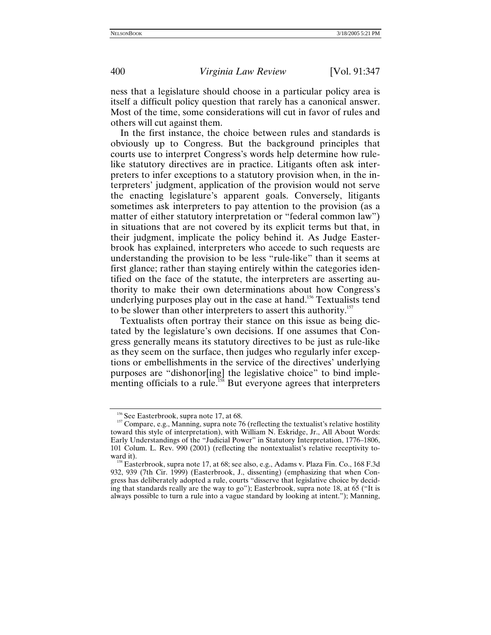ness that a legislature should choose in a particular policy area is itself a difficult policy question that rarely has a canonical answer. Most of the time, some considerations will cut in favor of rules and others will cut against them.

In the first instance, the choice between rules and standards is obviously up to Congress. But the background principles that courts use to interpret Congress's words help determine how rulelike statutory directives are in practice. Litigants often ask interpreters to infer exceptions to a statutory provision when, in the interpreters' judgment, application of the provision would not serve the enacting legislature's apparent goals. Conversely, litigants sometimes ask interpreters to pay attention to the provision (as a matter of either statutory interpretation or "federal common law") in situations that are not covered by its explicit terms but that, in their judgment, implicate the policy behind it. As Judge Easterbrook has explained, interpreters who accede to such requests are understanding the provision to be less "rule-like" than it seems at first glance; rather than staying entirely within the categories identified on the face of the statute, the interpreters are asserting authority to make their own determinations about how Congress's underlying purposes play out in the case at hand.<sup>156</sup> Textualists tend to be slower than other interpreters to assert this authority.<sup>[157](#page-53-1)</sup>

Textualists often portray their stance on this issue as being dictated by the legislature's own decisions. If one assumes that Congress generally means its statutory directives to be just as rule-like as they seem on the surface, then judges who regularly infer exceptions or embellishments in the service of the directives' underlying purposes are "dishonor[ing] the legislative choice" to bind implementing officials to a rule.<sup>158</sup> But everyone agrees that interpreters

<span id="page-53-1"></span><span id="page-53-0"></span><sup>&</sup>lt;sup>156</sup> See Easterbrook, supra note 17, at 68.<br><sup>157</sup> Compare, e.g., Manning, supra note 76 (reflecting the textualist's relative hostility toward this style of interpretation), with William N. Eskridge, Jr., All About Words: Early Understandings of the "Judicial Power" in Statutory Interpretation, 1776–1806, 101 Colum. L. Rev. 990 (2001) (reflecting the nontextualist's relative receptivity to-

<span id="page-53-2"></span>ward it).<br><sup>158</sup> Easterbrook, supra note 17, at 68; see also, e.g., Adams v. Plaza Fin. Co., 168 F.3d 932, 939 (7th Cir. 1999) (Easterbrook, J., dissenting) (emphasizing that when Congress has deliberately adopted a rule, courts "disserve that legislative choice by deciding that standards really are the way to go"); Easterbrook, supra note 18, at 65 ("It is always possible to turn a rule into a vague standard by looking at intent."); Manning,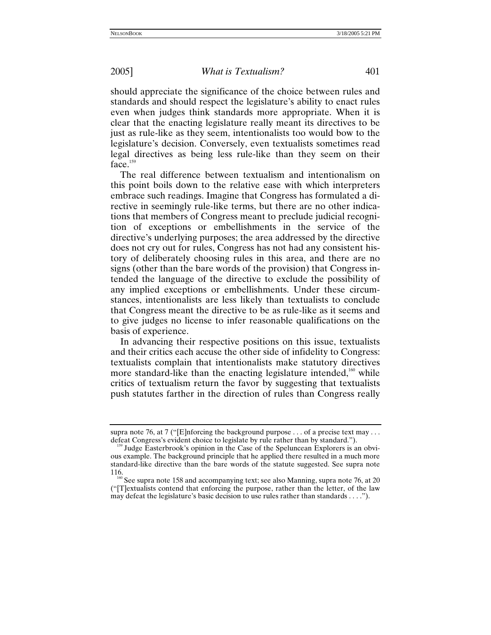should appreciate the significance of the choice between rules and standards and should respect the legislature's ability to enact rules even when judges think standards more appropriate. When it is clear that the enacting legislature really meant its directives to be just as rule-like as they seem, intentionalists too would bow to the legislature's decision. Conversely, even textualists sometimes read legal directives as being less rule-like than they seem on their  $face<sup>159</sup>$ 

The real difference between textualism and intentionalism on this point boils down to the relative ease with which interpreters embrace such readings. Imagine that Congress has formulated a directive in seemingly rule-like terms, but there are no other indications that members of Congress meant to preclude judicial recognition of exceptions or embellishments in the service of the directive's underlying purposes; the area addressed by the directive does not cry out for rules, Congress has not had any consistent history of deliberately choosing rules in this area, and there are no signs (other than the bare words of the provision) that Congress intended the language of the directive to exclude the possibility of any implied exceptions or embellishments. Under these circumstances, intentionalists are less likely than textualists to conclude that Congress meant the directive to be as rule-like as it seems and to give judges no license to infer reasonable qualifications on the basis of experience.

In advancing their respective positions on this issue, textualists and their critics each accuse the other side of infidelity to Congress: textualists complain that intentionalists make statutory directives more standard-like than the enacting legislature intended, $160$  while critics of textualism return the favor by suggesting that textualists push statutes farther in the direction of rules than Congress really

supra note 76, at 7 ("[E]nforcing the background purpose  $\dots$  of a precise text may  $\dots$  defeat Congress's evident choice to legislate by rule rather than by standard.").

<span id="page-54-0"></span><sup>&</sup>lt;sup>159</sup> Judge Easterbrook's opinion in the Case of the Speluncean Explorers is an obvious example. The background principle that he applied there resulted in a much more standard-like directive than the bare words of the statute suggested. See supra note 116.  $\frac{160}{160}$  See supra note 158 and accompanying text; see also Manning, supra note 76, at 20

<span id="page-54-1"></span><sup>(&</sup>quot;[T]extualists contend that enforcing the purpose, rather than the letter, of the law may defeat the legislature's basic decision to use rules rather than standards . . . .").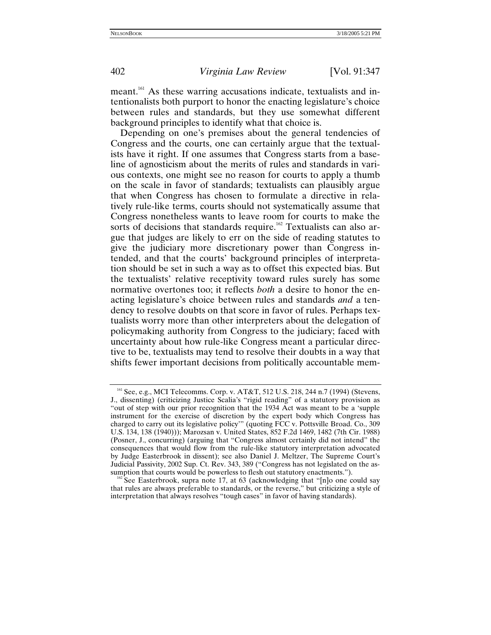meant[.161](#page-55-0) As these warring accusations indicate, textualists and intentionalists both purport to honor the enacting legislature's choice between rules and standards, but they use somewhat different background principles to identify what that choice is.

Depending on one's premises about the general tendencies of Congress and the courts, one can certainly argue that the textualists have it right. If one assumes that Congress starts from a baseline of agnosticism about the merits of rules and standards in various contexts, one might see no reason for courts to apply a thumb on the scale in favor of standards; textualists can plausibly argue that when Congress has chosen to formulate a directive in relatively rule-like terms, courts should not systematically assume that Congress nonetheless wants to leave room for courts to make the sorts of decisions that standards require.<sup>162</sup> Textualists can also argue that judges are likely to err on the side of reading statutes to give the judiciary more discretionary power than Congress intended, and that the courts' background principles of interpretation should be set in such a way as to offset this expected bias. But the textualists' relative receptivity toward rules surely has some normative overtones too; it reflects *both* a desire to honor the enacting legislature's choice between rules and standards *and* a tendency to resolve doubts on that score in favor of rules. Perhaps textualists worry more than other interpreters about the delegation of policymaking authority from Congress to the judiciary; faced with uncertainty about how rule-like Congress meant a particular directive to be, textualists may tend to resolve their doubts in a way that shifts fewer important decisions from politically accountable mem-

<span id="page-55-0"></span><sup>&</sup>lt;sup>161</sup> See, e.g., MCI Telecomms. Corp. v. AT&T, 512 U.S. 218, 244 n.7 (1994) (Stevens, J., dissenting) (criticizing Justice Scalia's "rigid reading" of a statutory provision as "out of step with our prior recognition that the 1934 Act was meant to be a 'supple instrument for the exercise of discretion by the expert body which Congress has charged to carry out its legislative policy'" (quoting FCC v. Pottsville Broad. Co., 309 U.S. 134, 138 (1940))); Marozsan v. United States, 852 F.2d 1469, 1482 (7th Cir. 1988) (Posner, J., concurring) (arguing that "Congress almost certainly did not intend" the consequences that would flow from the rule-like statutory interpretation advocated by Judge Easterbrook in dissent); see also Daniel J. Meltzer, The Supreme Court's Judicial Passivity, 2002 Sup. Ct. Rev. 343, 389 ("Congress has not legislated on the as-

<span id="page-55-1"></span> $162$  See Easterbrook, supra note 17, at 63 (acknowledging that "[n]o one could say that rules are always preferable to standards, or the reverse," but criticizing a style of interpretation that always resolves "tough cases" in favor of having standards).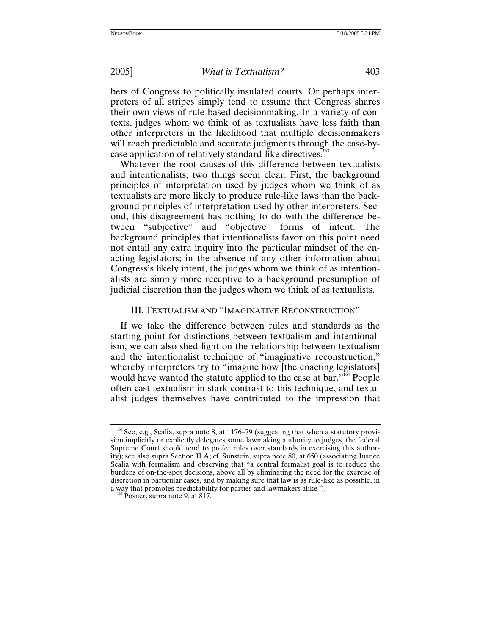bers of Congress to politically insulated courts. Or perhaps interpreters of all stripes simply tend to assume that Congress shares their own views of rule-based decisionmaking. In a variety of contexts, judges whom we think of as textualists have less faith than other interpreters in the likelihood that multiple decisionmakers will reach predictable and accurate judgments through the case-bycase application of relatively standard-like directives.<sup>163</sup>

Whatever the root causes of this difference between textualists and intentionalists, two things seem clear. First, the background principles of interpretation used by judges whom we think of as textualists are more likely to produce rule-like laws than the background principles of interpretation used by other interpreters. Second, this disagreement has nothing to do with the difference between "subjective" and "objective" forms of intent. The background principles that intentionalists favor on this point need not entail any extra inquiry into the particular mindset of the enacting legislators; in the absence of any other information about Congress's likely intent, the judges whom we think of as intentionalists are simply more receptive to a background presumption of judicial discretion than the judges whom we think of as textualists.

## III. TEXTUALISM AND "IMAGINATIVE RECONSTRUCTION"

If we take the difference between rules and standards as the starting point for distinctions between textualism and intentionalism, we can also shed light on the relationship between textualism and the intentionalist technique of "imaginative reconstruction," whereby interpreters try to "imagine how [the enacting legislators] would have wanted the statute applied to the case at bar."<sup>164</sup> People often cast textualism in stark contrast to this technique, and textualist judges themselves have contributed to the impression that

<span id="page-56-0"></span><sup>&</sup>lt;sup>163</sup> See, e.g., Scalia, supra note 8, at 1176–79 (suggesting that when a statutory provision implicitly or explicitly delegates some lawmaking authority to judges, the federal Supreme Court should tend to prefer rules over standards in exercising this authority); see also supra Section II.A; cf. Sunstein, supra note 80, at 650 (associating Justice Scalia with formalism and observing that "a central formalist goal is to reduce the burdens of on-the-spot decisions, above all by eliminating the need for the exercise of discretion in particular cases, and by making sure that law is as rule-like as possible, in a way that promotes predictability for parties and lawmakers alike"). 164 Posner, supra note 9, at 817.

<span id="page-56-1"></span>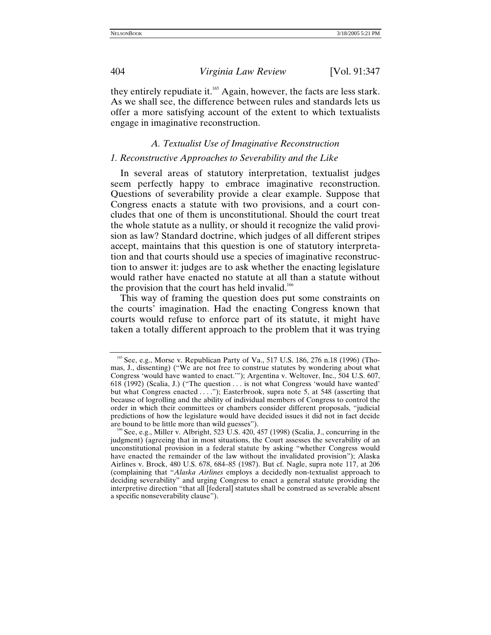they entirely repudiate it.<sup>165</sup> Again, however, the facts are less stark. As we shall see, the difference between rules and standards lets us offer a more satisfying account of the extent to which textualists engage in imaginative reconstruction.

## *A. Textualist Use of Imaginative Reconstruction*

## *1. Reconstructive Approaches to Severability and the Like*

In several areas of statutory interpretation, textualist judges seem perfectly happy to embrace imaginative reconstruction. Questions of severability provide a clear example. Suppose that Congress enacts a statute with two provisions, and a court concludes that one of them is unconstitutional. Should the court treat the whole statute as a nullity, or should it recognize the valid provision as law? Standard doctrine, which judges of all different stripes accept, maintains that this question is one of statutory interpretation and that courts should use a species of imaginative reconstruction to answer it: judges are to ask whether the enacting legislature would rather have enacted no statute at all than a statute without the provision that the court has held invalid.<sup>166</sup>

This way of framing the question does put some constraints on the courts' imagination. Had the enacting Congress known that courts would refuse to enforce part of its statute, it might have taken a totally different approach to the problem that it was trying

<span id="page-57-0"></span> $165$  See, e.g., Morse v. Republican Party of Va., 517 U.S. 186, 276 n.18 (1996) (Thomas, J., dissenting) ("We are not free to construe statutes by wondering about what Congress 'would have wanted to enact.'"); Argentina v. Weltover, Inc., 504 U.S. 607, 618 (1992) (Scalia, J.) ("The question . . . is not what Congress 'would have wanted' but what Congress enacted ...."); Easterbrook, supra note 5, at 548 (asserting that because of logrolling and the ability of individual members of Congress to control the order in which their committees or chambers consider different proposals, "judicial predictions of how the legislature would have decided issues it did not in fact decide

<span id="page-57-1"></span><sup>&</sup>lt;sup>166</sup> See, e.g., Miller v. Albright, 523 U.S. 420, 457 (1998) (Scalia, J., concurring in the judgment) (agreeing that in most situations, the Court assesses the severability of an unconstitutional provision in a federal statute by asking "whether Congress would have enacted the remainder of the law without the invalidated provision"); Alaska Airlines v. Brock, 480 U.S. 678, 684–85 (1987). But cf. Nagle, supra note 117, at 206 (complaining that "*Alaska Airlines* employs a decidedly non-textualist approach to deciding severability" and urging Congress to enact a general statute providing the interpretive direction "that all [federal] statutes shall be construed as severable absent a specific nonseverability clause").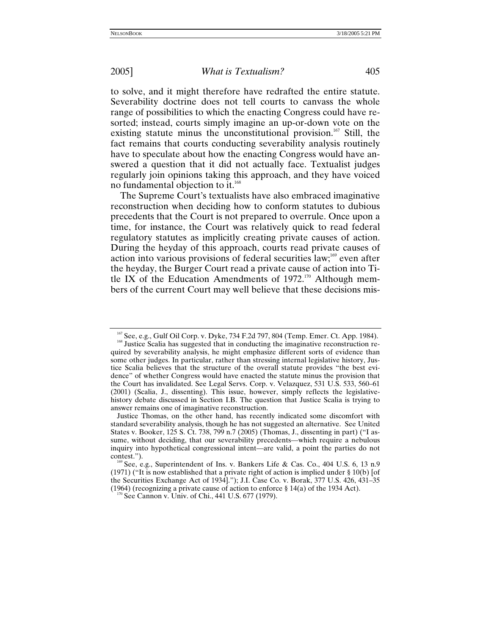to solve, and it might therefore have redrafted the entire statute. Severability doctrine does not tell courts to canvass the whole range of possibilities to which the enacting Congress could have resorted; instead, courts simply imagine an up-or-down vote on the existing statute minus the unconstitutional provision.<sup>167</sup> Still, the fact remains that courts conducting severability analysis routinely have to speculate about how the enacting Congress would have answered a question that it did not actually face. Textualist judges regularly join opinions taking this approach, and they have voiced no fundamental objection to it.<sup>168</sup>

The Supreme Court's textualists have also embraced imaginative reconstruction when deciding how to conform statutes to dubious precedents that the Court is not prepared to overrule. Once upon a time, for instance, the Court was relatively quick to read federal regulatory statutes as implicitly creating private causes of action. During the heyday of this approach, courts read private causes of action into various provisions of federal securities law; $^{169}$  even after the heyday, the Burger Court read a private cause of action into Title IX of the Education Amendments of  $1972$ .<sup>170</sup> Although members of the current Court may well believe that these decisions mis-

<span id="page-58-0"></span><sup>&</sup>lt;sup>167</sup> See, e.g., Gulf Oil Corp. v. Dyke, 734 F.2d 797, 804 (Temp. Emer. Ct. App. 1984).<br><sup>168</sup> Justice Scalia has suggested that in conducting the imaginative reconstruction re-

<span id="page-58-1"></span>quired by severability analysis, he might emphasize different sorts of evidence than some other judges. In particular, rather than stressing internal legislative history, Justice Scalia believes that the structure of the overall statute provides "the best evidence" of whether Congress would have enacted the statute minus the provision that the Court has invalidated. See Legal Servs. Corp. v. Velazquez, 531 U.S. 533, 560–61 (2001) (Scalia, J., dissenting). This issue, however, simply reflects the legislativehistory debate discussed in Section I.B. The question that Justice Scalia is trying to answer remains one of imaginative reconstruction.

Justice Thomas, on the other hand, has recently indicated some discomfort with standard severability analysis, though he has not suggested an alternative. See United States v. Booker, 125 S. Ct. 738, 799 n.7 (2005) (Thomas, J., dissenting in part) ("I assume, without deciding, that our severability precedents—which require a nebulous inquiry into hypothetical congressional intent—are valid, a point the parties do not contest.").<br><sup>169</sup> See, e.g., Superintendent of Ins. v. Bankers Life & Cas. Co., 404 U.S. 6, 13 n.9

<span id="page-58-2"></span><sup>(1971) (&</sup>quot;It is now established that a private right of action is implied under § 10(b) [of the Securities Exchange Act of 1934]."); J.I. Case Co. v. Borak, 377 U.S. 426, 431–35 (1964) (recognizing a private cause of action to enforce § 14(a) of the 1934 Act). <sup>170</sup> See Cannon v. Univ. of Chi., 441 U.S. 677 (1979).

<span id="page-58-3"></span>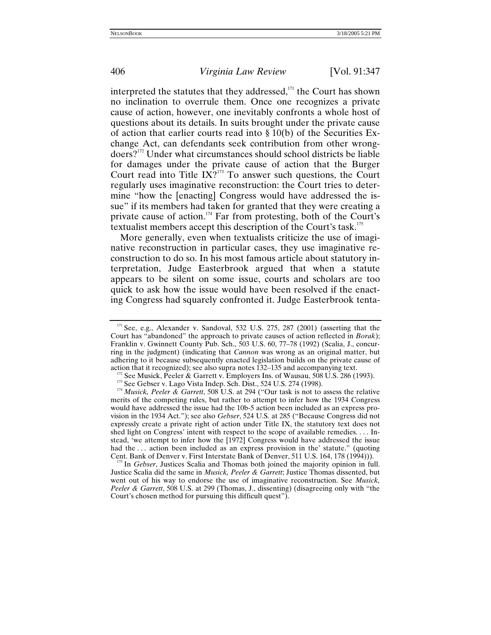interpreted the statutes that they addressed, $1/11$  the Court has shown no inclination to overrule them. Once one recognizes a private cause of action, however, one inevitably confronts a whole host of questions about its details. In suits brought under the private cause of action that earlier courts read into § 10(b) of the Securities Exchange Act, can defendants seek contribution from other wrongdoers[?172](#page-59-1) Under what circumstances should school districts be liable for damages under the private cause of action that the Burger Court read into Title  $IX<sup>2173</sup>$  To answer such questions, the Court regularly uses imaginative reconstruction: the Court tries to determine "how the [enacting] Congress would have addressed the issue" if its members had taken for granted that they were creating a private cause of action.<sup>174</sup> Far from protesting, both of the Court's textualist members accept this description of the Court's task.<sup>175</sup>

More generally, even when textualists criticize the use of imaginative reconstruction in particular cases, they use imaginative reconstruction to do so. In his most famous article about statutory interpretation, Judge Easterbrook argued that when a statute appears to be silent on some issue, courts and scholars are too quick to ask how the issue would have been resolved if the enacting Congress had squarely confronted it. Judge Easterbrook tenta-

<span id="page-59-4"></span>In Gebser, Justices Scalia and Thomas both joined the majority opinion in full. Justice Scalia did the same in *Musick, Peeler & Garrett*; Justice Thomas dissented, but went out of his way to endorse the use of imaginative reconstruction. See *Musick, Peeler & Garrett*, 508 U.S. at 299 (Thomas, J., dissenting) (disagreeing only with "the Court's chosen method for pursuing this difficult quest").

<span id="page-59-0"></span> $171$  See, e.g., Alexander v. Sandoval, 532 U.S. 275, 287 (2001) (asserting that the Court has "abandoned" the approach to private causes of action reflected in *Borak*); Franklin v. Gwinnett County Pub. Sch., 503 U.S. 60, 77–78 (1992) (Scalia, J., concurring in the judgment) (indicating that *Cannon* was wrong as an original matter, but adhering to it because subsequently enacted legislation builds on the private cause of

<span id="page-59-1"></span>action that it recognized); see also supra notes 132–135 and accompanying text.<br><sup>172</sup> See Musick, Peeler & Garrett v. Employers Ins. of Wausau, 508 U.S. 286 (1993).<br><sup>173</sup> See Gebser v. Lago Vista Indep. Sch. Dist., 524 U.

<span id="page-59-2"></span>

<span id="page-59-3"></span>merits of the competing rules, but rather to attempt to infer how the 1934 Congress would have addressed the issue had the 10b-5 action been included as an express provision in the 1934 Act."); see also *Gebser*, 524 U.S. at 285 ("Because Congress did not expressly create a private right of action under Title IX, the statutory text does not shed light on Congress' intent with respect to the scope of available remedies. . . . Instead, 'we attempt to infer how the [1972] Congress would have addressed the issue had the ... action been included as an express provision in the' statute." (quoting Cent. Bank of Denver v. First Interstate Bank of Denver, 511 U.S. 164, 178 (1994))).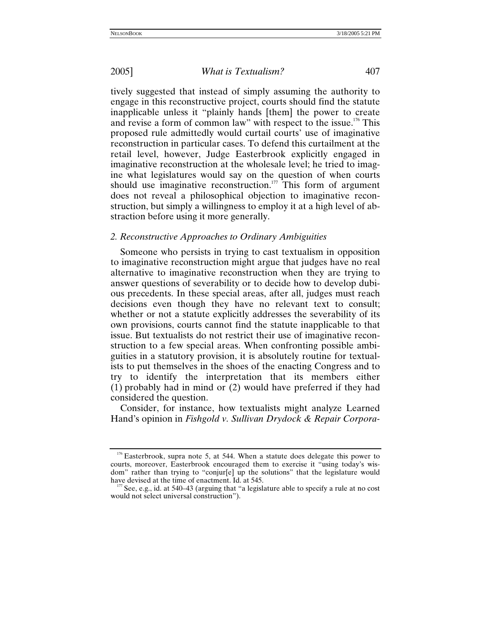tively suggested that instead of simply assuming the authority to engage in this reconstructive project, courts should find the statute inapplicable unless it "plainly hands [them] the power to create and revise a form of common law" with respect to the issue.<sup>176</sup> This proposed rule admittedly would curtail courts' use of imaginative reconstruction in particular cases. To defend this curtailment at the retail level, however, Judge Easterbrook explicitly engaged in imaginative reconstruction at the wholesale level; he tried to imagine what legislatures would say on the question of when courts should use imaginative reconstruction.<sup>177</sup> This form of argument does not reveal a philosophical objection to imaginative reconstruction, but simply a willingness to employ it at a high level of abstraction before using it more generally.

## *2. Reconstructive Approaches to Ordinary Ambiguities*

Someone who persists in trying to cast textualism in opposition to imaginative reconstruction might argue that judges have no real alternative to imaginative reconstruction when they are trying to answer questions of severability or to decide how to develop dubious precedents. In these special areas, after all, judges must reach decisions even though they have no relevant text to consult; whether or not a statute explicitly addresses the severability of its own provisions, courts cannot find the statute inapplicable to that issue. But textualists do not restrict their use of imaginative reconstruction to a few special areas. When confronting possible ambiguities in a statutory provision, it is absolutely routine for textualists to put themselves in the shoes of the enacting Congress and to try to identify the interpretation that its members either (1) probably had in mind or (2) would have preferred if they had considered the question.

Consider, for instance, how textualists might analyze Learned Hand's opinion in *Fishgold v. Sullivan Drydock & Repair Corpora-*

<span id="page-60-0"></span><sup>&</sup>lt;sup>176</sup> Easterbrook, supra note 5, at 544. When a statute does delegate this power to courts, moreover, Easterbrook encouraged them to exercise it "using today's wisdom" rather than trying to "conjur[e] up the solutions" that the legislature would have devised at the time of enactment. Id. at 545.

<span id="page-60-1"></span> $\frac{1}{2}$  See, e.g., id. at 540–43 (arguing that "a legislature able to specify a rule at no cost would not select universal construction").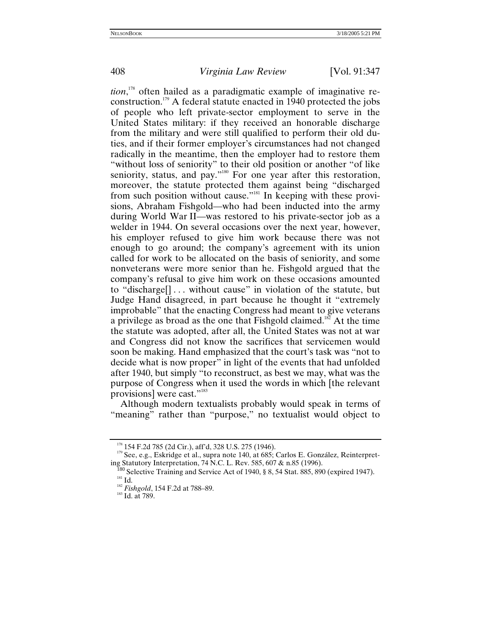*tion*, [178](#page-61-0) often hailed as a paradigmatic example of imaginative reconstruction.[179](#page-61-1) A federal statute enacted in 1940 protected the jobs of people who left private-sector employment to serve in the United States military: if they received an honorable discharge from the military and were still qualified to perform their old duties, and if their former employer's circumstances had not changed radically in the meantime, then the employer had to restore them "without loss of seniority" to their old position or another "of like seniority, status, and pay."<sup>180</sup> For one year after this restoration, moreover, the statute protected them against being "discharged from such position without cause.["181](#page-61-3) In keeping with these provisions, Abraham Fishgold—who had been inducted into the army during World War II—was restored to his private-sector job as a welder in 1944. On several occasions over the next year, however, his employer refused to give him work because there was not enough to go around; the company's agreement with its union called for work to be allocated on the basis of seniority, and some nonveterans were more senior than he. Fishgold argued that the company's refusal to give him work on these occasions amounted to "discharge[] . . . without cause" in violation of the statute, but Judge Hand disagreed, in part because he thought it "extremely improbable" that the enacting Congress had meant to give veterans a privilege as broad as the one that Fishgold claimed.<sup>182</sup> At the time the statute was adopted, after all, the United States was not at war and Congress did not know the sacrifices that servicemen would soon be making. Hand emphasized that the court's task was "not to decide what is now proper" in light of the events that had unfolded after 1940, but simply "to reconstruct, as best we may, what was the purpose of Congress when it used the words in which [the relevant provisions] were cast."<sup>[183](#page-61-5)</sup>

Although modern textualists probably would speak in terms of "meaning" rather than "purpose," no textualist would object to

<span id="page-61-1"></span><span id="page-61-0"></span><sup>&</sup>lt;sup>178</sup> 154 F.2d 785 (2d Cir.), aff'd, 328 U.S. 275 (1946).<br><sup>179</sup> See, e.g., Eskridge et al., supra note 140, at 685; Carlos E. González, Reinterpret-<br>ing Statutory Interpretation, 74 N.C. L. Rev. 585, 607 & n.85 (1996).

<span id="page-61-3"></span><span id="page-61-2"></span><sup>&</sup>lt;sup>I80</sup> Selective Training and Service Act of 1940, § 8, 54 Stat. 885, 890 (expired 1947).<br><sup>181</sup> Id. <sup>182</sup> *Fishgold*, 154 F.2d at 788–89. <sup>183</sup> Id. at 789.

<span id="page-61-4"></span>

<span id="page-61-5"></span>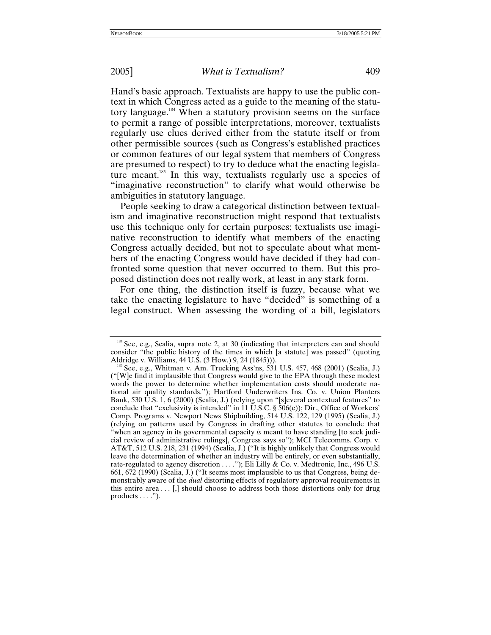Hand's basic approach. Textualists are happy to use the public context in which Congress acted as a guide to the meaning of the statutory language[.184](#page-62-0) When a statutory provision seems on the surface to permit a range of possible interpretations, moreover, textualists regularly use clues derived either from the statute itself or from other permissible sources (such as Congress's established practices or common features of our legal system that members of Congress are presumed to respect) to try to deduce what the enacting legislature meant.<sup>185</sup> In this way, textualists regularly use a species of "imaginative reconstruction" to clarify what would otherwise be ambiguities in statutory language.

People seeking to draw a categorical distinction between textualism and imaginative reconstruction might respond that textualists use this technique only for certain purposes; textualists use imaginative reconstruction to identify what members of the enacting Congress actually decided, but not to speculate about what members of the enacting Congress would have decided if they had confronted some question that never occurred to them. But this proposed distinction does not really work, at least in any stark form.

For one thing, the distinction itself is fuzzy, because what we take the enacting legislature to have "decided" is something of a legal construct. When assessing the wording of a bill, legislators

<span id="page-62-0"></span><sup>184</sup> See, e.g., Scalia, supra note 2, at 30 (indicating that interpreters can and should consider "the public history of the times in which [a statute] was passed" (quoting Aldridge v. Williams,  $44$  U.S. (3 How.) 9, 24 (1845))).

<span id="page-62-1"></span>See, e.g., Whitman v. Am. Trucking Ass'ns, 531 U.S. 457, 468 (2001) (Scalia, J.) ("[W]e find it implausible that Congress would give to the EPA through these modest words the power to determine whether implementation costs should moderate national air quality standards."); Hartford Underwriters Ins. Co. v. Union Planters Bank, 530 U.S. 1, 6 (2000) (Scalia, J.) (relying upon "[s]everal contextual features" to conclude that "exclusivity is intended" in 11 U.S.C.  $\S$  506(c)); Dir., Office of Workers' Comp. Programs v. Newport News Shipbuilding, 514 U.S. 122, 129 (1995) (Scalia, J.) (relying on patterns used by Congress in drafting other statutes to conclude that "when an agency in its governmental capacity *is* meant to have standing [to seek judicial review of administrative rulings], Congress says so"); MCI Telecomms. Corp. v. AT&T, 512 U.S. 218, 231 (1994) (Scalia, J.) ("It is highly unlikely that Congress would leave the determination of whether an industry will be entirely, or even substantially, rate-regulated to agency discretion . . . ."); Eli Lilly & Co. v. Medtronic, Inc., 496 U.S. 661, 672 (1990) (Scalia, J.) ("It seems most implausible to us that Congress, being demonstrably aware of the *dual* distorting effects of regulatory approval requirements in this entire area  $\dots$  [,] should choose to address both those distortions only for drug products . . . .").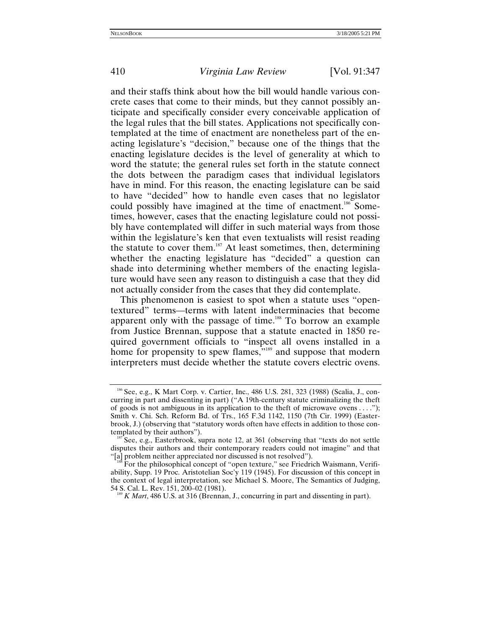and their staffs think about how the bill would handle various concrete cases that come to their minds, but they cannot possibly anticipate and specifically consider every conceivable application of the legal rules that the bill states. Applications not specifically contemplated at the time of enactment are nonetheless part of the enacting legislature's "decision," because one of the things that the enacting legislature decides is the level of generality at which to word the statute; the general rules set forth in the statute connect the dots between the paradigm cases that individual legislators have in mind. For this reason, the enacting legislature can be said to have "decided" how to handle even cases that no legislator could possibly have imagined at the time of enactment.<sup>186</sup> Sometimes, however, cases that the enacting legislature could not possibly have contemplated will differ in such material ways from those within the legislature's ken that even textualists will resist reading the statute to cover them.<sup>187</sup> At least sometimes, then, determining whether the enacting legislature has "decided" a question can shade into determining whether members of the enacting legislature would have seen any reason to distinguish a case that they did not actually consider from the cases that they did contemplate.

This phenomenon is easiest to spot when a statute uses "opentextured" terms—terms with latent indeterminacies that become apparent only with the passage of time.<sup>188</sup> To borrow an example from Justice Brennan, suppose that a statute enacted in 1850 required government officials to "inspect all ovens installed in a home for propensity to spew flames,"<sup>189</sup> and suppose that modern interpreters must decide whether the statute covers electric ovens.

<span id="page-63-0"></span><sup>&</sup>lt;sup>186</sup> See, e.g., K Mart Corp. v. Cartier, Inc., 486 U.S. 281, 323 (1988) (Scalia, J., concurring in part and dissenting in part) ("A 19th-century statute criminalizing the theft of goods is not ambiguous in its application to the theft of microwave ovens  $\dots$ "); Smith v. Chi. Sch. Reform Bd. of Trs., 165 F.3d 1142, 1150 (7th Cir. 1999) (Easterbrook, J.) (observing that "statutory words often have effects in addition to those con-

<span id="page-63-1"></span>See, e.g., Easterbrook, supra note 12, at 361 (observing that "texts do not settle disputes their authors and their contemporary readers could not imagine" and that "[a] problem neither appreciated nor discussed is not resolved").

<span id="page-63-2"></span>For the philosophical concept of "open texture," see Friedrich Waismann, Verifiability, Supp. 19 Proc. Aristotelian Soc'y 119 (1945). For discussion of this concept in the context of legal interpretation, see Michael S. Moore, The Semantics of Judging, 54 S. Cal. L. Rev. 151, 200–02 (1981).

<span id="page-63-3"></span>K Mart, 486 U.S. at 316 (Brennan, J., concurring in part and dissenting in part).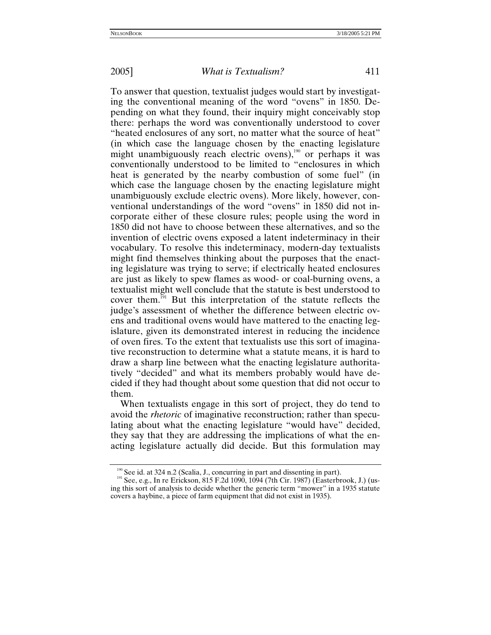To answer that question, textualist judges would start by investigating the conventional meaning of the word "ovens" in 1850. Depending on what they found, their inquiry might conceivably stop there: perhaps the word was conventionally understood to cover "heated enclosures of any sort, no matter what the source of heat" (in which case the language chosen by the enacting legislature might unambiguously reach electric ovens), $190$  or perhaps it was conventionally understood to be limited to "enclosures in which heat is generated by the nearby combustion of some fuel" (in which case the language chosen by the enacting legislature might unambiguously exclude electric ovens). More likely, however, conventional understandings of the word "ovens" in 1850 did not incorporate either of these closure rules; people using the word in 1850 did not have to choose between these alternatives, and so the invention of electric ovens exposed a latent indeterminacy in their vocabulary. To resolve this indeterminacy, modern-day textualists might find themselves thinking about the purposes that the enacting legislature was trying to serve; if electrically heated enclosures are just as likely to spew flames as wood- or coal-burning ovens, a textualist might well conclude that the statute is best understood to cover them.<sup>191</sup> But this interpretation of the statute reflects the judge's assessment of whether the difference between electric ovens and traditional ovens would have mattered to the enacting legislature, given its demonstrated interest in reducing the incidence of oven fires. To the extent that textualists use this sort of imaginative reconstruction to determine what a statute means, it is hard to draw a sharp line between what the enacting legislature authoritatively "decided" and what its members probably would have decided if they had thought about some question that did not occur to them.

When textualists engage in this sort of project, they do tend to avoid the *rhetoric* of imaginative reconstruction; rather than speculating about what the enacting legislature "would have" decided, they say that they are addressing the implications of what the enacting legislature actually did decide. But this formulation may

<span id="page-64-0"></span><sup>&</sup>lt;sup>190</sup> See id. at 324 n.2 (Scalia, J., concurring in part and dissenting in part).<br><sup>191</sup> See, e.g., In re Erickson, 815 F.2d 1090, 1094 (7th Cir. 1987) (Easterbrook, J.) (us-

<span id="page-64-1"></span>ing this sort of analysis to decide whether the generic term "mower" in a 1935 statute covers a haybine, a piece of farm equipment that did not exist in 1935).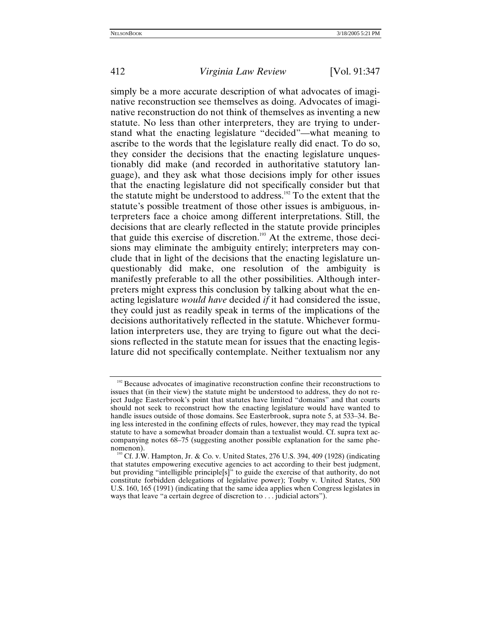simply be a more accurate description of what advocates of imaginative reconstruction see themselves as doing. Advocates of imaginative reconstruction do not think of themselves as inventing a new statute. No less than other interpreters, they are trying to understand what the enacting legislature "decided"—what meaning to ascribe to the words that the legislature really did enact. To do so, they consider the decisions that the enacting legislature unquestionably did make (and recorded in authoritative statutory language), and they ask what those decisions imply for other issues that the enacting legislature did not specifically consider but that the statute might be understood to address.<sup>192</sup> To the extent that the statute's possible treatment of those other issues is ambiguous, interpreters face a choice among different interpretations. Still, the decisions that are clearly reflected in the statute provide principles that guide this exercise of discretion.<sup>193</sup> At the extreme, those decisions may eliminate the ambiguity entirely; interpreters may conclude that in light of the decisions that the enacting legislature unquestionably did make, one resolution of the ambiguity is manifestly preferable to all the other possibilities. Although interpreters might express this conclusion by talking about what the enacting legislature *would have* decided *if* it had considered the issue, they could just as readily speak in terms of the implications of the decisions authoritatively reflected in the statute. Whichever formulation interpreters use, they are trying to figure out what the decisions reflected in the statute mean for issues that the enacting legislature did not specifically contemplate. Neither textualism nor any

<span id="page-65-0"></span><sup>&</sup>lt;sup>192</sup> Because advocates of imaginative reconstruction confine their reconstructions to issues that (in their view) the statute might be understood to address, they do not reject Judge Easterbrook's point that statutes have limited "domains" and that courts should not seek to reconstruct how the enacting legislature would have wanted to handle issues outside of those domains. See Easterbrook, supra note 5, at 533–34. Being less interested in the confining effects of rules, however, they may read the typical statute to have a somewhat broader domain than a textualist would. Cf. supra text accompanying notes 68–75 (suggesting another possible explanation for the same phenomenon).<br><sup>193</sup> Cf. J.W. Hampton, Jr. & Co. v. United States, 276 U.S. 394, 409 (1928) (indicating

<span id="page-65-1"></span>that statutes empowering executive agencies to act according to their best judgment, but providing "intelligible principle[s]" to guide the exercise of that authority, do not constitute forbidden delegations of legislative power); Touby v. United States, 500 U.S. 160, 165 (1991) (indicating that the same idea applies when Congress legislates in ways that leave "a certain degree of discretion to . . . judicial actors").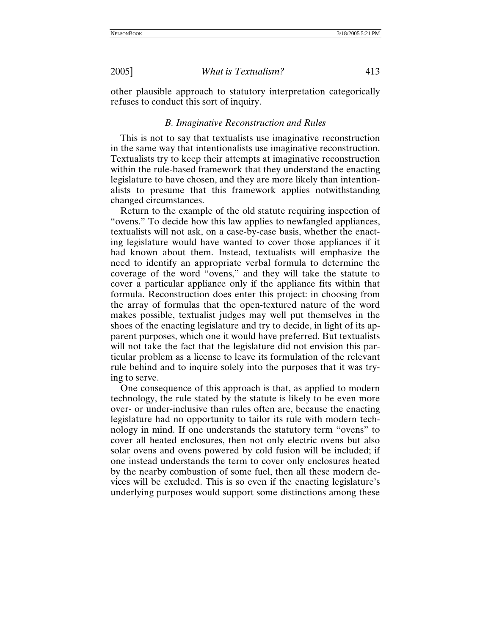other plausible approach to statutory interpretation categorically refuses to conduct this sort of inquiry.

### *B. Imaginative Reconstruction and Rules*

This is not to say that textualists use imaginative reconstruction in the same way that intentionalists use imaginative reconstruction. Textualists try to keep their attempts at imaginative reconstruction within the rule-based framework that they understand the enacting legislature to have chosen, and they are more likely than intentionalists to presume that this framework applies notwithstanding changed circumstances.

Return to the example of the old statute requiring inspection of "ovens." To decide how this law applies to newfangled appliances, textualists will not ask, on a case-by-case basis, whether the enacting legislature would have wanted to cover those appliances if it had known about them. Instead, textualists will emphasize the need to identify an appropriate verbal formula to determine the coverage of the word "ovens," and they will take the statute to cover a particular appliance only if the appliance fits within that formula. Reconstruction does enter this project: in choosing from the array of formulas that the open-textured nature of the word makes possible, textualist judges may well put themselves in the shoes of the enacting legislature and try to decide, in light of its apparent purposes, which one it would have preferred. But textualists will not take the fact that the legislature did not envision this particular problem as a license to leave its formulation of the relevant rule behind and to inquire solely into the purposes that it was trying to serve.

One consequence of this approach is that, as applied to modern technology, the rule stated by the statute is likely to be even more over- or under-inclusive than rules often are, because the enacting legislature had no opportunity to tailor its rule with modern technology in mind. If one understands the statutory term "ovens" to cover all heated enclosures, then not only electric ovens but also solar ovens and ovens powered by cold fusion will be included; if one instead understands the term to cover only enclosures heated by the nearby combustion of some fuel, then all these modern devices will be excluded. This is so even if the enacting legislature's underlying purposes would support some distinctions among these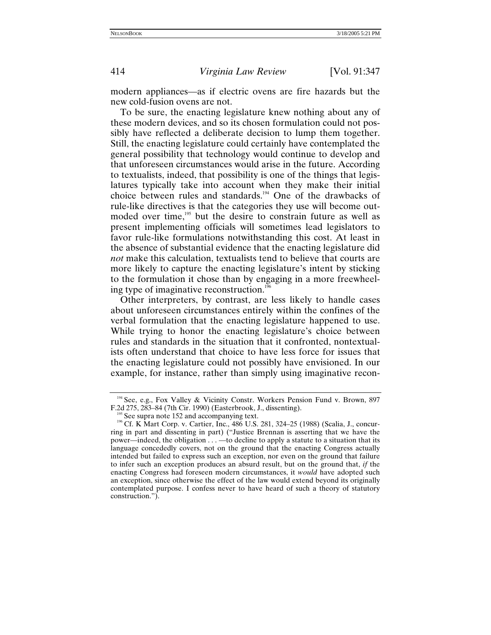modern appliances—as if electric ovens are fire hazards but the new cold-fusion ovens are not.

To be sure, the enacting legislature knew nothing about any of these modern devices, and so its chosen formulation could not possibly have reflected a deliberate decision to lump them together. Still, the enacting legislature could certainly have contemplated the general possibility that technology would continue to develop and that unforeseen circumstances would arise in the future. According to textualists, indeed, that possibility is one of the things that legislatures typically take into account when they make their initial choice between rules and standards.<sup>194</sup> One of the drawbacks of rule-like directives is that the categories they use will become outmoded over time,<sup>195</sup> but the desire to constrain future as well as present implementing officials will sometimes lead legislators to favor rule-like formulations notwithstanding this cost. At least in the absence of substantial evidence that the enacting legislature did *not* make this calculation, textualists tend to believe that courts are more likely to capture the enacting legislature's intent by sticking to the formulation it chose than by engaging in a more freewheeling type of imaginative reconstruction.<sup>19</sup>

Other interpreters, by contrast, are less likely to handle cases about unforeseen circumstances entirely within the confines of the verbal formulation that the enacting legislature happened to use. While trying to honor the enacting legislature's choice between rules and standards in the situation that it confronted, nontextualists often understand that choice to have less force for issues that the enacting legislature could not possibly have envisioned. In our example, for instance, rather than simply using imaginative recon-

<span id="page-67-0"></span><sup>&</sup>lt;sup>194</sup> See, e.g., Fox Valley & Vicinity Constr. Workers Pension Fund v. Brown, 897 F.2d 275, 283–84 (7th Cir. 1990) (Easterbrook, J., dissenting).<br><sup>195</sup> See supra note 152 and accompanying text.<br><sup>196</sup> Cf. K Mart Corp. v. Cartier, Inc., 486 U.S. 281, 324–25 (1988) (Scalia, J., concur-

<span id="page-67-1"></span>

<span id="page-67-2"></span>ring in part and dissenting in part) ("Justice Brennan is asserting that we have the power—indeed, the obligation . . . —to decline to apply a statute to a situation that its language concededly covers, not on the ground that the enacting Congress actually intended but failed to express such an exception, nor even on the ground that failure to infer such an exception produces an absurd result, but on the ground that, *if* the enacting Congress had foreseen modern circumstances, it *would* have adopted such an exception, since otherwise the effect of the law would extend beyond its originally contemplated purpose. I confess never to have heard of such a theory of statutory construction.").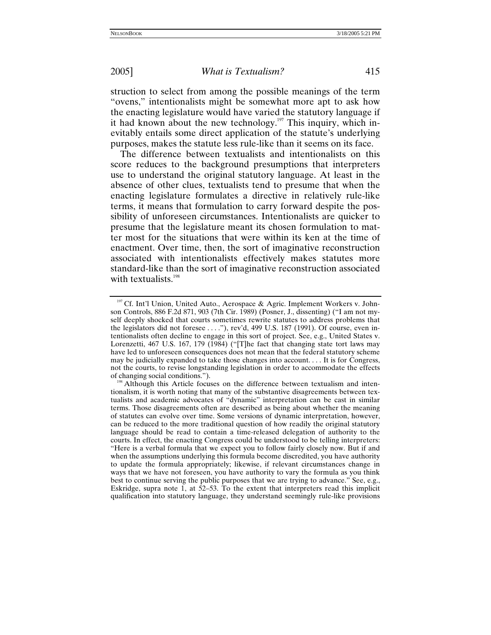struction to select from among the possible meanings of the term "ovens," intentionalists might be somewhat more apt to ask how the enacting legislature would have varied the statutory language if it had known about the new technology.<sup>197</sup> This inquiry, which inevitably entails some direct application of the statute's underlying purposes, makes the statute less rule-like than it seems on its face.

The difference between textualists and intentionalists on this score reduces to the background presumptions that interpreters use to understand the original statutory language. At least in the absence of other clues, textualists tend to presume that when the enacting legislature formulates a directive in relatively rule-like terms, it means that formulation to carry forward despite the possibility of unforeseen circumstances. Intentionalists are quicker to presume that the legislature meant its chosen formulation to matter most for the situations that were within its ken at the time of enactment. Over time, then, the sort of imaginative reconstruction associated with intentionalists effectively makes statutes more standard-like than the sort of imaginative reconstruction associated with textualists. $198$ 

<span id="page-68-0"></span><sup>&</sup>lt;sup>197</sup> Cf. Int'l Union, United Auto., Aerospace & Agric. Implement Workers v. Johnson Controls, 886 F.2d 871, 903 (7th Cir. 1989) (Posner, J., dissenting) ("I am not myself deeply shocked that courts sometimes rewrite statutes to address problems that the legislators did not foresee . . . ."), rev'd, 499 U.S. 187 (1991). Of course, even intentionalists often decline to engage in this sort of project. See, e.g., United States v. Lorenzetti, 467 U.S. 167, 179 (1984) ("[T]he fact that changing state tort laws may have led to unforeseen consequences does not mean that the federal statutory scheme may be judicially expanded to take those changes into account. . . . It is for Congress, not the courts, to revise longstanding legislation in order to accommodate the effects of changing social conditions.").

<span id="page-68-1"></span><sup>&</sup>lt;sup>198</sup> Although this Article focuses on the difference between textualism and intentionalism, it is worth noting that many of the substantive disagreements between textualists and academic advocates of "dynamic" interpretation can be cast in similar terms. Those disagreements often are described as being about whether the meaning of statutes can evolve over time. Some versions of dynamic interpretation, however, can be reduced to the more traditional question of how readily the original statutory language should be read to contain a time-released delegation of authority to the courts. In effect, the enacting Congress could be understood to be telling interpreters: "Here is a verbal formula that we expect you to follow fairly closely now. But if and when the assumptions underlying this formula become discredited, you have authority to update the formula appropriately; likewise, if relevant circumstances change in ways that we have not foreseen, you have authority to vary the formula as you think best to continue serving the public purposes that we are trying to advance." See, e.g., Eskridge, supra note 1, at 52–53. To the extent that interpreters read this implicit qualification into statutory language, they understand seemingly rule-like provisions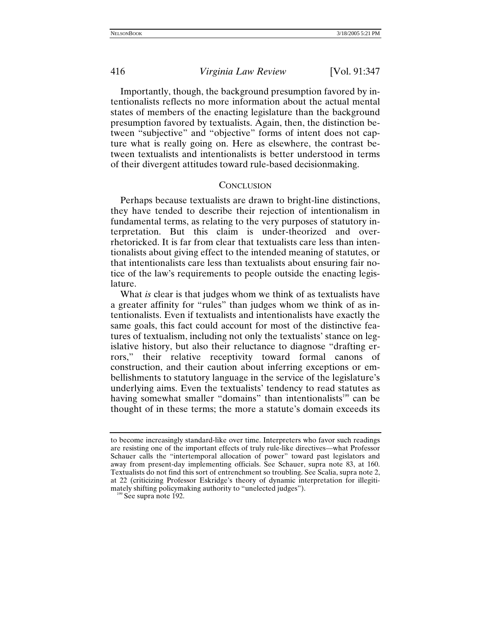Importantly, though, the background presumption favored by intentionalists reflects no more information about the actual mental states of members of the enacting legislature than the background presumption favored by textualists. Again, then, the distinction between "subjective" and "objective" forms of intent does not capture what is really going on. Here as elsewhere, the contrast between textualists and intentionalists is better understood in terms of their divergent attitudes toward rule-based decisionmaking.

## **CONCLUSION**

Perhaps because textualists are drawn to bright-line distinctions, they have tended to describe their rejection of intentionalism in fundamental terms, as relating to the very purposes of statutory interpretation. But this claim is under-theorized and overrhetoricked. It is far from clear that textualists care less than intentionalists about giving effect to the intended meaning of statutes, or that intentionalists care less than textualists about ensuring fair notice of the law's requirements to people outside the enacting legislature.

What *is* clear is that judges whom we think of as textualists have a greater affinity for "rules" than judges whom we think of as intentionalists. Even if textualists and intentionalists have exactly the same goals, this fact could account for most of the distinctive features of textualism, including not only the textualists' stance on legislative history, but also their reluctance to diagnose "drafting errors," their relative receptivity toward formal canons of construction, and their caution about inferring exceptions or embellishments to statutory language in the service of the legislature's underlying aims. Even the textualists' tendency to read statutes as having somewhat smaller "domains" than intentionalists<sup>199</sup> can be thought of in these terms; the more a statute's domain exceeds its

to become increasingly standard-like over time. Interpreters who favor such readings are resisting one of the important effects of truly rule-like directives—what Professor Schauer calls the "intertemporal allocation of power" toward past legislators and away from present-day implementing officials. See Schauer, supra note 83, at 160. Textualists do not find this sort of entrenchment so troubling. See Scalia, supra note 2, at 22 (criticizing Professor Eskridge's theory of dynamic interpretation for illegitimately shifting policymaking authority to "unelected judges"). <sup>199</sup> See supra note 192.

<span id="page-69-0"></span>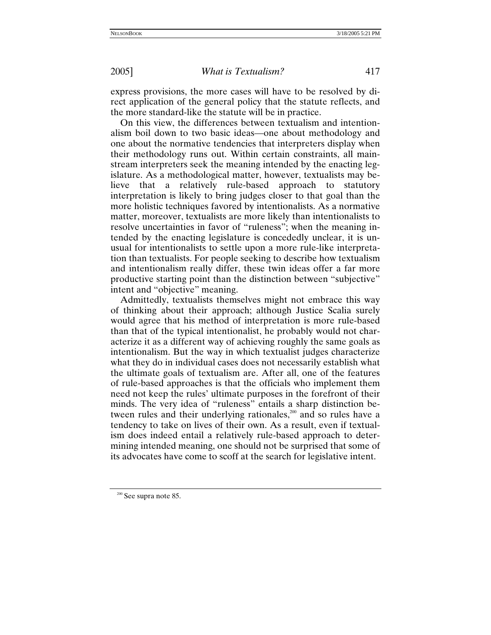express provisions, the more cases will have to be resolved by direct application of the general policy that the statute reflects, and the more standard-like the statute will be in practice.

On this view, the differences between textualism and intentionalism boil down to two basic ideas—one about methodology and one about the normative tendencies that interpreters display when their methodology runs out. Within certain constraints, all mainstream interpreters seek the meaning intended by the enacting legislature. As a methodological matter, however, textualists may believe that a relatively rule-based approach to statutory interpretation is likely to bring judges closer to that goal than the more holistic techniques favored by intentionalists. As a normative matter, moreover, textualists are more likely than intentionalists to resolve uncertainties in favor of "ruleness"; when the meaning intended by the enacting legislature is concededly unclear, it is unusual for intentionalists to settle upon a more rule-like interpretation than textualists. For people seeking to describe how textualism and intentionalism really differ, these twin ideas offer a far more productive starting point than the distinction between "subjective" intent and "objective" meaning.

Admittedly, textualists themselves might not embrace this way of thinking about their approach; although Justice Scalia surely would agree that his method of interpretation is more rule-based than that of the typical intentionalist, he probably would not characterize it as a different way of achieving roughly the same goals as intentionalism. But the way in which textualist judges characterize what they do in individual cases does not necessarily establish what the ultimate goals of textualism are. After all, one of the features of rule-based approaches is that the officials who implement them need not keep the rules' ultimate purposes in the forefront of their minds. The very idea of "ruleness" entails a sharp distinction between rules and their underlying rationales,<sup>200</sup> and so rules have a tendency to take on lives of their own. As a result, even if textualism does indeed entail a relatively rule-based approach to determining intended meaning, one should not be surprised that some of its advocates have come to scoff at the search for legislative intent.

<span id="page-70-0"></span><sup>&</sup>lt;sup>200</sup> See supra note 85.